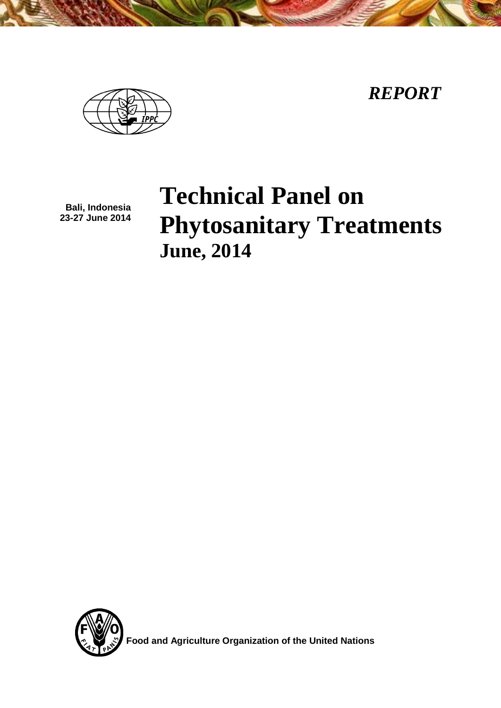*REPORT*



**Bali, Indonesia 23-27 June 2014**

# **Technical Panel on Phytosanitary Treatments June, 2014**



**Food and Agriculture Organization of the United Nations**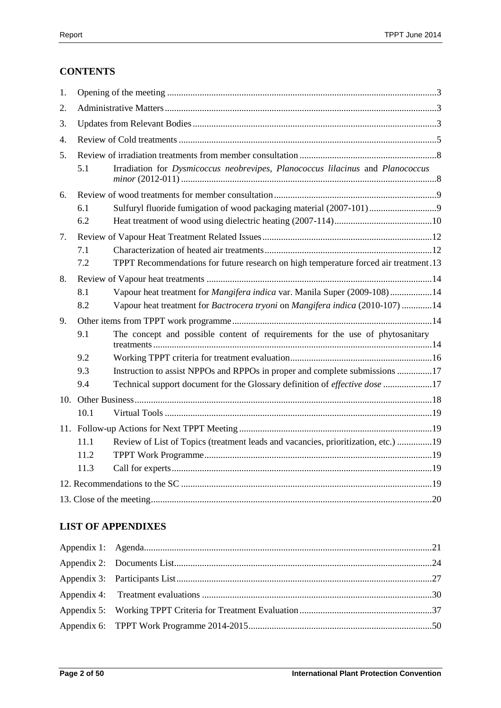# **CONTENTS**

| 1. |      |                                                                                      |
|----|------|--------------------------------------------------------------------------------------|
| 2. |      |                                                                                      |
| 3. |      |                                                                                      |
| 4. |      |                                                                                      |
| 5. |      |                                                                                      |
|    | 5.1  | Irradiation for Dysmicoccus neobrevipes, Planococcus lilacinus and Planococcus       |
| 6. |      |                                                                                      |
|    | 6.1  | Sulfuryl fluoride fumigation of wood packaging material (2007-101)                   |
|    | 6.2  |                                                                                      |
| 7. |      |                                                                                      |
|    | 7.1  |                                                                                      |
|    | 7.2  | TPPT Recommendations for future research on high temperature forced air treatment.13 |
| 8. |      |                                                                                      |
|    | 8.1  | Vapour heat treatment for Mangifera indica var. Manila Super (2009-108)14            |
|    | 8.2  | Vapour heat treatment for Bactrocera tryoni on Mangifera indica (2010-107) 14        |
| 9. |      |                                                                                      |
|    | 9.1  | The concept and possible content of requirements for the use of phytosanitary        |
|    | 9.2  |                                                                                      |
|    | 9.3  | Instruction to assist NPPOs and RPPOs in proper and complete submissions 17          |
|    | 9.4  | Technical support document for the Glossary definition of effective dose 17          |
|    |      |                                                                                      |
|    | 10.1 |                                                                                      |
|    |      |                                                                                      |
|    | 11.1 | Review of List of Topics (treatment leads and vacancies, prioritization, etc.) 19    |
|    | 11.2 |                                                                                      |
|    | 11.3 |                                                                                      |
|    |      |                                                                                      |
|    |      |                                                                                      |

# **LIST OF APPENDIXES**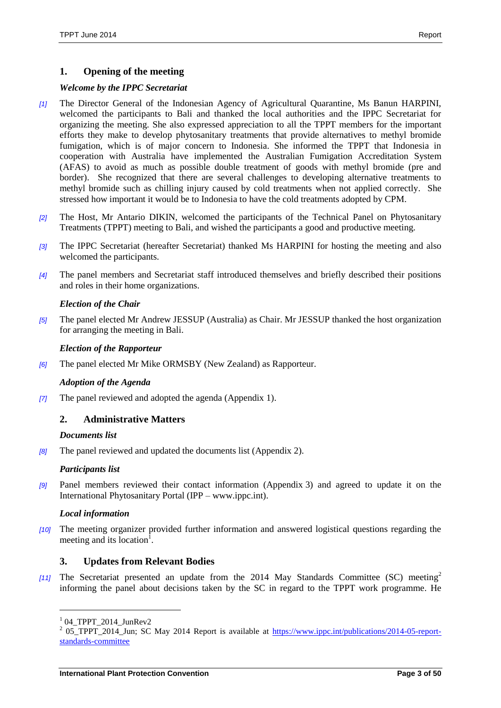#### **1. Opening of the meeting**

#### *Welcome by the IPPC Secretariat*

- *[1]* The Director General of the Indonesian Agency of Agricultural Quarantine, Ms Banun HARPINI, welcomed the participants to Bali and thanked the local authorities and the IPPC Secretariat for organizing the meeting. She also expressed appreciation to all the TPPT members for the important efforts they make to develop phytosanitary treatments that provide alternatives to methyl bromide fumigation, which is of major concern to Indonesia. She informed the TPPT that Indonesia in cooperation with Australia have implemented the Australian Fumigation Accreditation System (AFAS) to avoid as much as possible double treatment of goods with methyl bromide (pre and border). She recognized that there are several challenges to developing alternative treatments to methyl bromide such as chilling injury caused by cold treatments when not applied correctly. She stressed how important it would be to Indonesia to have the cold treatments adopted by CPM.
- *[2]* The Host, Mr Antario DIKIN, welcomed the participants of the Technical Panel on Phytosanitary Treatments (TPPT) meeting to Bali, and wished the participants a good and productive meeting.
- *[3]* The IPPC Secretariat (hereafter Secretariat) thanked Ms HARPINI for hosting the meeting and also welcomed the participants.
- *[4]* The panel members and Secretariat staff introduced themselves and briefly described their positions and roles in their home organizations.

#### *Election of the Chair*

*[5]* The panel elected Mr Andrew JESSUP (Australia) as Chair. Mr JESSUP thanked the host organization for arranging the meeting in Bali.

#### *Election of the Rapporteur*

*[6]* The panel elected Mr Mike ORMSBY (New Zealand) as Rapporteur.

#### *Adoption of the Agenda*

*[7]* The panel reviewed and adopted the agenda (Appendix 1).

## **2. Administrative Matters**

#### *Documents list*

*[8]* The panel reviewed and updated the documents list (Appendix 2).

## *Participants list*

*[9]* Panel members reviewed their contact information (Appendix 3) and agreed to update it on the International Phytosanitary Portal (IPP – www.ippc.int).

#### *Local information*

*[10]* The meeting organizer provided further information and answered logistical questions regarding the meeting and its location<sup>1</sup>.

## **3. Updates from Relevant Bodies**

*[11]* The Secretariat presented an update from the 2014 May Standards Committee (SC) meeting<sup>2</sup> informing the panel about decisions taken by the SC in regard to the TPPT work programme. He

l

<sup>1</sup> 04\_TPPT\_2014\_JunRev2

<sup>&</sup>lt;sup>2</sup> 05\_TPPT\_2014\_Jun; SC May 2014 Report is available at [https://www.ippc.int/publications/2014-05-report](https://www.ippc.int/publications/2014-05-report-standards-committee)[standards-committee](https://www.ippc.int/publications/2014-05-report-standards-committee)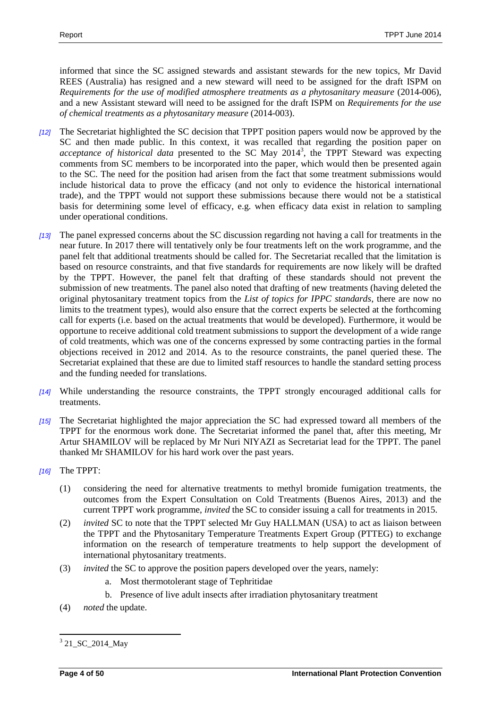informed that since the SC assigned stewards and assistant stewards for the new topics, Mr David REES (Australia) has resigned and a new steward will need to be assigned for the draft ISPM on *Requirements for the use of modified atmosphere treatments as a phytosanitary measure* (2014-006), and a new Assistant steward will need to be assigned for the draft ISPM on *Requirements for the use of chemical treatments as a phytosanitary measure* (2014-003).

- *[12]* The Secretariat highlighted the SC decision that TPPT position papers would now be approved by the SC and then made public. In this context, it was recalled that regarding the position paper on acceptance of historical data presented to the SC May 2014<sup>3</sup>, the TPPT Steward was expecting comments from SC members to be incorporated into the paper, which would then be presented again to the SC. The need for the position had arisen from the fact that some treatment submissions would include historical data to prove the efficacy (and not only to evidence the historical international trade), and the TPPT would not support these submissions because there would not be a statistical basis for determining some level of efficacy, e.g. when efficacy data exist in relation to sampling under operational conditions.
- *[13]* The panel expressed concerns about the SC discussion regarding not having a call for treatments in the near future. In 2017 there will tentatively only be four treatments left on the work programme, and the panel felt that additional treatments should be called for. The Secretariat recalled that the limitation is based on resource constraints, and that five standards for requirements are now likely will be drafted by the TPPT. However, the panel felt that drafting of these standards should not prevent the submission of new treatments. The panel also noted that drafting of new treatments (having deleted the original phytosanitary treatment topics from the *List of topics for IPPC standards*, there are now no limits to the treatment types), would also ensure that the correct experts be selected at the forthcoming call for experts (i.e. based on the actual treatments that would be developed). Furthermore, it would be opportune to receive additional cold treatment submissions to support the development of a wide range of cold treatments, which was one of the concerns expressed by some contracting parties in the formal objections received in 2012 and 2014. As to the resource constraints, the panel queried these. The Secretariat explained that these are due to limited staff resources to handle the standard setting process and the funding needed for translations.
- *[14]* While understanding the resource constraints, the TPPT strongly encouraged additional calls for treatments.
- *[15]* The Secretariat highlighted the major appreciation the SC had expressed toward all members of the TPPT for the enormous work done. The Secretariat informed the panel that, after this meeting, Mr Artur SHAMILOV will be replaced by Mr Nuri NIYAZI as Secretariat lead for the TPPT. The panel thanked Mr SHAMILOV for his hard work over the past years.
- *[16]* The TPPT:
	- (1) considering the need for alternative treatments to methyl bromide fumigation treatments, the outcomes from the Expert Consultation on Cold Treatments (Buenos Aires, 2013) and the current TPPT work programme, *invited* the SC to consider issuing a call for treatments in 2015.
	- (2) *invited* SC to note that the TPPT selected Mr Guy HALLMAN (USA) to act as liaison between the TPPT and the Phytosanitary Temperature Treatments Expert Group (PTTEG) to exchange information on the research of temperature treatments to help support the development of international phytosanitary treatments.
	- (3) *invited* the SC to approve the position papers developed over the years, namely:
		- a. Most thermotolerant stage of Tephritidae
		- b. Presence of live adult insects after irradiation phytosanitary treatment
	- (4) *noted* the update.

 $\overline{a}$ <sup>3</sup> 21\_SC\_2014\_May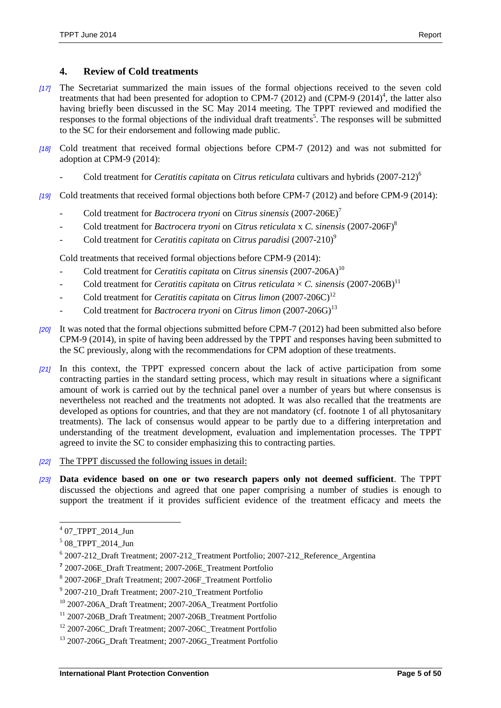## **4. Review of Cold treatments**

- *[17]* The Secretariat summarized the main issues of the formal objections received to the seven cold treatments that had been presented for adoption to CPM-7  $(2012)$  and  $(CPM-9 (2014)^4$ , the latter also having briefly been discussed in the SC May 2014 meeting. The TPPT reviewed and modified the responses to the formal objections of the individual draft treatments<sup>5</sup>. The responses will be submitted to the SC for their endorsement and following made public.
- *[18]* Cold treatment that received formal objections before CPM-7 (2012) and was not submitted for adoption at CPM-9 (2014):
	- Cold treatment for *Ceratitis capitata* on *Citrus reticulata* cultivars and hybrids (2007-212)<sup>6</sup>
- *[19]* Cold treatments that received formal objections both before CPM-7 (2012) and before CPM-9 (2014):
	- Cold treatment for *Bactrocera tryoni* on *Citrus sinensis* (2007-206E)<sup>7</sup>
	- Cold treatment for *Bactrocera tryoni* on *Citrus reticulata* x *C. sinensis* (2007-206F)<sup>8</sup>
	- Cold treatment for *Ceratitis capitata* on *Citrus paradisi* (2007-210)<sup>9</sup>

Cold treatments that received formal objections before CPM-9 (2014):

- Cold treatment for *Ceratitis capitata* on *Citrus sinensis*  $(2007-206A)^{10}$
- Cold treatment for *Ceratitis capitata* on *Citrus reticulata*  $\times$  *C. sinensis* (2007-206B)<sup>11</sup>
- Cold treatment for *Ceratitis capitata* on *Citrus limon* (2007-206C)<sup>12</sup>
- Cold treatment for *Bactrocera tryoni* on *Citrus limon* (2007-206G)<sup>13</sup>
- *[20]* It was noted that the formal objections submitted before CPM-7 (2012) had been submitted also before CPM-9 (2014), in spite of having been addressed by the TPPT and responses having been submitted to the SC previously, along with the recommendations for CPM adoption of these treatments.
- *[21]* In this context, the TPPT expressed concern about the lack of active participation from some contracting parties in the standard setting process, which may result in situations where a significant amount of work is carried out by the technical panel over a number of years but where consensus is nevertheless not reached and the treatments not adopted. It was also recalled that the treatments are developed as options for countries, and that they are not mandatory (cf. footnote 1 of all phytosanitary treatments). The lack of consensus would appear to be partly due to a differing interpretation and understanding of the treatment development, evaluation and implementation processes. The TPPT agreed to invite the SC to consider emphasizing this to contracting parties.
- *[22]* The TPPT discussed the following issues in detail:
- *[23]* **Data evidence based on one or two research papers only not deemed sufficient**. The TPPT discussed the objections and agreed that one paper comprising a number of studies is enough to support the treatment if it provides sufficient evidence of the treatment efficacy and meets the

 4 [07\\_TPPT\\_2014\\_Jun](https://www.ippc.int/work-area-pages/2014-bali-indonesia)

<sup>5</sup> [08\\_TPPT\\_2014\\_Jun](https://www.ippc.int/work-area-pages/2014-bali-indonesia?order=field_agenda_item_no&sort=asc)

<sup>6</sup> [2007-212\\_Draft Treatment;](https://www.ippc.int/work-area-pages/2014-bali-indonesia) [2007-212\\_Treatment Portfolio;](https://www.ippc.int/work-area-pages/draft-phytosanitary-treatments-and-relevant-documents) [2007-212\\_Reference\\_Argentina](https://www.ippc.int/work-area-pages/2014-bali-indonesia?order=field_agenda_item_no&sort=asc)

**<sup>7</sup>** [2007-206E\\_Draft Treatment;](https://www.ippc.int/work-area-pages/2014-bali-indonesia) [2007-206E\\_Treatment Portfolio](https://www.ippc.int/work-area-pages/draft-phytosanitary-treatments-and-relevant-documents?order=field_document_number&sort=asc)

<sup>8</sup> [2007-206F\\_Draft Treatment;](https://www.ippc.int/work-area-pages/2014-bali-indonesia) [2007-206F\\_Treatment Portfolio](https://www.ippc.int/work-area-pages/draft-phytosanitary-treatments-and-relevant-documents?order=field_document_number&sort=asc)

<sup>&</sup>lt;sup>9</sup> [2007-210\\_Draft Treatment;](https://www.ippc.int/work-area-pages/2014-bali-indonesia) [2007-210\\_Treatment Portfolio](https://www.ippc.int/work-area-pages/draft-phytosanitary-treatments-and-relevant-documents)

<sup>10</sup> [2007-206A\\_Draft Treatment;](https://www.ippc.int/work-area-pages/2014-bali-indonesia) [2007-206A\\_Treatment Portfolio](https://www.ippc.int/work-area-pages/draft-phytosanitary-treatments-and-relevant-documents?order=field_document_number&sort=asc)

<sup>11</sup> [2007-206B\\_Draft Treatment;](https://www.ippc.int/work-area-pages/2014-bali-indonesia) [2007-206B\\_Treatment Portfolio](https://www.ippc.int/work-area-pages/draft-phytosanitary-treatments-and-relevant-documents?order=field_document_number&sort=asc)

<sup>12</sup> [2007-206C\\_Draft Treatment;](https://www.ippc.int/work-area-pages/2014-bali-indonesia) [2007-206C\\_Treatment Portfolio](https://www.ippc.int/work-area-pages/draft-phytosanitary-treatments-and-relevant-documents?order=field_document_number&sort=asc)

<sup>&</sup>lt;sup>13</sup> [2007-206G\\_Draft Treatment;](https://www.ippc.int/work-area-pages/2014-bali-indonesia) [2007-206G\\_Treatment Portfolio](https://www.ippc.int/work-area-pages/draft-phytosanitary-treatments-and-relevant-documents?order=field_document_number&sort=asc)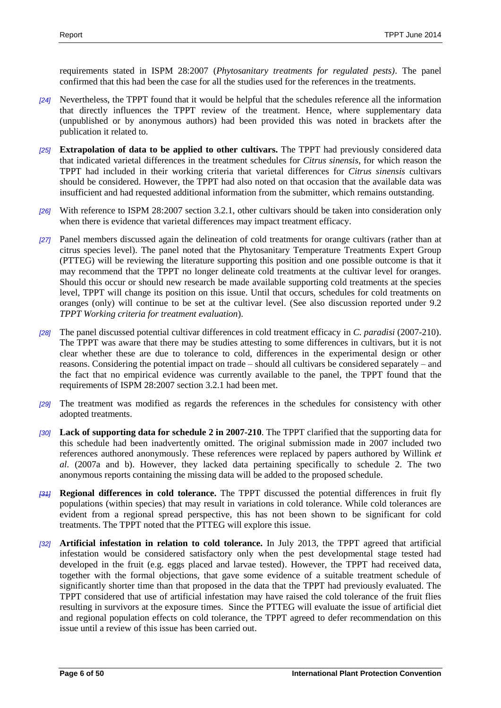requirements stated in ISPM 28:2007 (*Phytosanitary treatments for regulated pests)*. The panel confirmed that this had been the case for all the studies used for the references in the treatments.

- *[24]* Nevertheless, the TPPT found that it would be helpful that the schedules reference all the information that directly influences the TPPT review of the treatment. Hence, where supplementary data (unpublished or by anonymous authors) had been provided this was noted in brackets after the publication it related to.
- *[25]* **Extrapolation of data to be applied to other cultivars.** The TPPT had previously considered data that indicated varietal differences in the treatment schedules for *Citrus sinensis*, for which reason the TPPT had included in their working criteria that varietal differences for *Citrus sinensis* cultivars should be considered. However, the TPPT had also noted on that occasion that the available data was insufficient and had requested additional information from the submitter, which remains outstanding.
- *[26]* With reference to ISPM 28:2007 section 3.2.1, other cultivars should be taken into consideration only when there is evidence that varietal differences may impact treatment efficacy.
- *[27]* Panel members discussed again the delineation of cold treatments for orange cultivars (rather than at citrus species level). The panel noted that the Phytosanitary Temperature Treatments Expert Group (PTTEG) will be reviewing the literature supporting this position and one possible outcome is that it may recommend that the TPPT no longer delineate cold treatments at the cultivar level for oranges. Should this occur or should new research be made available supporting cold treatments at the species level, TPPT will change its position on this issue. Until that occurs, schedules for cold treatments on oranges (only) will continue to be set at the cultivar level. (See also discussion reported under 9.2 *TPPT Working criteria for treatment evaluation*).
- *[28]* The panel discussed potential cultivar differences in cold treatment efficacy in *C. paradisi* (2007-210). The TPPT was aware that there may be studies attesting to some differences in cultivars, but it is not clear whether these are due to tolerance to cold, differences in the experimental design or other reasons. Considering the potential impact on trade – should all cultivars be considered separately – and the fact that no empirical evidence was currently available to the panel, the TPPT found that the requirements of ISPM 28:2007 section 3.2.1 had been met.
- *[29]* The treatment was modified as regards the references in the schedules for consistency with other adopted treatments.
- *[30]* **Lack of supporting data for schedule 2 in 2007-210**. The TPPT clarified that the supporting data for this schedule had been inadvertently omitted. The original submission made in 2007 included two references authored anonymously. These references were replaced by papers authored by Willink *et al.* (2007a and b). However, they lacked data pertaining specifically to schedule 2. The two anonymous reports containing the missing data will be added to the proposed schedule.
- *[31]* **Regional differences in cold tolerance.** The TPPT discussed the potential differences in fruit fly populations (within species) that may result in variations in cold tolerance. While cold tolerances are evident from a regional spread perspective, this has not been shown to be significant for cold treatments. The TPPT noted that the PTTEG will explore this issue.
- *[32]* **Artificial infestation in relation to cold tolerance.** In July 2013, the TPPT agreed that artificial infestation would be considered satisfactory only when the pest developmental stage tested had developed in the fruit (e.g. eggs placed and larvae tested). However, the TPPT had received data, together with the formal objections, that gave some evidence of a suitable treatment schedule of significantly shorter time than that proposed in the data that the TPPT had previously evaluated. The TPPT considered that use of artificial infestation may have raised the cold tolerance of the fruit flies resulting in survivors at the exposure times. Since the PTTEG will evaluate the issue of artificial diet and regional population effects on cold tolerance, the TPPT agreed to defer recommendation on this issue until a review of this issue has been carried out.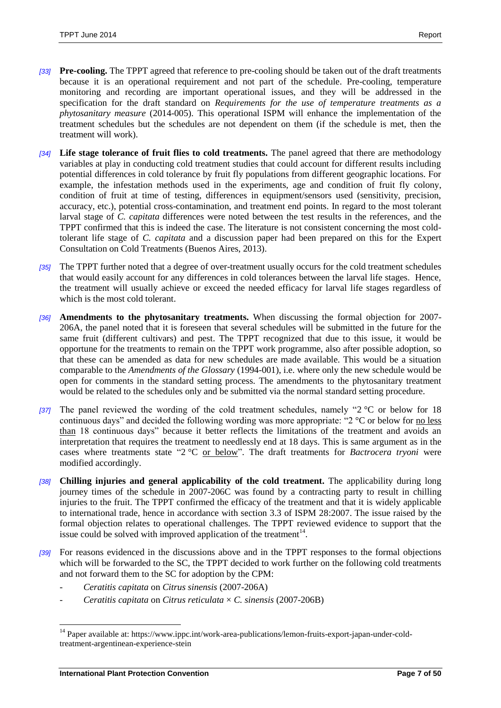- *[33]* **Pre-cooling.** The TPPT agreed that reference to pre-cooling should be taken out of the draft treatments because it is an operational requirement and not part of the schedule. Pre-cooling, temperature monitoring and recording are important operational issues, and they will be addressed in the specification for the draft standard on *Requirements for the use of temperature treatments as a phytosanitary measure* (2014-005). This operational ISPM will enhance the implementation of the treatment schedules but the schedules are not dependent on them (if the schedule is met, then the treatment will work).
- *[34]* **Life stage tolerance of fruit flies to cold treatments.** The panel agreed that there are methodology variables at play in conducting cold treatment studies that could account for different results including potential differences in cold tolerance by fruit fly populations from different geographic locations. For example, the infestation methods used in the experiments, age and condition of fruit fly colony, condition of fruit at time of testing, differences in equipment/sensors used (sensitivity, precision, accuracy, etc.), potential cross-contamination, and treatment end points. In regard to the most tolerant larval stage of *C. capitata* differences were noted between the test results in the references, and the TPPT confirmed that this is indeed the case. The literature is not consistent concerning the most coldtolerant life stage of *C. capitata* and a discussion paper had been prepared on this for the Expert Consultation on Cold Treatments (Buenos Aires, 2013).
- *[35]* The TPPT further noted that a degree of over-treatment usually occurs for the cold treatment schedules that would easily account for any differences in cold tolerances between the larval life stages. Hence, the treatment will usually achieve or exceed the needed efficacy for larval life stages regardless of which is the most cold tolerant.
- *[36]* **Amendments to the phytosanitary treatments.** When discussing the formal objection for 2007- 206A, the panel noted that it is foreseen that several schedules will be submitted in the future for the same fruit (different cultivars) and pest. The TPPT recognized that due to this issue, it would be opportune for the treatments to remain on the TPPT work programme, also after possible adoption, so that these can be amended as data for new schedules are made available. This would be a situation comparable to the *Amendments of the Glossary* (1994-001), i.e. where only the new schedule would be open for comments in the standard setting process. The amendments to the phytosanitary treatment would be related to the schedules only and be submitted via the normal standard setting procedure.
- *[37]* The panel reviewed the wording of the cold treatment schedules, namely "2 °C or below for 18 continuous days" and decided the following wording was more appropriate: "2 °C or below for no less than 18 continuous days" because it better reflects the limitations of the treatment and avoids an interpretation that requires the treatment to needlessly end at 18 days. This is same argument as in the cases where treatments state "2 °C or below". The draft treatments for *Bactrocera tryoni* were modified accordingly.
- *[38]* **Chilling injuries and general applicability of the cold treatment.** The applicability during long journey times of the schedule in 2007-206C was found by a contracting party to result in chilling injuries to the fruit. The TPPT confirmed the efficacy of the treatment and that it is widely applicable to international trade, hence in accordance with section 3.3 of ISPM 28:2007. The issue raised by the formal objection relates to operational challenges. The TPPT reviewed evidence to support that the issue could be solved with improved application of the treatment $14$ .
- *[39]* For reasons evidenced in the discussions above and in the TPPT responses to the formal objections which will be forwarded to the SC, the TPPT decided to work further on the following cold treatments and not forward them to the SC for adoption by the CPM:
	- *Ceratitis capitata* on *Citrus sinensis* (2007-206A)
	- *Ceratitis capitata* on *Citrus reticulata* × *C. sinensis* (2007-206B)

 $\overline{a}$ 

<sup>&</sup>lt;sup>14</sup> Paper available at: https://www.ippc.int/work-area-publications/lemon-fruits-export-japan-under-coldtreatment-argentinean-experience-stein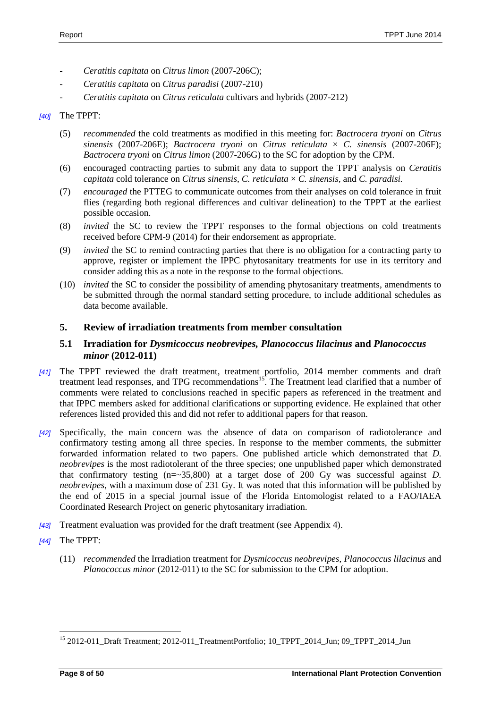- *Ceratitis capitata* on *Citrus limon* (2007-206C);
- *Ceratitis capitata* on *Citrus paradisi* (2007-210)
- *Ceratitis capitata* on *Citrus reticulata* cultivars and hybrids (2007-212)

#### *[40]* The TPPT:

- (5) *recommended* the cold treatments as modified in this meeting for: *Bactrocera tryoni* on *Citrus sinensis* (2007-206E); *Bactrocera tryoni* on *Citrus reticulata* × *C. sinensis* (2007-206F); *Bactrocera tryoni* on *Citrus limon* (2007-206G) to the SC for adoption by the CPM.
- (6) encouraged contracting parties to submit any data to support the TPPT analysis on *Ceratitis capitata* cold tolerance on *Citrus sinensis, C. reticulata*  $\times$  *C. sinensis,* and *C. paradisi.*
- (7) *encouraged* the PTTEG to communicate outcomes from their analyses on cold tolerance in fruit flies (regarding both regional differences and cultivar delineation) to the TPPT at the earliest possible occasion.
- (8) *invited* the SC to review the TPPT responses to the formal objections on cold treatments received before CPM-9 (2014) for their endorsement as appropriate.
- (9) *invited* the SC to remind contracting parties that there is no obligation for a contracting party to approve, register or implement the IPPC phytosanitary treatments for use in its territory and consider adding this as a note in the response to the formal objections.
- (10) *invited* the SC to consider the possibility of amending phytosanitary treatments, amendments to be submitted through the normal standard setting procedure, to include additional schedules as data become available.

## **5. Review of irradiation treatments from member consultation**

## **5.1 Irradiation for** *Dysmicoccus neobrevipes, Planococcus lilacinus* **and** *Planococcus minor* **(2012-011)**

- *[41]* The TPPT reviewed the draft treatment, treatment portfolio, 2014 member comments and draft treatment lead responses, and TPG recommendations<sup>15</sup>. The Treatment lead clarified that a number of comments were related to conclusions reached in specific papers as referenced in the treatment and that IPPC members asked for additional clarifications or supporting evidence. He explained that other references listed provided this and did not refer to additional papers for that reason.
- *[42]* Specifically, the main concern was the absence of data on comparison of radiotolerance and confirmatory testing among all three species. In response to the member comments, the submitter forwarded information related to two papers. One published article which demonstrated that *D. neobrevipes* is the most radiotolerant of the three species; one unpublished paper which demonstrated that confirmatory testing (n=~35,800) at a target dose of 200 Gy was successful against *D. neobrevipes*, with a maximum dose of 231 Gy. It was noted that this information will be published by the end of 2015 in a special journal issue of the Florida Entomologist related to a FAO/IAEA Coordinated Research Project on generic phytosanitary irradiation.
- *[43]* Treatment evaluation was provided for the draft treatment (see Appendix 4).
- *[44]* The TPPT:

 $\overline{a}$ 

(11) *recommended* the Irradiation treatment for *Dysmicoccus neobrevipes*, *Planococcus lilacinus* and *Planococcus minor* (2012-011) to the SC for submission to the CPM for adoption.

<sup>&</sup>lt;sup>15</sup> 2012-011\_Draft Treatment; 2012-011\_TreatmentPortfolio; 10\_TPPT\_2014\_Jun; 09\_TPPT\_2014\_Jun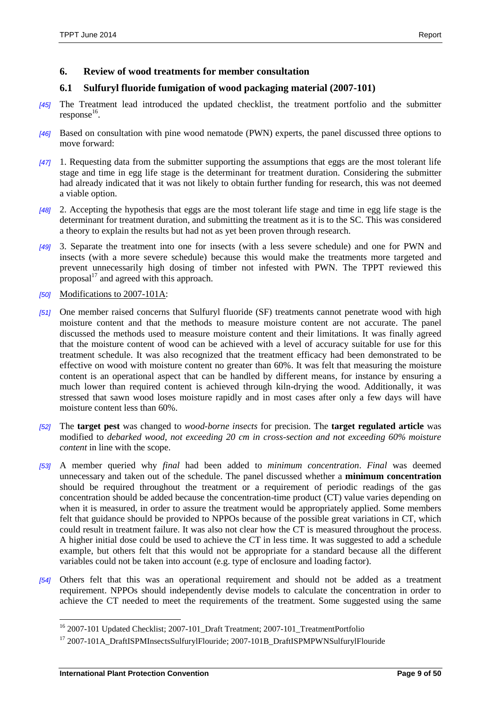#### **6. Review of wood treatments for member consultation**

#### **6.1 Sulfuryl fluoride fumigation of wood packaging material (2007-101)**

- *[45]* The Treatment lead introduced the updated checklist, the treatment portfolio and the submitter  $response<sup>16</sup>$ .
- *[46]* Based on consultation with pine wood nematode (PWN) experts, the panel discussed three options to move forward:
- *[47]* 1. Requesting data from the submitter supporting the assumptions that eggs are the most tolerant life stage and time in egg life stage is the determinant for treatment duration. Considering the submitter had already indicated that it was not likely to obtain further funding for research, this was not deemed a viable option.
- *[48]* 2. Accepting the hypothesis that eggs are the most tolerant life stage and time in egg life stage is the determinant for treatment duration, and submitting the treatment as it is to the SC. This was considered a theory to explain the results but had not as yet been proven through research.
- *[49]* 3. Separate the treatment into one for insects (with a less severe schedule) and one for PWN and insects (with a more severe schedule) because this would make the treatments more targeted and prevent unnecessarily high dosing of timber not infested with PWN. The TPPT reviewed this proposal $^{17}$  and agreed with this approach.
- *[50]* Modifications to 2007-101A:
- *[51]* One member raised concerns that Sulfuryl fluoride (SF) treatments cannot penetrate wood with high moisture content and that the methods to measure moisture content are not accurate. The panel discussed the methods used to measure moisture content and their limitations. It was finally agreed that the moisture content of wood can be achieved with a level of accuracy suitable for use for this treatment schedule. It was also recognized that the treatment efficacy had been demonstrated to be effective on wood with moisture content no greater than 60%. It was felt that measuring the moisture content is an operational aspect that can be handled by different means, for instance by ensuring a much lower than required content is achieved through kiln-drying the wood. Additionally, it was stressed that sawn wood loses moisture rapidly and in most cases after only a few days will have moisture content less than 60%.
- *[52]* The **target pest** was changed to *wood-borne insects* for precision. The **target regulated article** was modified to *debarked wood, not exceeding 20 cm in cross-section and not exceeding 60% moisture content* in line with the scope.
- *[53]* A member queried why *final* had been added to *minimum concentration*. *Final* was deemed unnecessary and taken out of the schedule. The panel discussed whether a **minimum concentration** should be required throughout the treatment or a requirement of periodic readings of the gas concentration should be added because the concentration-time product (CT) value varies depending on when it is measured, in order to assure the treatment would be appropriately applied. Some members felt that guidance should be provided to NPPOs because of the possible great variations in CT, which could result in treatment failure. It was also not clear how the CT is measured throughout the process. A higher initial dose could be used to achieve the CT in less time. It was suggested to add a schedule example, but others felt that this would not be appropriate for a standard because all the different variables could not be taken into account (e.g. type of enclosure and loading factor).
- *[54]* Others felt that this was an operational requirement and should not be added as a treatment requirement. NPPOs should independently devise models to calculate the concentration in order to achieve the CT needed to meet the requirements of the treatment. Some suggested using the same

 $\overline{\phantom{a}}$ 

<sup>&</sup>lt;sup>16</sup> 2007-101 Updated Checklist; 2007-101\_Draft Treatment; 2007-101\_TreatmentPortfolio

<sup>&</sup>lt;sup>17</sup> 2007-101A\_DraftISPMInsectsSulfurylFlouride; 2007-101B\_DraftISPMPWNSulfurylFlouride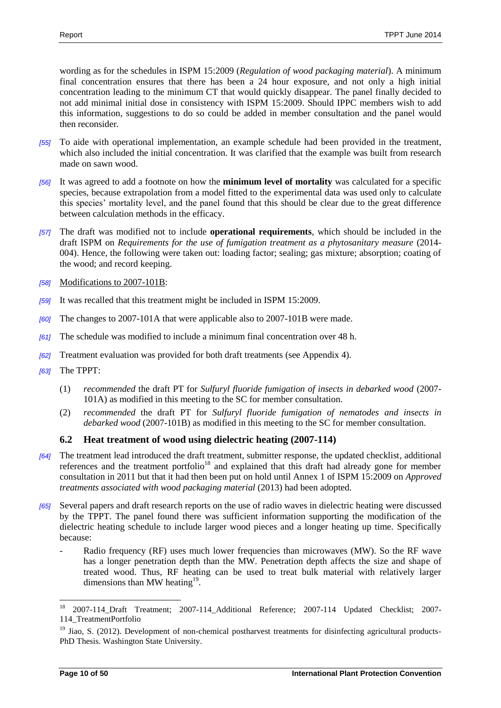wording as for the schedules in ISPM 15:2009 (*Regulation of wood packaging material*). A minimum final concentration ensures that there has been a 24 hour exposure, and not only a high initial concentration leading to the minimum CT that would quickly disappear. The panel finally decided to not add minimal initial dose in consistency with ISPM 15:2009. Should IPPC members wish to add this information, suggestions to do so could be added in member consultation and the panel would then reconsider.

- *[55]* To aide with operational implementation, an example schedule had been provided in the treatment, which also included the initial concentration. It was clarified that the example was built from research made on sawn wood.
- *[56]* It was agreed to add a footnote on how the **minimum level of mortality** was calculated for a specific species, because extrapolation from a model fitted to the experimental data was used only to calculate this species' mortality level, and the panel found that this should be clear due to the great difference between calculation methods in the efficacy.
- *[57]* The draft was modified not to include **operational requirements**, which should be included in the draft ISPM on *Requirements for the use of fumigation treatment as a phytosanitary measure* (2014- 004). Hence, the following were taken out: loading factor; sealing; gas mixture; absorption; coating of the wood; and record keeping.
- *[58]* Modifications to 2007-101B:
- *[59]* It was recalled that this treatment might be included in ISPM 15:2009.
- *[60]* The changes to 2007-101A that were applicable also to 2007-101B were made.
- *[61]* The schedule was modified to include a minimum final concentration over 48 h.
- *[62]* Treatment evaluation was provided for both draft treatments (see Appendix 4).
- *[63]* The TPPT:
	- (1) *recommended* the draft PT for *Sulfuryl fluoride fumigation of insects in debarked wood* (2007- 101A) as modified in this meeting to the SC for member consultation.
	- (2) *recommended* the draft PT for *Sulfuryl fluoride fumigation of nematodes and insects in debarked wood* (2007-101B) as modified in this meeting to the SC for member consultation.

## **6.2 Heat treatment of wood using dielectric heating (2007-114)**

- *[64]* The treatment lead introduced the draft treatment, submitter response, the updated checklist, additional references and the treatment portfolio<sup>18</sup> and explained that this draft had already gone for member consultation in 2011 but that it had then been put on hold until Annex 1 of ISPM 15:2009 on *Approved treatments associated with wood packaging material* (2013) had been adopted.
- *[65]* Several papers and draft research reports on the use of radio waves in dielectric heating were discussed by the TPPT. The panel found there was sufficient information supporting the modification of the dielectric heating schedule to include larger wood pieces and a longer heating up time. Specifically because:
	- Radio frequency (RF) uses much lower frequencies than microwaves (MW). So the RF wave has a longer penetration depth than the MW. Penetration depth affects the size and shape of treated wood. Thus, RF heating can be used to treat bulk material with relatively larger dimensions than MW heating $19$ .

 $\overline{\phantom{a}}$ 

<sup>18</sup> 2007-114\_Draft Treatment; 2007-114\_Additional Reference; 2007-114 Updated Checklist; 2007- 114\_TreatmentPortfolio

<sup>&</sup>lt;sup>19</sup> Jiao, S. (2012). Development of non-chemical postharvest treatments for disinfecting agricultural products-PhD Thesis. Washington State University.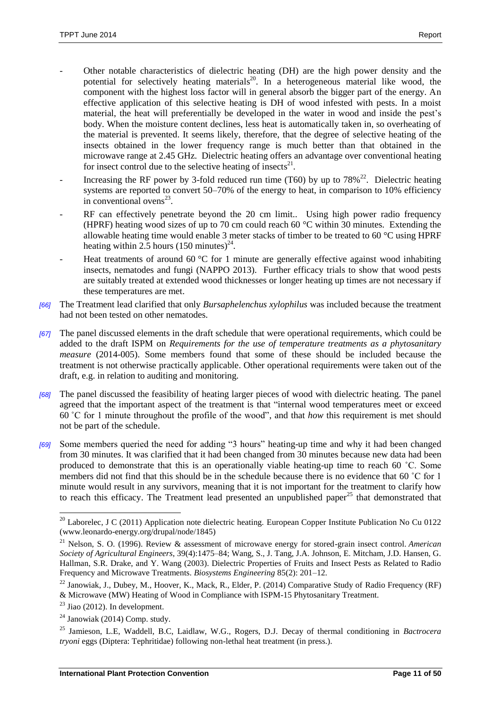- Other notable characteristics of dielectric heating (DH) are the high power density and the potential for selectively heating materials $^{20}$ . In a heterogeneous material like wood, the component with the highest loss factor will in general absorb the bigger part of the energy. An effective application of this selective heating is DH of wood infested with pests. In a moist material, the heat will preferentially be developed in the water in wood and inside the pest's body. When the moisture content declines, less heat is automatically taken in, so overheating of the material is prevented. It seems likely, therefore, that the degree of selective heating of the insects obtained in the lower frequency range is much better than that obtained in the microwave range at 2.45 GHz. Dielectric heating offers an advantage over conventional heating for insect control due to the selective heating of insects $^{21}$ .
- Increasing the RF power by 3-fold reduced run time (T60) by up to  $78\%^{22}$ . Dielectric heating systems are reported to convert 50–70% of the energy to heat, in comparison to 10% efficiency in conventional ovens $^{23}$ .
- RF can effectively penetrate beyond the 20 cm limit.. Using high power radio frequency (HPRF) heating wood sizes of up to 70 cm could reach 60 °C within 30 minutes. Extending the allowable heating time would enable 3 meter stacks of timber to be treated to 60  $^{\circ}$ C using HPRF heating within 2.5 hours  $(150 \text{ minutes})^{24}$ .
- Heat treatments of around 60  $\degree$ C for 1 minute are generally effective against wood inhabiting insects, nematodes and fungi (NAPPO 2013). Further efficacy trials to show that wood pests are suitably treated at extended wood thicknesses or longer heating up times are not necessary if these temperatures are met.
- *[66]* The Treatment lead clarified that only *Bursaphelenchus xylophilus* was included because the treatment had not been tested on other nematodes.
- *[67]* The panel discussed elements in the draft schedule that were operational requirements, which could be added to the draft ISPM on *Requirements for the use of temperature treatments as a phytosanitary measure* (2014-005). Some members found that some of these should be included because the treatment is not otherwise practically applicable. Other operational requirements were taken out of the draft, e.g. in relation to auditing and monitoring.
- *[68]* The panel discussed the feasibility of heating larger pieces of wood with dielectric heating. The panel agreed that the important aspect of the treatment is that "internal wood temperatures meet or exceed 60 ˚C for 1 minute throughout the profile of the wood", and that *how* this requirement is met should not be part of the schedule.
- *[69]* Some members queried the need for adding "3 hours" heating-up time and why it had been changed from 30 minutes. It was clarified that it had been changed from 30 minutes because new data had been produced to demonstrate that this is an operationally viable heating-up time to reach 60 ˚C. Some members did not find that this should be in the schedule because there is no evidence that 60 ˚C for 1 minute would result in any survivors, meaning that it is not important for the treatment to clarify how to reach this efficacy. The Treatment lead presented an unpublished paper<sup>25</sup> that demonstrated that

l

<sup>&</sup>lt;sup>20</sup> Laborelec, J C (2011) Application note dielectric heating. European Copper Institute Publication No Cu 0122 (www.leonardo-energy.org/drupal/node/1845)

<sup>21</sup> Nelson, S. O. (1996). Review & assessment of microwave energy for stored-grain insect control. *American Society of Agricultural Engineers*, 39(4):1475–84; Wang, S., J. Tang, J.A. Johnson, E. Mitcham, J.D. Hansen, G. Hallman, S.R. Drake, and Y. Wang (2003). Dielectric Properties of Fruits and Insect Pests as Related to Radio Frequency and Microwave Treatments. *Biosystems Engineering* 85(2): 201–12.

<sup>&</sup>lt;sup>22</sup> Janowiak, J., Dubey, M., Hoover, K., Mack, R., Elder, P. (2014) Comparative Study of Radio Frequency (RF)

<sup>&</sup>amp; Microwave (MW) Heating of Wood in Compliance with ISPM-15 Phytosanitary Treatment.

 $23$  Jiao (2012). In development.

 $24$  Janowiak (2014) Comp. study.

<sup>25</sup> Jamieson, L.E, Waddell, B.C, Laidlaw, W.G., Rogers, D.J. Decay of thermal conditioning in *Bactrocera tryoni* eggs (Diptera: Tephritidae) following non-lethal heat treatment (in press.).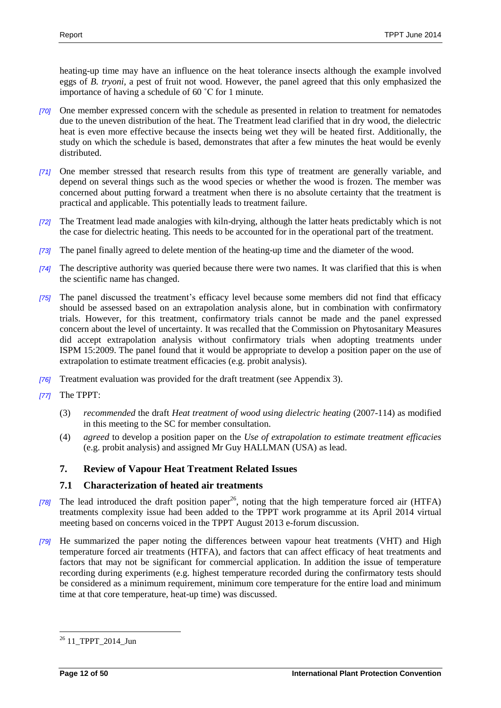heating-up time may have an influence on the heat tolerance insects although the example involved eggs of *B. tryoni,* a pest of fruit not wood. However, the panel agreed that this only emphasized the importance of having a schedule of 60 ˚C for 1 minute.

- *[70]* One member expressed concern with the schedule as presented in relation to treatment for nematodes due to the uneven distribution of the heat. The Treatment lead clarified that in dry wood, the dielectric heat is even more effective because the insects being wet they will be heated first. Additionally, the study on which the schedule is based, demonstrates that after a few minutes the heat would be evenly distributed.
- *[71]* One member stressed that research results from this type of treatment are generally variable, and depend on several things such as the wood species or whether the wood is frozen. The member was concerned about putting forward a treatment when there is no absolute certainty that the treatment is practical and applicable. This potentially leads to treatment failure.
- *[72]* The Treatment lead made analogies with kiln-drying, although the latter heats predictably which is not the case for dielectric heating. This needs to be accounted for in the operational part of the treatment.
- *[73]* The panel finally agreed to delete mention of the heating-up time and the diameter of the wood.
- *[74]* The descriptive authority was queried because there were two names. It was clarified that this is when the scientific name has changed.
- *[75]* The panel discussed the treatment's efficacy level because some members did not find that efficacy should be assessed based on an extrapolation analysis alone, but in combination with confirmatory trials. However, for this treatment, confirmatory trials cannot be made and the panel expressed concern about the level of uncertainty. It was recalled that the Commission on Phytosanitary Measures did accept extrapolation analysis without confirmatory trials when adopting treatments under ISPM 15:2009. The panel found that it would be appropriate to develop a position paper on the use of extrapolation to estimate treatment efficacies (e.g. probit analysis).
- *[76]* Treatment evaluation was provided for the draft treatment (see Appendix 3).
- *[77]* The TPPT:
	- (3) *recommended* the draft *Heat treatment of wood using dielectric heating* (2007-114) as modified in this meeting to the SC for member consultation.
	- (4) *agreed* to develop a position paper on the *Use of extrapolation to estimate treatment efficacies* (e.g. probit analysis) and assigned Mr Guy HALLMAN (USA) as lead.

## **7. Review of Vapour Heat Treatment Related Issues**

## **7.1 Characterization of heated air treatments**

- [78] The lead introduced the draft position paper<sup>26</sup>, noting that the high temperature forced air (HTFA) treatments complexity issue had been added to the TPPT work programme at its April 2014 virtual meeting based on concerns voiced in the TPPT August 2013 e-forum discussion.
- *[79]* He summarized the paper noting the differences between vapour heat treatments (VHT) and High temperature forced air treatments (HTFA), and factors that can affect efficacy of heat treatments and factors that may not be significant for commercial application. In addition the issue of temperature recording during experiments (e.g. highest temperature recorded during the confirmatory tests should be considered as a minimum requirement, minimum core temperature for the entire load and minimum time at that core temperature, heat-up time) was discussed.

 $\overline{a}$ <sup>26</sup> [11\\_TPPT\\_2014\\_Jun](https://www.ippc.int/work-area-pages/2014-bali-indonesia?order=field_agenda_item_no&sort=asc)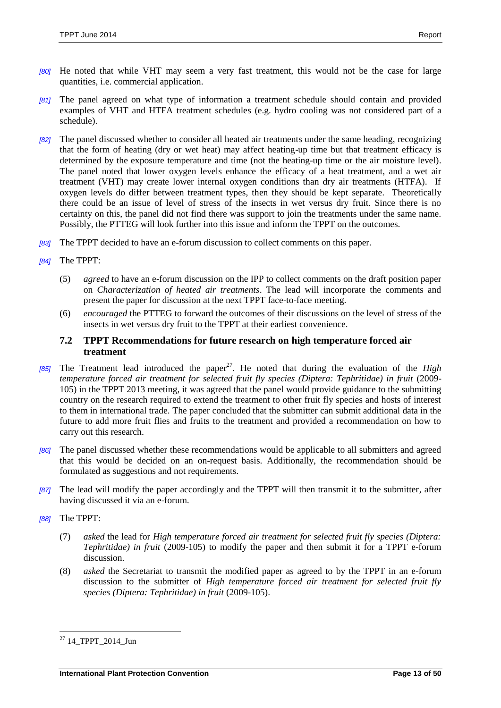- *[80]* He noted that while VHT may seem a very fast treatment, this would not be the case for large quantities, i.e. commercial application.
- *[81]* The panel agreed on what type of information a treatment schedule should contain and provided examples of VHT and HTFA treatment schedules (e.g. hydro cooling was not considered part of a schedule).
- *[82]* The panel discussed whether to consider all heated air treatments under the same heading, recognizing that the form of heating (dry or wet heat) may affect heating-up time but that treatment efficacy is determined by the exposure temperature and time (not the heating-up time or the air moisture level). The panel noted that lower oxygen levels enhance the efficacy of a heat treatment, and a wet air treatment (VHT) may create lower internal oxygen conditions than dry air treatments (HTFA). If oxygen levels do differ between treatment types, then they should be kept separate. Theoretically there could be an issue of level of stress of the insects in wet versus dry fruit. Since there is no certainty on this, the panel did not find there was support to join the treatments under the same name. Possibly, the PTTEG will look further into this issue and inform the TPPT on the outcomes.
- *[83]* The TPPT decided to have an e-forum discussion to collect comments on this paper.
- *[84]* The TPPT:
	- (5) *agreed* to have an e-forum discussion on the IPP to collect comments on the draft position paper on *Characterization of heated air treatments*. The lead will incorporate the comments and present the paper for discussion at the next TPPT face-to-face meeting.
	- (6) *encouraged* the PTTEG to forward the outcomes of their discussions on the level of stress of the insects in wet versus dry fruit to the TPPT at their earliest convenience.

#### **7.2 TPPT Recommendations for future research on high temperature forced air treatment**

- *[85]* The Treatment lead introduced the paper<sup>27</sup>. He noted that during the evaluation of the *High temperature forced air treatment for selected fruit fly species (Diptera: Tephritidae) in fruit (2009-*105) in the TPPT 2013 meeting, it was agreed that the panel would provide guidance to the submitting country on the research required to extend the treatment to other fruit fly species and hosts of interest to them in international trade. The paper concluded that the submitter can submit additional data in the future to add more fruit flies and fruits to the treatment and provided a recommendation on how to carry out this research.
- *[86]* The panel discussed whether these recommendations would be applicable to all submitters and agreed that this would be decided on an on-request basis. Additionally, the recommendation should be formulated as suggestions and not requirements.
- *[87]* The lead will modify the paper accordingly and the TPPT will then transmit it to the submitter, after having discussed it via an e-forum.
- *[88]* The TPPT:
	- (7) *asked* the lead for *High temperature forced air treatment for selected fruit fly species (Diptera: Tephritidae) in fruit* (2009-105) to modify the paper and then submit it for a TPPT e-forum discussion.
	- (8) *asked* the Secretariat to transmit the modified paper as agreed to by the TPPT in an e-forum discussion to the submitter of *High temperature forced air treatment for selected fruit fly species (Diptera: Tephritidae) in fruit* (2009-105).

 $\overline{a}$  $^{27}$  [14\\_TPPT\\_2014\\_Jun](https://www.ippc.int/work-area-pages/2014-bali-indonesia?order=field_agenda_item_no&sort=asc)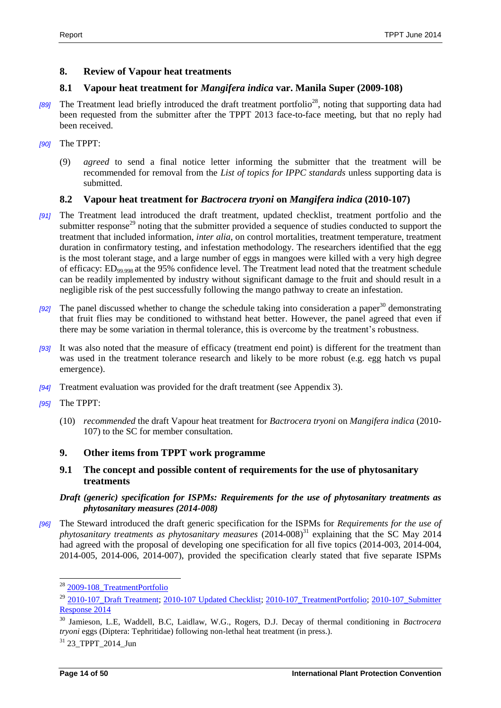## **8. Review of Vapour heat treatments**

## **8.1 Vapour heat treatment for** *Mangifera indica* **var. Manila Super (2009-108)**

- *[89]* The Treatment lead briefly introduced the draft treatment portfolio<sup>28</sup>, noting that supporting data had been requested from the submitter after the TPPT 2013 face-to-face meeting, but that no reply had been received.
- *[90]* The TPPT:
	- (9) *agreed* to send a final notice letter informing the submitter that the treatment will be recommended for removal from the *List of topics for IPPC standards* unless supporting data is submitted.

## **8.2 Vapour heat treatment for** *Bactrocera tryoni* **on** *Mangifera indica* **(2010-107)**

- *[91]* The Treatment lead introduced the draft treatment, updated checklist, treatment portfolio and the submitter response<sup>29</sup> noting that the submitter provided a sequence of studies conducted to support the treatment that included information, *inter alia*, on control mortalities, treatment temperature, treatment duration in confirmatory testing, and infestation methodology. The researchers identified that the egg is the most tolerant stage, and a large number of eggs in mangoes were killed with a very high degree of efficacy: ED99.998 at the 95% confidence level. The Treatment lead noted that the treatment schedule can be readily implemented by industry without significant damage to the fruit and should result in a negligible risk of the pest successfully following the mango pathway to create an infestation.
- *[92]* The panel discussed whether to change the schedule taking into consideration a paper<sup>30</sup> demonstrating that fruit flies may be conditioned to withstand heat better. However, the panel agreed that even if there may be some variation in thermal tolerance, this is overcome by the treatment's robustness.
- *[93]* It was also noted that the measure of efficacy (treatment end point) is different for the treatment than was used in the treatment tolerance research and likely to be more robust (e.g. egg hatch vs pupal emergence).
- *[94]* Treatment evaluation was provided for the draft treatment (see Appendix 3).
- *[95]* The TPPT:
	- (10) *recommended* the draft Vapour heat treatment for *Bactrocera tryoni* on *Mangifera indica* (2010- 107) to the SC for member consultation.

## **9. Other items from TPPT work programme**

**9.1 The concept and possible content of requirements for the use of phytosanitary treatments**

#### *Draft (generic) specification for ISPMs: Requirements for the use of phytosanitary treatments as phytosanitary measures (2014-008)*

*[96]* The Steward introduced the draft generic specification for the ISPMs for *Requirements for the use of phytosanitary treatments as phytosanitary measures* (2014-008)<sup>31</sup> explaining that the SC May 2014 had agreed with the proposal of developing one specification for all five topics (2014-003, 2014-004, 2014-005, 2014-006, 2014-007), provided the specification clearly stated that five separate ISPMs

l

<sup>&</sup>lt;sup>28</sup> [2009-108\\_TreatmentPortfolio](https://www.ippc.int/work-area-pages/draft-phytosanitary-treatments-and-relevant-documents)

<sup>&</sup>lt;sup>29</sup> 2010-107 Draft Treatment; 2010-107 Updated Checklist; 2010-107 TreatmentPortfolio; 2010-107 Submitter [Response 2014](https://www.ippc.int/work-area-pages/draft-phytosanitary-treatments-and-relevant-documents)

<sup>30</sup> Jamieson, L.E, Waddell, B.C, Laidlaw, W.G., Rogers, D.J. Decay of thermal conditioning in *Bactrocera tryoni* eggs (Diptera: Tephritidae) following non-lethal heat treatment (in press.).

 $31$  23 TPPT 2014 Jun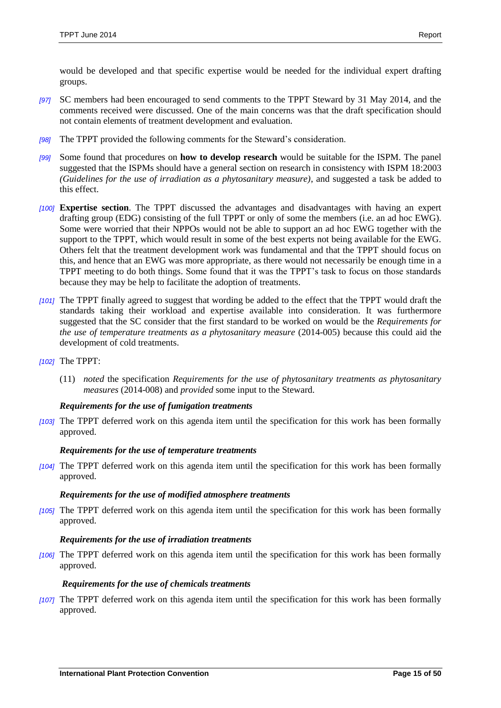would be developed and that specific expertise would be needed for the individual expert drafting groups.

- *[97]* SC members had been encouraged to send comments to the TPPT Steward by 31 May 2014, and the comments received were discussed. One of the main concerns was that the draft specification should not contain elements of treatment development and evaluation.
- *[98]* The TPPT provided the following comments for the Steward's consideration.
- *[99]* Some found that procedures on **how to develop research** would be suitable for the ISPM. The panel suggested that the ISPMs should have a general section on research in consistency with ISPM 18:2003 *(Guidelines for the use of irradiation as a phytosanitary measure)*, and suggested a task be added to this effect.
- *[100]* **Expertise section**. The TPPT discussed the advantages and disadvantages with having an expert drafting group (EDG) consisting of the full TPPT or only of some the members (i.e. an ad hoc EWG). Some were worried that their NPPOs would not be able to support an ad hoc EWG together with the support to the TPPT, which would result in some of the best experts not being available for the EWG. Others felt that the treatment development work was fundamental and that the TPPT should focus on this, and hence that an EWG was more appropriate, as there would not necessarily be enough time in a TPPT meeting to do both things. Some found that it was the TPPT's task to focus on those standards because they may be help to facilitate the adoption of treatments.
- *[101]* The TPPT finally agreed to suggest that wording be added to the effect that the TPPT would draft the standards taking their workload and expertise available into consideration. It was furthermore suggested that the SC consider that the first standard to be worked on would be the *Requirements for the use of temperature treatments as a phytosanitary measure* (2014-005) because this could aid the development of cold treatments.
- *[102]* The TPPT:
	- (11) *noted* the specification *Requirements for the use of phytosanitary treatments as phytosanitary measures* (2014-008) and *provided* some input to the Steward.

#### *Requirements for the use of fumigation treatments*

*[103]* The TPPT deferred work on this agenda item until the specification for this work has been formally approved.

#### *Requirements for the use of temperature treatments*

*[104]* The TPPT deferred work on this agenda item until the specification for this work has been formally approved.

#### *Requirements for the use of modified atmosphere treatments*

*[105]* The TPPT deferred work on this agenda item until the specification for this work has been formally approved.

#### *Requirements for the use of irradiation treatments*

*[106]* The TPPT deferred work on this agenda item until the specification for this work has been formally approved.

#### *Requirements for the use of chemicals treatments*

*[107]* The TPPT deferred work on this agenda item until the specification for this work has been formally approved.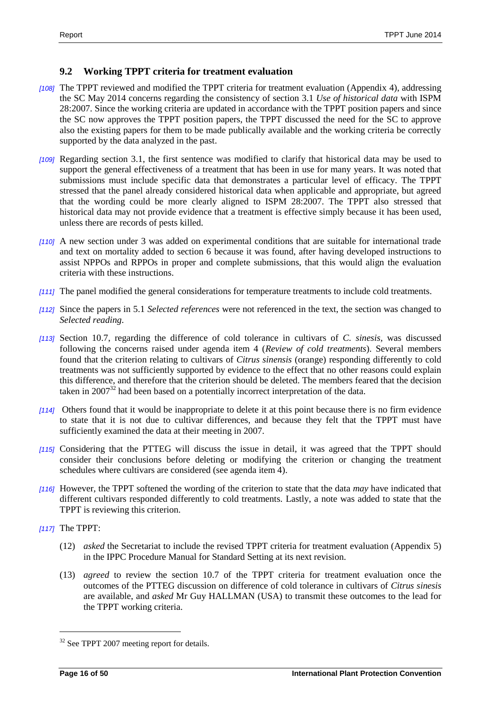## **9.2 Working TPPT criteria for treatment evaluation**

- *[108]* The TPPT reviewed and modified the TPPT criteria for treatment evaluation (Appendix 4), addressing the SC May 2014 concerns regarding the consistency of section 3.1 *Use of historical data* with ISPM 28:2007. Since the working criteria are updated in accordance with the TPPT position papers and since the SC now approves the TPPT position papers, the TPPT discussed the need for the SC to approve also the existing papers for them to be made publically available and the working criteria be correctly supported by the data analyzed in the past.
- *[109]* Regarding section 3.1, the first sentence was modified to clarify that historical data may be used to support the general effectiveness of a treatment that has been in use for many years. It was noted that submissions must include specific data that demonstrates a particular level of efficacy. The TPPT stressed that the panel already considered historical data when applicable and appropriate, but agreed that the wording could be more clearly aligned to ISPM 28:2007. The TPPT also stressed that historical data may not provide evidence that a treatment is effective simply because it has been used, unless there are records of pests killed.
- *[110]* A new section under 3 was added on experimental conditions that are suitable for international trade and text on mortality added to section 6 because it was found, after having developed instructions to assist NPPOs and RPPOs in proper and complete submissions, that this would align the evaluation criteria with these instructions.
- *[111]* The panel modified the general considerations for temperature treatments to include cold treatments.
- *[112]* Since the papers in 5.1 *Selected references* were not referenced in the text, the section was changed to *Selected reading*.
- *[113]* Section 10.7, regarding the difference of cold tolerance in cultivars of *C. sinesis,* was discussed following the concerns raised under agenda item 4 (*Review of cold treatments*). Several members found that the criterion relating to cultivars of *Citrus sinensis* (orange) responding differently to cold treatments was not sufficiently supported by evidence to the effect that no other reasons could explain this difference, and therefore that the criterion should be deleted. The members feared that the decision taken in 2007<sup>32</sup> had been based on a potentially incorrect interpretation of the data.
- *[114]* Others found that it would be inappropriate to delete it at this point because there is no firm evidence to state that it is not due to cultivar differences, and because they felt that the TPPT must have sufficiently examined the data at their meeting in 2007.
- *[115]* Considering that the PTTEG will discuss the issue in detail, it was agreed that the TPPT should consider their conclusions before deleting or modifying the criterion or changing the treatment schedules where cultivars are considered (see agenda item 4).
- *[116]* However, the TPPT softened the wording of the criterion to state that the data *may* have indicated that different cultivars responded differently to cold treatments. Lastly, a note was added to state that the TPPT is reviewing this criterion.
- *[117]* The TPPT:

 $\overline{a}$ 

- (12) *asked* the Secretariat to include the revised TPPT criteria for treatment evaluation (Appendix 5) in the IPPC Procedure Manual for Standard Setting at its next revision.
- (13) *agreed* to review the section 10.7 of the TPPT criteria for treatment evaluation once the outcomes of the PTTEG discussion on difference of cold tolerance in cultivars of *Citrus sinesis*  are available, and *asked* Mr Guy HALLMAN (USA) to transmit these outcomes to the lead for the TPPT working criteria.

<sup>&</sup>lt;sup>32</sup> See TPPT 2007 meeting report for details.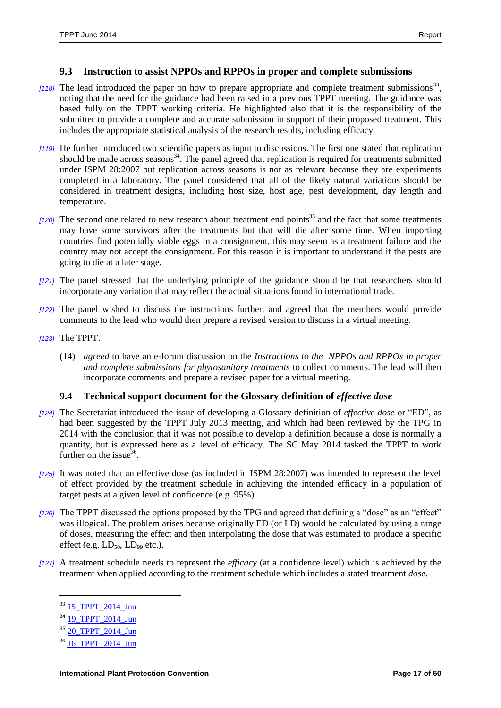#### **9.3 Instruction to assist NPPOs and RPPOs in proper and complete submissions**

- [118] The lead introduced the paper on how to prepare appropriate and complete treatment submissions<sup>33</sup>, noting that the need for the guidance had been raised in a previous TPPT meeting. The guidance was based fully on the TPPT working criteria. He highlighted also that it is the responsibility of the submitter to provide a complete and accurate submission in support of their proposed treatment. This includes the appropriate statistical analysis of the research results, including efficacy.
- *[119]* He further introduced two scientific papers as input to discussions. The first one stated that replication should be made across seasons $34$ . The panel agreed that replication is required for treatments submitted under ISPM 28:2007 but replication across seasons is not as relevant because they are experiments completed in a laboratory. The panel considered that all of the likely natural variations should be considered in treatment designs, including host size, host age, pest development, day length and temperature.
- [120] The second one related to new research about treatment end points<sup>35</sup> and the fact that some treatments may have some survivors after the treatments but that will die after some time. When importing countries find potentially viable eggs in a consignment, this may seem as a treatment failure and the country may not accept the consignment. For this reason it is important to understand if the pests are going to die at a later stage.
- *[121]* The panel stressed that the underlying principle of the guidance should be that researchers should incorporate any variation that may reflect the actual situations found in international trade.
- *[122]* The panel wished to discuss the instructions further, and agreed that the members would provide comments to the lead who would then prepare a revised version to discuss in a virtual meeting.
- *[123]* The TPPT:
	- (14) *agreed* to have an e-forum discussion on the *Instructions to the NPPOs and RPPOs in proper and complete submissions for phytosanitary treatments* to collect comments. The lead will then incorporate comments and prepare a revised paper for a virtual meeting.

## **9.4 Technical support document for the Glossary definition of** *effective dose*

- *[124]* The Secretariat introduced the issue of developing a Glossary definition of *effective dose* or "ED", as had been suggested by the TPPT July 2013 meeting, and which had been reviewed by the TPG in 2014 with the conclusion that it was not possible to develop a definition because a dose is normally a quantity, but is expressed here as a level of efficacy. The SC May 2014 tasked the TPPT to work further on the issue $36$ .
- *[125]* It was noted that an effective dose (as included in ISPM 28:2007) was intended to represent the level of effect provided by the treatment schedule in achieving the intended efficacy in a population of target pests at a given level of confidence (e.g. 95%).
- *[126]* The TPPT discussed the options proposed by the TPG and agreed that defining a "dose" as an "effect" was illogical. The problem arises because originally ED (or LD) would be calculated by using a range of doses, measuring the effect and then interpolating the dose that was estimated to produce a specific effect (e.g.  $LD_{50}$ ,  $LD_{99}$  etc.).
- *[127]* A treatment schedule needs to represent the *efficacy* (at a confidence level) which is achieved by the treatment when applied according to the treatment schedule which includes a stated treatment *dose*.

 $\overline{\phantom{a}}$ 

<sup>&</sup>lt;sup>33</sup> 15 TPPT 2014\_Jun

<sup>&</sup>lt;sup>34</sup> 19 TPPT 2014 Jun

<sup>&</sup>lt;sup>35</sup> 20 TPPT 2014 Jun

 $36$  16 TPPT 2014 Jun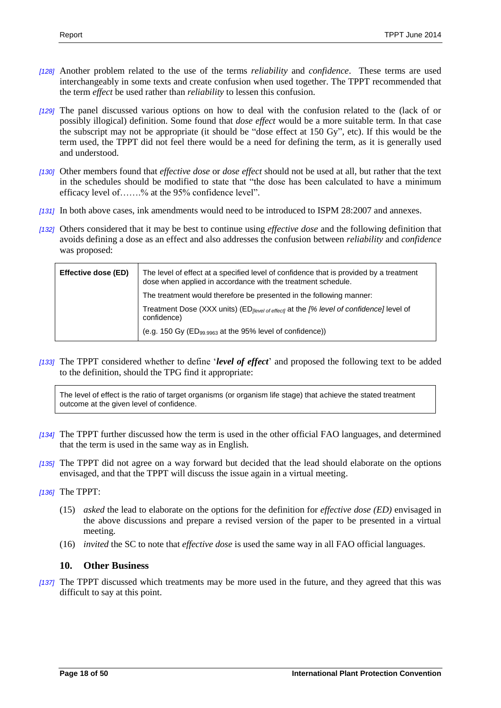- *[128]* Another problem related to the use of the terms *reliability* and *confidence*. These terms are used interchangeably in some texts and create confusion when used together. The TPPT recommended that the term *effect* be used rather than *reliability* to lessen this confusion.
- *[129]* The panel discussed various options on how to deal with the confusion related to the (lack of or possibly illogical) definition. Some found that *dose effect* would be a more suitable term. In that case the subscript may not be appropriate (it should be "dose effect at 150 Gy", etc). If this would be the term used, the TPPT did not feel there would be a need for defining the term, as it is generally used and understood.
- *[130]* Other members found that *effective dose* or *dose effect* should not be used at all, but rather that the text in the schedules should be modified to state that "the dose has been calculated to have a minimum efficacy level of…….% at the 95% confidence level".
- *[131]* In both above cases, ink amendments would need to be introduced to ISPM 28:2007 and annexes.
- *[132]* Others considered that it may be best to continue using *effective dose* and the following definition that avoids defining a dose as an effect and also addresses the confusion between *reliability* and *confidence* was proposed:

| Effective dose (ED) | The level of effect at a specified level of confidence that is provided by a treatment<br>dose when applied in accordance with the treatment schedule. |
|---------------------|--------------------------------------------------------------------------------------------------------------------------------------------------------|
|                     | The treatment would therefore be presented in the following manner:                                                                                    |
|                     | Treatment Dose (XXX units) (ED <sub>llevel of effect]</sub> at the [% level of confidence] level of<br>confidence)                                     |
|                     | (e.g. 150 Gy (ED <sub>99.9963</sub> at the 95% level of confidence))                                                                                   |

*[133]* The TPPT considered whether to define '*level of effect*' and proposed the following text to be added to the definition, should the TPG find it appropriate:

The level of effect is the ratio of target organisms (or organism life stage) that achieve the stated treatment outcome at the given level of confidence.

- *[134]* The TPPT further discussed how the term is used in the other official FAO languages, and determined that the term is used in the same way as in English.
- *[135]* The TPPT did not agree on a way forward but decided that the lead should elaborate on the options envisaged, and that the TPPT will discuss the issue again in a virtual meeting.
- *[136]* The TPPT:
	- (15) *asked* the lead to elaborate on the options for the definition for *effective dose (ED)* envisaged in the above discussions and prepare a revised version of the paper to be presented in a virtual meeting.
	- (16) *invited* the SC to note that *effective dose* is used the same way in all FAO official languages.

## **10. Other Business**

*[137]* The TPPT discussed which treatments may be more used in the future, and they agreed that this was difficult to say at this point.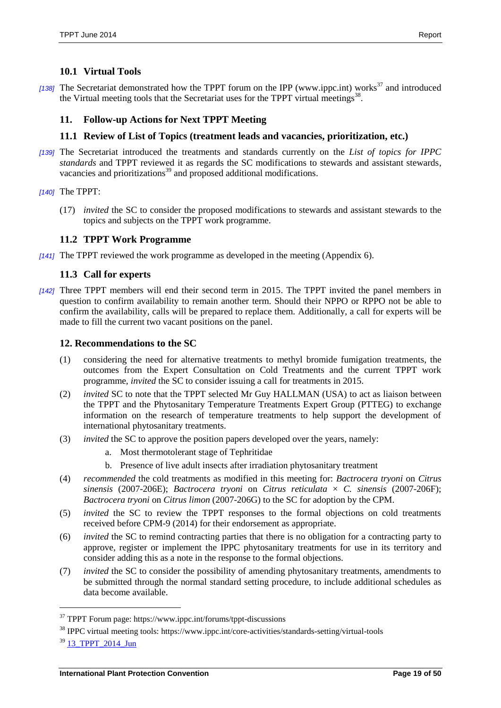#### **10.1 Virtual Tools**

[138] The Secretariat demonstrated how the TPPT forum on the IPP [\(www.ippc.int\)](http://www.ippc.int/) works<sup>37</sup> and introduced the Virtual meeting tools that the Secretariat uses for the TPPT virtual meetings<sup>38</sup>.

#### **11. Follow-up Actions for Next TPPT Meeting**

#### **11.1 Review of List of Topics (treatment leads and vacancies, prioritization, etc.)**

*[139]* The Secretariat introduced the treatments and standards currently on the *List of topics for IPPC standards* and TPPT reviewed it as regards the SC modifications to stewards and assistant stewards, vacancies and prioritizations<sup>39</sup> and proposed additional modifications.

*[140]* The TPPT:

(17) *invited* the SC to consider the proposed modifications to stewards and assistant stewards to the topics and subjects on the TPPT work programme.

#### **11.2 TPPT Work Programme**

*[141]* The TPPT reviewed the work programme as developed in the meeting (Appendix 6).

#### **11.3 Call for experts**

*[142]* Three TPPT members will end their second term in 2015. The TPPT invited the panel members in question to confirm availability to remain another term. Should their NPPO or RPPO not be able to confirm the availability, calls will be prepared to replace them. Additionally, a call for experts will be made to fill the current two vacant positions on the panel.

#### **12. Recommendations to the SC**

- (1) considering the need for alternative treatments to methyl bromide fumigation treatments, the outcomes from the Expert Consultation on Cold Treatments and the current TPPT work programme, *invited* the SC to consider issuing a call for treatments in 2015.
- (2) *invited* SC to note that the TPPT selected Mr Guy HALLMAN (USA) to act as liaison between the TPPT and the Phytosanitary Temperature Treatments Expert Group (PTTEG) to exchange information on the research of temperature treatments to help support the development of international phytosanitary treatments.
- (3) *invited* the SC to approve the position papers developed over the years, namely:
	- a. Most thermotolerant stage of Tephritidae
	- b. Presence of live adult insects after irradiation phytosanitary treatment
- (4) *recommended* the cold treatments as modified in this meeting for: *Bactrocera tryoni* on *Citrus sinensis* (2007-206E); *Bactrocera tryoni* on *Citrus reticulata* × *C. sinensis* (2007-206F); *Bactrocera tryoni* on *Citrus limon* (2007-206G) to the SC for adoption by the CPM.
- (5) *invited* the SC to review the TPPT responses to the formal objections on cold treatments received before CPM-9 (2014) for their endorsement as appropriate.
- (6) *invited* the SC to remind contracting parties that there is no obligation for a contracting party to approve, register or implement the IPPC phytosanitary treatments for use in its territory and consider adding this as a note in the response to the formal objections.
- (7) *invited* the SC to consider the possibility of amending phytosanitary treatments, amendments to be submitted through the normal standard setting procedure, to include additional schedules as data become available.

l

<sup>&</sup>lt;sup>37</sup> TPPT Forum page: https://www.ippc.int/forums/tppt-discussions

<sup>38</sup> IPPC virtual meeting tools: https://www.ippc.int/core-activities/standards-setting/virtual-tools

 $39$  13 TPPT 2014 Jun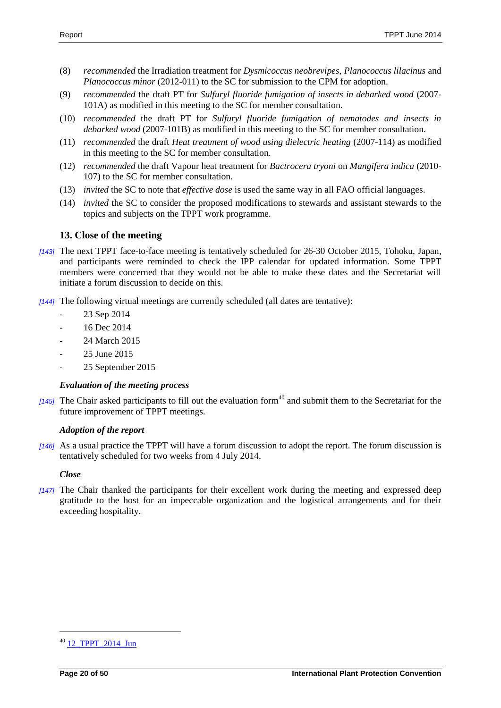- (8) *recommended* the Irradiation treatment for *Dysmicoccus neobrevipes*, *Planococcus lilacinus* and *Planococcus minor* (2012-011) to the SC for submission to the CPM for adoption.
- (9) *recommended* the draft PT for *Sulfuryl fluoride fumigation of insects in debarked wood* (2007- 101A) as modified in this meeting to the SC for member consultation.
- (10) *recommended* the draft PT for *Sulfuryl fluoride fumigation of nematodes and insects in debarked wood* (2007-101B) as modified in this meeting to the SC for member consultation.
- (11) *recommended* the draft *Heat treatment of wood using dielectric heating* (2007-114) as modified in this meeting to the SC for member consultation.
- (12) *recommended* the draft Vapour heat treatment for *Bactrocera tryoni* on *Mangifera indica* (2010- 107) to the SC for member consultation.
- (13) *invited* the SC to note that *effective dose* is used the same way in all FAO official languages.
- (14) *invited* the SC to consider the proposed modifications to stewards and assistant stewards to the topics and subjects on the TPPT work programme.

## **13. Close of the meeting**

- *[143]* The next TPPT face-to-face meeting is tentatively scheduled for 26-30 October 2015, Tohoku, Japan, and participants were reminded to check the IPP calendar for updated information. Some TPPT members were concerned that they would not be able to make these dates and the Secretariat will initiate a forum discussion to decide on this.
- *[144]* The following virtual meetings are currently scheduled (all dates are tentative):
	- 23 Sep 2014
	- 16 Dec 2014
	- 24 March 2015
	- 25 June 2015
	- 25 September 2015

## *Evaluation of the meeting process*

 $[145]$  The Chair asked participants to fill out the evaluation form<sup>40</sup> and submit them to the Secretariat for the future improvement of TPPT meetings.

## *Adoption of the report*

*[146]* As a usual practice the TPPT will have a forum discussion to adopt the report. The forum discussion is tentatively scheduled for two weeks from 4 July 2014.

#### *Close*

*[147]* The Chair thanked the participants for their excellent work during the meeting and expressed deep gratitude to the host for an impeccable organization and the logistical arrangements and for their exceeding hospitality.

 $\overline{a}$ 

<sup>&</sup>lt;sup>40</sup> 12 TPPT 2014 Jun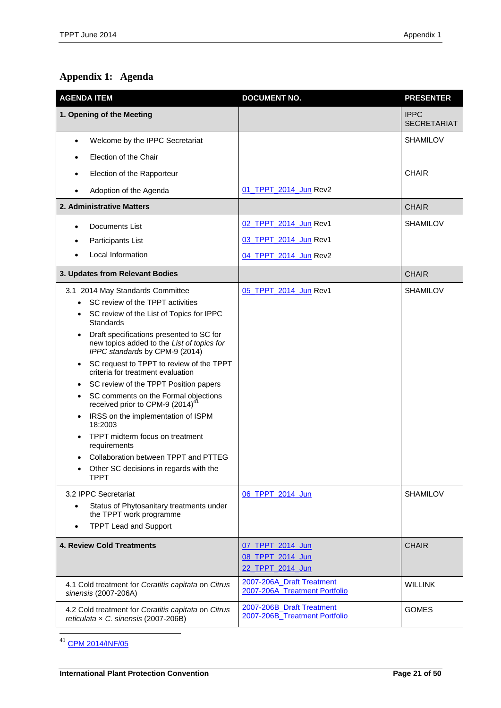# <span id="page-20-0"></span>**Appendix 1: Agenda**

| <b>AGENDA ITEM</b>                                                                                                       | <b>DOCUMENT NO.</b>                                        | <b>PRESENTER</b>                  |
|--------------------------------------------------------------------------------------------------------------------------|------------------------------------------------------------|-----------------------------------|
| 1. Opening of the Meeting                                                                                                |                                                            | <b>IPPC</b><br><b>SECRETARIAT</b> |
| Welcome by the IPPC Secretariat<br>$\bullet$                                                                             |                                                            | <b>SHAMILOV</b>                   |
| Election of the Chair                                                                                                    |                                                            |                                   |
| Election of the Rapporteur                                                                                               |                                                            | <b>CHAIR</b>                      |
| Adoption of the Agenda                                                                                                   | 01 TPPT 2014 Jun Rev2                                      |                                   |
| 2. Administrative Matters                                                                                                |                                                            | <b>CHAIR</b>                      |
| Documents List                                                                                                           | 02_TPPT_2014_Jun Rev1                                      | <b>SHAMILOV</b>                   |
| Participants List                                                                                                        | 03_TPPT_2014_Jun Rev1                                      |                                   |
| Local Information                                                                                                        | 04 TPPT 2014 Jun Rev2                                      |                                   |
| 3. Updates from Relevant Bodies                                                                                          |                                                            | <b>CHAIR</b>                      |
| 3.1 2014 May Standards Committee                                                                                         | 05_TPPT_2014_Jun Rev1                                      | <b>SHAMILOV</b>                   |
| SC review of the TPPT activities                                                                                         |                                                            |                                   |
| SC review of the List of Topics for IPPC<br>Standards                                                                    |                                                            |                                   |
| Draft specifications presented to SC for<br>new topics added to the List of topics for<br>IPPC standards by CPM-9 (2014) |                                                            |                                   |
| SC request to TPPT to review of the TPPT<br>criteria for treatment evaluation                                            |                                                            |                                   |
| SC review of the TPPT Position papers<br>٠                                                                               |                                                            |                                   |
| SC comments on the Formal objections<br>٠<br>received prior to CPM-9 (2014) <sup>41</sup>                                |                                                            |                                   |
| IRSS on the implementation of ISPM<br>$\bullet$<br>18:2003                                                               |                                                            |                                   |
| TPPT midterm focus on treatment<br>requirements                                                                          |                                                            |                                   |
| Collaboration between TPPT and PTTEG                                                                                     |                                                            |                                   |
| Other SC decisions in regards with the<br><b>TPPT</b>                                                                    |                                                            |                                   |
| 3.2 IPPC Secretariat                                                                                                     | 06 TPPT 2014 Jun                                           | <b>SHAMILOV</b>                   |
| Status of Phytosanitary treatments under<br>the TPPT work programme                                                      |                                                            |                                   |
| <b>TPPT Lead and Support</b><br>$\bullet$                                                                                |                                                            |                                   |
| <b>4. Review Cold Treatments</b>                                                                                         | 07_TPPT_2014_Jun<br>08 TPPT 2014 Jun<br>22 TPPT 2014 Jun   | <b>CHAIR</b>                      |
| 4.1 Cold treatment for Ceratitis capitata on Citrus<br>sinensis (2007-206A)                                              | 2007-206A Draft Treatment<br>2007-206A Treatment Portfolio | <b>WILLINK</b>                    |
| 4.2 Cold treatment for Ceratitis capitata on Citrus<br>reticulata x C. sinensis (2007-206B)                              | 2007-206B_Draft Treatment<br>2007-206B_Treatment Portfolio | <b>GOMES</b>                      |

<sup>41</sup> [CPM 2014/INF/05](https://www.ippc.int/sites/default/files/documents/20140318/cpm_2014_inf_05_formal_objections_draft_ispms_cpm2014_en_2014_03_18_201403181700--1.69%20MB.pdf)

 $\overline{\phantom{a}}$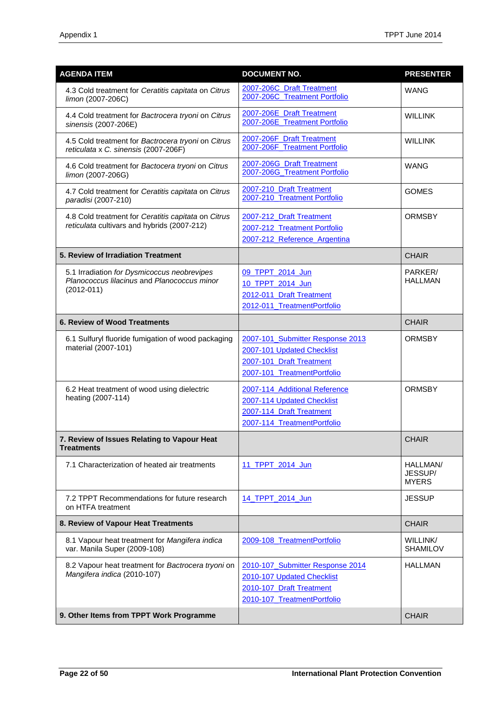| <b>AGENDA ITEM</b>                                                                                           | <b>DOCUMENT NO.</b>                                                                                                       | <b>PRESENTER</b>                    |
|--------------------------------------------------------------------------------------------------------------|---------------------------------------------------------------------------------------------------------------------------|-------------------------------------|
| 4.3 Cold treatment for Ceratitis capitata on Citrus<br>limon (2007-206C)                                     | 2007-206C Draft Treatment<br>2007-206C_Treatment Portfolio                                                                | <b>WANG</b>                         |
| 4.4 Cold treatment for Bactrocera tryoni on Citrus<br>sinensis (2007-206E)                                   | 2007-206E Draft Treatment<br>2007-206E_Treatment Portfolio                                                                | <b>WILLINK</b>                      |
| 4.5 Cold treatment for Bactrocera tryoni on Citrus<br>reticulata x C. sinensis (2007-206F)                   | 2007-206F_Draft Treatment<br>2007-206F_Treatment Portfolio                                                                | <b>WILLINK</b>                      |
| 4.6 Cold treatment for Bactocera tryoni on Citrus<br>limon (2007-206G)                                       | 2007-206G Draft Treatment<br>2007-206G_Treatment Portfolio                                                                | <b>WANG</b>                         |
| 4.7 Cold treatment for Ceratitis capitata on Citrus<br>paradisi (2007-210)                                   | 2007-210 Draft Treatment<br>2007-210 Treatment Portfolio                                                                  | <b>GOMES</b>                        |
| 4.8 Cold treatment for Ceratitis capitata on Citrus<br>reticulata cultivars and hybrids (2007-212)           | 2007-212 Draft Treatment<br>2007-212 Treatment Portfolio<br>2007-212_Reference_Argentina                                  | <b>ORMSBY</b>                       |
| 5. Review of Irradiation Treatment                                                                           |                                                                                                                           | <b>CHAIR</b>                        |
| 5.1 Irradiation for Dysmicoccus neobrevipes<br>Planococcus lilacinus and Planococcus minor<br>$(2012 - 011)$ | 09_TPPT_2014_Jun<br>10_TPPT_2014_Jun<br>2012-011 Draft Treatment<br>2012-011_TreatmentPortfolio                           | PARKER/<br><b>HALLMAN</b>           |
| <b>6. Review of Wood Treatments</b>                                                                          |                                                                                                                           | <b>CHAIR</b>                        |
| 6.1 Sulfuryl fluoride fumigation of wood packaging<br>material (2007-101)                                    | 2007-101 Submitter Response 2013<br>2007-101 Updated Checklist<br>2007-101_Draft Treatment<br>2007-101_TreatmentPortfolio | <b>ORMSBY</b>                       |
| 6.2 Heat treatment of wood using dielectric<br>heating (2007-114)                                            | 2007-114_Additional Reference<br>2007-114 Updated Checklist<br>2007-114_Draft Treatment<br>2007-114 TreatmentPortfolio    | <b>ORMSBY</b>                       |
| 7. Review of Issues Relating to Vapour Heat<br><b>Treatments</b>                                             |                                                                                                                           | <b>CHAIR</b>                        |
| 7.1 Characterization of heated air treatments                                                                | 11_TPPT_2014_Jun                                                                                                          | HALLMAN/<br>JESSUP/<br><b>MYERS</b> |
| 7.2 TPPT Recommendations for future research<br>on HTFA treatment                                            | 14 TPPT 2014 Jun                                                                                                          | <b>JESSUP</b>                       |
| 8. Review of Vapour Heat Treatments                                                                          |                                                                                                                           | <b>CHAIR</b>                        |
| 8.1 Vapour heat treatment for Mangifera indica<br>var. Manila Super (2009-108)                               | 2009-108_TreatmentPortfolio                                                                                               | WILLINK/<br><b>SHAMILOV</b>         |
| 8.2 Vapour heat treatment for Bactrocera tryoni on<br>Mangifera indica (2010-107)                            | 2010-107 Submitter Response 2014<br>2010-107 Updated Checklist<br>2010-107 Draft Treatment<br>2010-107_TreatmentPortfolio | <b>HALLMAN</b>                      |
| 9. Other Items from TPPT Work Programme                                                                      |                                                                                                                           | <b>CHAIR</b>                        |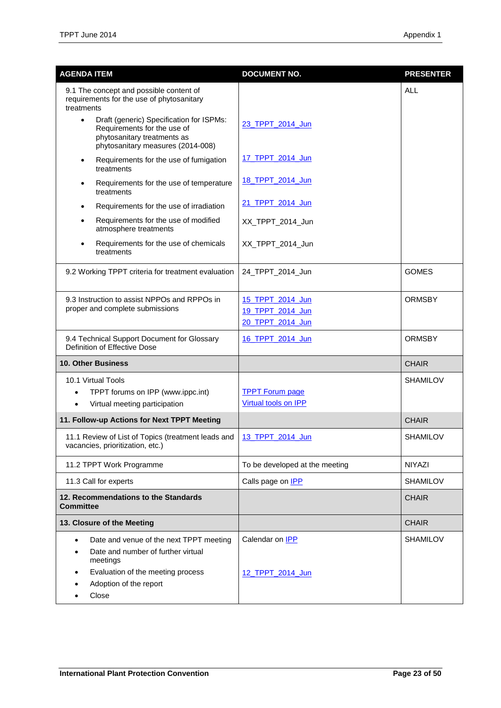| <b>AGENDA ITEM</b>                                                                                                                                       | <b>DOCUMENT NO.</b>                        | <b>PRESENTER</b> |
|----------------------------------------------------------------------------------------------------------------------------------------------------------|--------------------------------------------|------------------|
| 9.1 The concept and possible content of<br>requirements for the use of phytosanitary<br>treatments                                                       |                                            | <b>ALL</b>       |
| Draft (generic) Specification for ISPMs:<br>$\bullet$<br>Requirements for the use of<br>phytosanitary treatments as<br>phytosanitary measures (2014-008) | 23 TPPT 2014 Jun                           |                  |
| Requirements for the use of fumigation<br>$\bullet$<br>treatments                                                                                        | 17 TPPT 2014 Jun                           |                  |
| Requirements for the use of temperature<br>treatments                                                                                                    | 18 TPPT 2014 Jun                           |                  |
| Requirements for the use of irradiation                                                                                                                  | 21_TPPT_2014_Jun                           |                  |
| Requirements for the use of modified<br>atmosphere treatments                                                                                            | XX_TPPT_2014_Jun                           |                  |
| Requirements for the use of chemicals<br>treatments                                                                                                      | XX_TPPT_2014_Jun                           |                  |
| 9.2 Working TPPT criteria for treatment evaluation                                                                                                       | 24_TPPT_2014_Jun                           | <b>GOMES</b>     |
| 9.3 Instruction to assist NPPOs and RPPOs in                                                                                                             | 15 TPPT 2014 Jun                           | <b>ORMSBY</b>    |
| proper and complete submissions                                                                                                                          | 19 TPPT 2014 Jun                           |                  |
|                                                                                                                                                          | 20_TPPT_2014_Jun                           |                  |
| 9.4 Technical Support Document for Glossary<br>Definition of Effective Dose                                                                              | 16 TPPT 2014 Jun                           | <b>ORMSBY</b>    |
| <b>10. Other Business</b>                                                                                                                                |                                            | <b>CHAIR</b>     |
| 10.1 Virtual Tools                                                                                                                                       |                                            | <b>SHAMILOV</b>  |
| TPPT forums on IPP (www.ippc.int)                                                                                                                        | <b>TPPT Forum page</b>                     |                  |
| Virtual meeting participation<br>$\bullet$                                                                                                               | Virtual tools on IPP                       |                  |
| 11. Follow-up Actions for Next TPPT Meeting                                                                                                              |                                            | <b>CHAIR</b>     |
| 11.1 Review of List of Topics (treatment leads and<br>vacancies, prioritization, etc.)                                                                   | 13_TPPT_2014_Jun                           | <b>SHAMILOV</b>  |
| 11.2 TPPT Work Programme                                                                                                                                 | To be developed at the meeting             | <b>NIYAZI</b>    |
| 11.3 Call for experts                                                                                                                                    | Calls page on <b>IPP</b>                   | <b>SHAMILOV</b>  |
| 12. Recommendations to the Standards<br><b>Committee</b>                                                                                                 |                                            | <b>CHAIR</b>     |
| 13. Closure of the Meeting                                                                                                                               |                                            | <b>CHAIR</b>     |
| Date and venue of the next TPPT meeting<br>Date and number of further virtual<br>meetings<br>Evaluation of the meeting process<br>Adoption of the report | Calendar on <b>IPP</b><br>12 TPPT 2014 Jun | <b>SHAMILOV</b>  |
| Close                                                                                                                                                    |                                            |                  |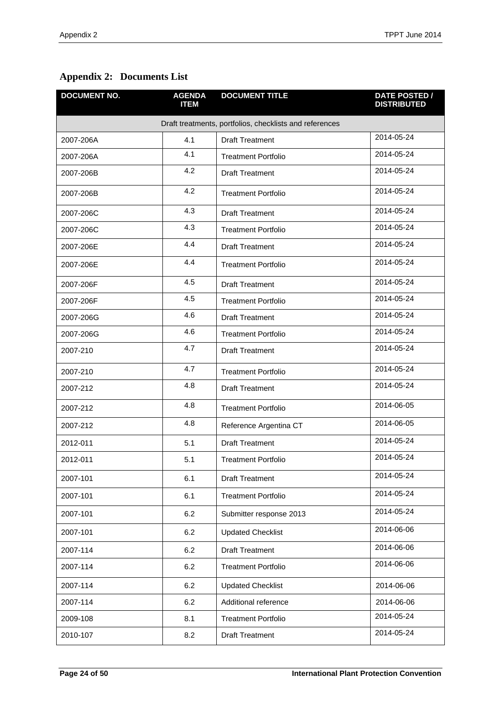| <b>DOCUMENT NO.</b> | <b>AGENDA</b><br><b>ITEM</b> | <b>DOCUMENT TITLE</b>                                   | <b>DATE POSTED /</b><br><b>DISTRIBUTED</b> |
|---------------------|------------------------------|---------------------------------------------------------|--------------------------------------------|
|                     |                              | Draft treatments, portfolios, checklists and references |                                            |
| 2007-206A           | 4.1                          | <b>Draft Treatment</b>                                  | 2014-05-24                                 |
| 2007-206A           | 4.1                          | <b>Treatment Portfolio</b>                              | 2014-05-24                                 |
| 2007-206B           | 4.2                          | <b>Draft Treatment</b>                                  | 2014-05-24                                 |
| 2007-206B           | 4.2                          | <b>Treatment Portfolio</b>                              | 2014-05-24                                 |
| 2007-206C           | 4.3                          | <b>Draft Treatment</b>                                  | 2014-05-24                                 |
| 2007-206C           | 4.3                          | <b>Treatment Portfolio</b>                              | 2014-05-24                                 |
| 2007-206E           | 4.4                          | <b>Draft Treatment</b>                                  | 2014-05-24                                 |
| 2007-206E           | 4.4                          | <b>Treatment Portfolio</b>                              | 2014-05-24                                 |
| 2007-206F           | 4.5                          | <b>Draft Treatment</b>                                  | 2014-05-24                                 |
| 2007-206F           | 4.5                          | <b>Treatment Portfolio</b>                              | 2014-05-24                                 |
| 2007-206G           | 4.6                          | <b>Draft Treatment</b>                                  | 2014-05-24                                 |
| 2007-206G           | 4.6                          | <b>Treatment Portfolio</b>                              | 2014-05-24                                 |
| 2007-210            | 4.7                          | <b>Draft Treatment</b>                                  | 2014-05-24                                 |
| 2007-210            | 4.7                          | <b>Treatment Portfolio</b>                              | 2014-05-24                                 |
| 2007-212            | 4.8                          | <b>Draft Treatment</b>                                  | 2014-05-24                                 |
| 2007-212            | 4.8                          | <b>Treatment Portfolio</b>                              | 2014-06-05                                 |
| 2007-212            | 4.8                          | Reference Argentina CT                                  | 2014-06-05                                 |
| 2012-011            | 5.1                          | <b>Draft Treatment</b>                                  | 2014-05-24                                 |
| 2012-011            | 5.1                          | <b>Treatment Portfolio</b>                              | 2014-05-24                                 |
| 2007-101            | 6.1                          | <b>Draft Treatment</b>                                  | 2014-05-24                                 |
| 2007-101            | 6.1                          | <b>Treatment Portfolio</b>                              | 2014-05-24                                 |
| 2007-101            | 6.2                          | Submitter response 2013                                 | 2014-05-24                                 |
| 2007-101            | 6.2                          | <b>Updated Checklist</b>                                | 2014-06-06                                 |
| 2007-114            | 6.2                          | <b>Draft Treatment</b>                                  | 2014-06-06                                 |
| 2007-114            | 6.2                          | <b>Treatment Portfolio</b>                              | 2014-06-06                                 |
| 2007-114            | 6.2                          | <b>Updated Checklist</b>                                | 2014-06-06                                 |
| 2007-114            | 6.2                          | Additional reference                                    | 2014-06-06                                 |
| 2009-108            | 8.1                          | <b>Treatment Portfolio</b>                              | 2014-05-24                                 |
| 2010-107            | 8.2                          | <b>Draft Treatment</b>                                  | 2014-05-24                                 |

## <span id="page-23-0"></span>**Appendix 2: Documents List**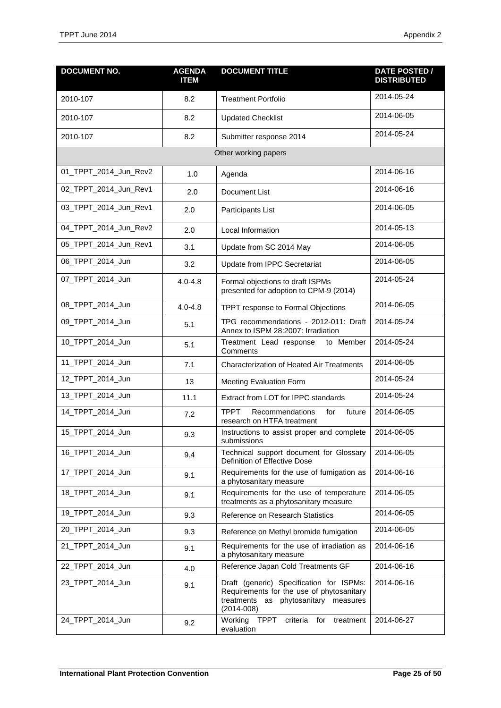| <b>DOCUMENT NO.</b>   | <b>AGENDA</b><br><b>ITEM</b> | <b>DOCUMENT TITLE</b>                                                                                                                           | <b>DATE POSTED /</b><br><b>DISTRIBUTED</b> |
|-----------------------|------------------------------|-------------------------------------------------------------------------------------------------------------------------------------------------|--------------------------------------------|
| 2010-107              | 8.2                          | <b>Treatment Portfolio</b>                                                                                                                      | 2014-05-24                                 |
| 2010-107              | 8.2                          | <b>Updated Checklist</b>                                                                                                                        | 2014-06-05                                 |
| 2010-107              | 8.2                          | Submitter response 2014                                                                                                                         | 2014-05-24                                 |
|                       |                              | Other working papers                                                                                                                            |                                            |
| 01_TPPT_2014_Jun_Rev2 | 1.0                          | Agenda                                                                                                                                          | 2014-06-16                                 |
| 02_TPPT_2014_Jun_Rev1 | 2.0                          | Document List                                                                                                                                   | 2014-06-16                                 |
| 03_TPPT_2014_Jun_Rev1 | 2.0                          | Participants List                                                                                                                               | 2014-06-05                                 |
| 04_TPPT_2014_Jun_Rev2 | 2.0                          | Local Information                                                                                                                               | 2014-05-13                                 |
| 05_TPPT_2014_Jun_Rev1 | 3.1                          | Update from SC 2014 May                                                                                                                         | 2014-06-05                                 |
| 06_TPPT_2014_Jun      | 3.2                          | Update from IPPC Secretariat                                                                                                                    | 2014-06-05                                 |
| 07_TPPT_2014_Jun      | $4.0 - 4.8$                  | Formal objections to draft ISPMs<br>presented for adoption to CPM-9 (2014)                                                                      | 2014-05-24                                 |
| 08_TPPT_2014_Jun      | $4.0 - 4.8$                  | TPPT response to Formal Objections                                                                                                              | 2014-06-05                                 |
| 09_TPPT_2014_Jun      | 5.1                          | TPG recommendations - 2012-011: Draft<br>Annex to ISPM 28:2007: Irradiation                                                                     | 2014-05-24                                 |
| 10_TPPT_2014_Jun      | 5.1                          | Treatment Lead response<br>to Member<br>Comments                                                                                                | 2014-05-24                                 |
| 11_TPPT_2014_Jun      | 7.1                          | <b>Characterization of Heated Air Treatments</b>                                                                                                | 2014-06-05                                 |
| 12_TPPT_2014_Jun      | 13                           | Meeting Evaluation Form                                                                                                                         | 2014-05-24                                 |
| 13_TPPT_2014_Jun      | 11.1                         | Extract from LOT for IPPC standards                                                                                                             | 2014-05-24                                 |
| 14_TPPT_2014_Jun      | 7.2                          | <b>TPPT</b><br>Recommendations<br>for<br>future<br>research on HTFA treatment                                                                   | 2014-06-05                                 |
| 15_TPPT_2014_Jun      | 9.3                          | Instructions to assist proper and complete<br>submissions                                                                                       | 2014-06-05                                 |
| 16_TPPT_2014_Jun      | 9.4                          | Technical support document for Glossary<br>Definition of Effective Dose                                                                         | 2014-06-05                                 |
| 17_TPPT_2014_Jun      | 9.1                          | Requirements for the use of fumigation as<br>a phytosanitary measure                                                                            | 2014-06-16                                 |
| 18_TPPT_2014_Jun      | 9.1                          | Requirements for the use of temperature<br>treatments as a phytosanitary measure                                                                | 2014-06-05                                 |
| 19_TPPT_2014_Jun      | 9.3                          | Reference on Research Statistics                                                                                                                | 2014-06-05                                 |
| 20_TPPT_2014_Jun      | 9.3                          | Reference on Methyl bromide fumigation                                                                                                          | 2014-06-05                                 |
| 21_TPPT_2014_Jun      | 9.1                          | Requirements for the use of irradiation as<br>a phytosanitary measure                                                                           | 2014-06-16                                 |
| 22_TPPT_2014_Jun      | 4.0                          | Reference Japan Cold Treatments GF                                                                                                              | 2014-06-16                                 |
| 23_TPPT_2014_Jun      | 9.1                          | Draft (generic) Specification for ISPMs:<br>Requirements for the use of phytosanitary<br>treatments as phytosanitary measures<br>$(2014 - 008)$ | 2014-06-16                                 |
| 24_TPPT_2014_Jun      | 9.2                          | Working<br>TPPT<br>criteria for<br>treatment<br>evaluation                                                                                      | 2014-06-27                                 |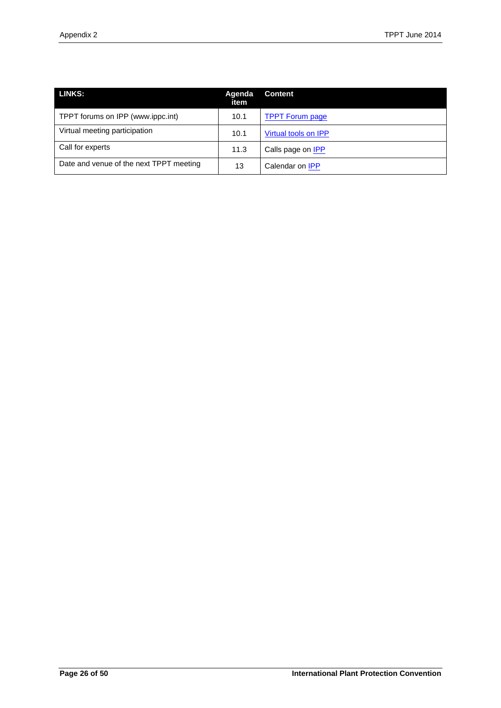| <b>LINKS:</b>                           | Agenda<br>item | <b>Content</b>           |
|-----------------------------------------|----------------|--------------------------|
| TPPT forums on IPP (www.ippc.int)       | 10.1           | <b>TPPT Forum page</b>   |
| Virtual meeting participation           | 10.1           | Virtual tools on IPP     |
| Call for experts                        | 11.3           | Calls page on <b>IPP</b> |
| Date and venue of the next TPPT meeting | 13             | Calendar on <b>IPP</b>   |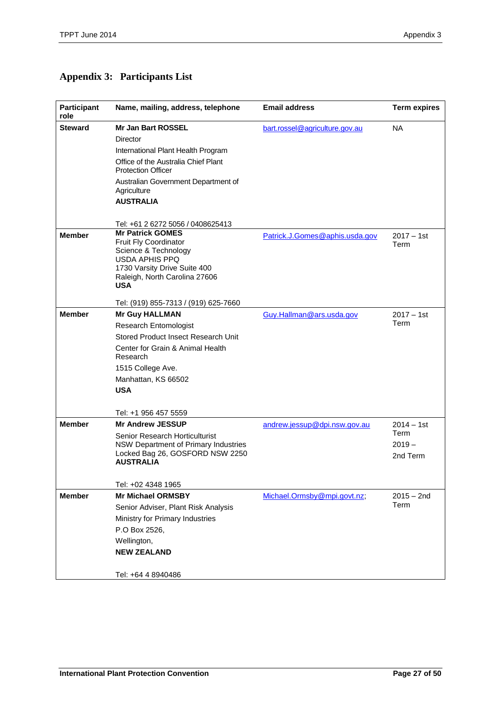<span id="page-26-0"></span>

|  | <b>Appendix 3: Participants List</b> |
|--|--------------------------------------|
|--|--------------------------------------|

| Participant<br>role | Name, mailing, address, telephone                                | <b>Email address</b>           | <b>Term expires</b> |
|---------------------|------------------------------------------------------------------|--------------------------------|---------------------|
| <b>Steward</b>      | Mr Jan Bart ROSSEL                                               | bart.rossel@agriculture.gov.au | <b>NA</b>           |
|                     | Director                                                         |                                |                     |
|                     | International Plant Health Program                               |                                |                     |
|                     | Office of the Australia Chief Plant<br><b>Protection Officer</b> |                                |                     |
|                     | Australian Government Department of<br>Agriculture               |                                |                     |
|                     | <b>AUSTRALIA</b>                                                 |                                |                     |
|                     |                                                                  |                                |                     |
|                     | Tel: +61 2 6272 5056 / 0408625413                                |                                |                     |
| <b>Member</b>       | <b>Mr Patrick GOMES</b>                                          | Patrick.J.Gomes@aphis.usda.gov | $2017 - 1st$        |
|                     | Fruit Fly Coordinator<br>Science & Technology                    |                                | Term                |
|                     | <b>USDA APHIS PPQ</b>                                            |                                |                     |
|                     | 1730 Varsity Drive Suite 400                                     |                                |                     |
|                     | Raleigh, North Carolina 27606<br><b>USA</b>                      |                                |                     |
|                     | Tel: (919) 855-7313 / (919) 625-7660                             |                                |                     |
| <b>Member</b>       | <b>Mr Guy HALLMAN</b>                                            | Guy.Hallman@ars.usda.gov       | $2017 - 1st$        |
|                     | Research Entomologist                                            |                                | Term                |
|                     | Stored Product Insect Research Unit                              |                                |                     |
|                     | Center for Grain & Animal Health<br>Research                     |                                |                     |
|                     | 1515 College Ave.                                                |                                |                     |
|                     | Manhattan, KS 66502                                              |                                |                     |
|                     | <b>USA</b>                                                       |                                |                     |
|                     |                                                                  |                                |                     |
|                     | Tel: +1 956 457 5559                                             |                                |                     |
| <b>Member</b>       | <b>Mr Andrew JESSUP</b>                                          | andrew.jessup@dpi.nsw.gov.au   | $2014 - 1st$        |
|                     | Senior Research Horticulturist                                   |                                | Term                |
|                     | NSW Department of Primary Industries                             |                                | $2019 -$            |
|                     | Locked Bag 26, GOSFORD NSW 2250<br><b>AUSTRALIA</b>              |                                | 2nd Term            |
|                     |                                                                  |                                |                     |
|                     | Tel: +02 4348 1965                                               |                                |                     |
| <b>Member</b>       | <b>Mr Michael ORMSBY</b>                                         | Michael.Ormsby@mpi.govt.nz;    | $2015 - 2nd$        |
|                     | Senior Adviser, Plant Risk Analysis                              |                                | Term                |
|                     | Ministry for Primary Industries                                  |                                |                     |
|                     | P.O Box 2526,                                                    |                                |                     |
|                     |                                                                  |                                |                     |
|                     | Wellington,<br><b>NEW ZEALAND</b>                                |                                |                     |
|                     |                                                                  |                                |                     |
|                     | Tel: +64 4 8940486                                               |                                |                     |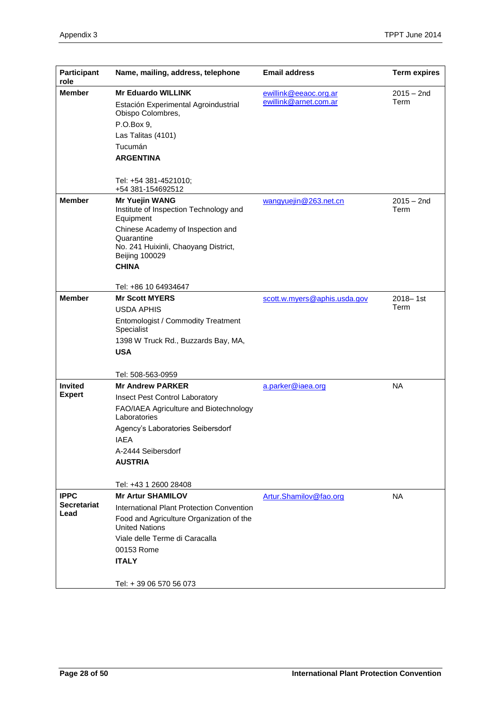| Participant<br>role | Name, mailing, address, telephone                                            | <b>Email address</b>                           | <b>Term expires</b>  |
|---------------------|------------------------------------------------------------------------------|------------------------------------------------|----------------------|
| <b>Member</b>       | <b>Mr Eduardo WILLINK</b>                                                    | ewillink@eeaoc.org.ar<br>ewillink@arnet.com.ar | $2015 - 2nd$<br>Term |
|                     | Estación Experimental Agroindustrial<br>Obispo Colombres,                    |                                                |                      |
|                     | P.O.Box 9.                                                                   |                                                |                      |
|                     | Las Talitas (4101)                                                           |                                                |                      |
|                     | Tucumán                                                                      |                                                |                      |
|                     | <b>ARGENTINA</b>                                                             |                                                |                      |
|                     | Tel: +54 381-4521010;<br>+54 381-154692512                                   |                                                |                      |
| <b>Member</b>       | <b>Mr Yuejin WANG</b><br>Institute of Inspection Technology and<br>Equipment | wangyuejin@263.net.cn                          | $2015 - 2nd$<br>Term |
|                     | Chinese Academy of Inspection and<br>Quarantine                              |                                                |                      |
|                     | No. 241 Huixinli, Chaoyang District,<br><b>Beijing 100029</b>                |                                                |                      |
|                     | <b>CHINA</b>                                                                 |                                                |                      |
|                     | Tel: +86 10 64934647                                                         |                                                |                      |
| <b>Member</b>       | <b>Mr Scott MYERS</b>                                                        | scott.w.myers@aphis.usda.gov                   | 2018-1st             |
|                     | <b>USDA APHIS</b>                                                            |                                                | Term                 |
|                     | Entomologist / Commodity Treatment<br>Specialist                             |                                                |                      |
|                     | 1398 W Truck Rd., Buzzards Bay, MA,                                          |                                                |                      |
|                     | <b>USA</b>                                                                   |                                                |                      |
|                     | Tel: 508-563-0959                                                            |                                                |                      |
| <b>Invited</b>      | <b>Mr Andrew PARKER</b>                                                      | a.parker@iaea.org                              | <b>NA</b>            |
| <b>Expert</b>       | Insect Pest Control Laboratory                                               |                                                |                      |
|                     | FAO/IAEA Agriculture and Biotechnology<br>Laboratories                       |                                                |                      |
|                     | Agency's Laboratories Seibersdorf                                            |                                                |                      |
|                     | <b>IAEA</b>                                                                  |                                                |                      |
|                     | A-2444 Seibersdorf                                                           |                                                |                      |
|                     | <b>AUSTRIA</b>                                                               |                                                |                      |
|                     | Tel: +43 1 2600 28408                                                        |                                                |                      |
| <b>IPPC</b>         | <b>Mr Artur SHAMILOV</b>                                                     | Artur.Shamilov@fao.org                         | <b>NA</b>            |
| <b>Secretariat</b>  | International Plant Protection Convention                                    |                                                |                      |
| Lead                | Food and Agriculture Organization of the<br><b>United Nations</b>            |                                                |                      |
|                     | Viale delle Terme di Caracalla                                               |                                                |                      |
|                     | 00153 Rome                                                                   |                                                |                      |
|                     | <b>ITALY</b>                                                                 |                                                |                      |
|                     | Tel: +39 06 570 56 073                                                       |                                                |                      |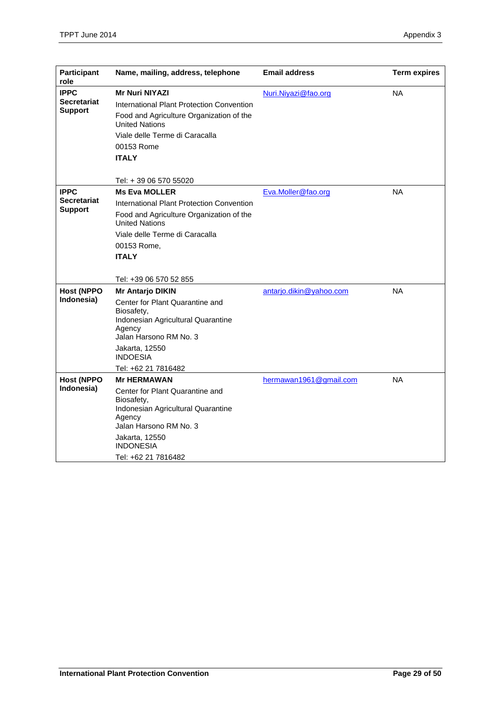| <b>Participant</b><br>role                          | Name, mailing, address, telephone                                                                                                                                                                                                 | <b>Email address</b>    | <b>Term expires</b> |
|-----------------------------------------------------|-----------------------------------------------------------------------------------------------------------------------------------------------------------------------------------------------------------------------------------|-------------------------|---------------------|
| <b>IPPC</b><br>Secretariat<br><b>Support</b>        | Mr Nuri NIYAZI<br>International Plant Protection Convention<br>Food and Agriculture Organization of the<br><b>United Nations</b><br>Viale delle Terme di Caracalla<br>00153 Rome<br><b>ITALY</b>                                  | Nuri.Niyazi@fao.org     | <b>NA</b>           |
| <b>IPPC</b><br><b>Secretariat</b><br><b>Support</b> | Tel: + 39 06 570 55020<br><b>Ms Eva MOLLER</b><br>International Plant Protection Convention<br>Food and Agriculture Organization of the<br><b>United Nations</b><br>Viale delle Terme di Caracalla<br>00153 Rome,<br><b>ITALY</b> | Eva.Moller@fao.org      | <b>NA</b>           |
| <b>Host (NPPO</b><br>Indonesia)                     | Tel: +39 06 570 52 855<br><b>Mr Antarjo DIKIN</b><br>Center for Plant Quarantine and<br>Biosafety,<br>Indonesian Agricultural Quarantine<br>Agency<br>Jalan Harsono RM No. 3<br>Jakarta, 12550<br>INDOESIA<br>Tel: +62 21 7816482 | antarjo.dikin@yahoo.com | <b>NA</b>           |
| <b>Host (NPPO</b><br>Indonesia)                     | <b>Mr HERMAWAN</b><br>Center for Plant Quarantine and<br>Biosafety,<br>Indonesian Agricultural Quarantine<br>Agency<br>Jalan Harsono RM No. 3<br>Jakarta, 12550<br><b>INDONESIA</b><br>Tel: +62 21 7816482                        | hermawan1961@gmail.com  | <b>NA</b>           |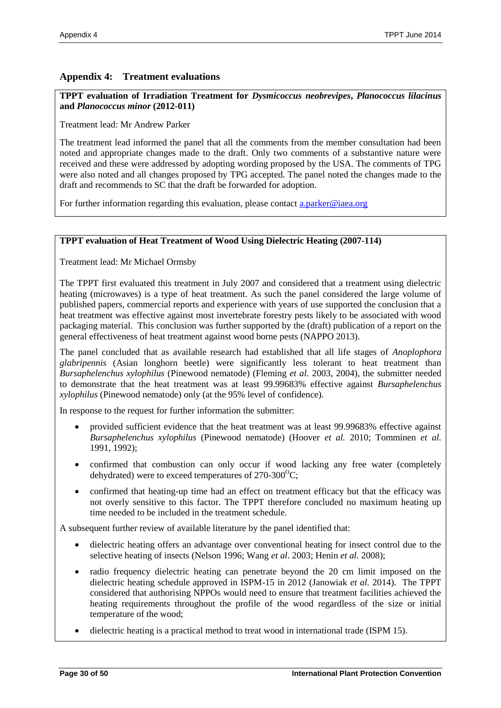## <span id="page-29-0"></span>**Appendix 4: Treatment evaluations**

#### **TPPT evaluation of Irradiation Treatment for** *Dysmicoccus neobrevipes***,** *Planococcus lilacinus* **and** *Planococcus minor* **(2012-011)**

Treatment lead: Mr Andrew Parker

The treatment lead informed the panel that all the comments from the member consultation had been noted and appropriate changes made to the draft. Only two comments of a substantive nature were received and these were addressed by adopting wording proposed by the USA. The comments of TPG were also noted and all changes proposed by TPG accepted. The panel noted the changes made to the draft and recommends to SC that the draft be forwarded for adoption.

For further information regarding this evaluation, please contact [a.parker@iaea.org](mailto:a.parker@iaea.org)

#### **TPPT evaluation of Heat Treatment of Wood Using Dielectric Heating (2007-114)**

Treatment lead: Mr Michael Ormsby

The TPPT first evaluated this treatment in July 2007 and considered that a treatment using dielectric heating (microwaves) is a type of heat treatment. As such the panel considered the large volume of published papers, commercial reports and experience with years of use supported the conclusion that a heat treatment was effective against most invertebrate forestry pests likely to be associated with wood packaging material. This conclusion was further supported by the (draft) publication of a report on the general effectiveness of heat treatment against wood borne pests (NAPPO 2013).

The panel concluded that as available research had established that all life stages of *Anoplophora glabripennis* (Asian longhorn beetle) were significantly less tolerant to heat treatment than *Bursaphelenchus xylophilus* (Pinewood nematode) (Fleming *et al.* 2003, 2004), the submitter needed to demonstrate that the heat treatment was at least 99.99683% effective against *Bursaphelenchus xylophilus* (Pinewood nematode) only (at the 95% level of confidence).

In response to the request for further information the submitter:

- provided sufficient evidence that the heat treatment was at least 99.99683% effective against *Bursaphelenchus xylophilus* (Pinewood nematode) (Hoover *et al.* 2010; Tomminen *et al.* 1991, 1992);
- confirmed that combustion can only occur if wood lacking any free water (completely dehydrated) were to exceed temperatures of  $270-300^{\circ}\text{C}$ ;
- confirmed that heating-up time had an effect on treatment efficacy but that the efficacy was not overly sensitive to this factor. The TPPT therefore concluded no maximum heating up time needed to be included in the treatment schedule.

A subsequent further review of available literature by the panel identified that:

- dielectric heating offers an advantage over conventional heating for insect control due to the selective heating of insects (Nelson 1996; Wang *et al*. 2003; Henin *et al.* 2008);
- radio frequency dielectric heating can penetrate beyond the 20 cm limit imposed on the dielectric heating schedule approved in ISPM-15 in 2012 (Janowiak *et al.* 2014). The TPPT considered that authorising NPPOs would need to ensure that treatment facilities achieved the heating requirements throughout the profile of the wood regardless of the size or initial temperature of the wood;
- dielectric heating is a practical method to treat wood in international trade (ISPM 15).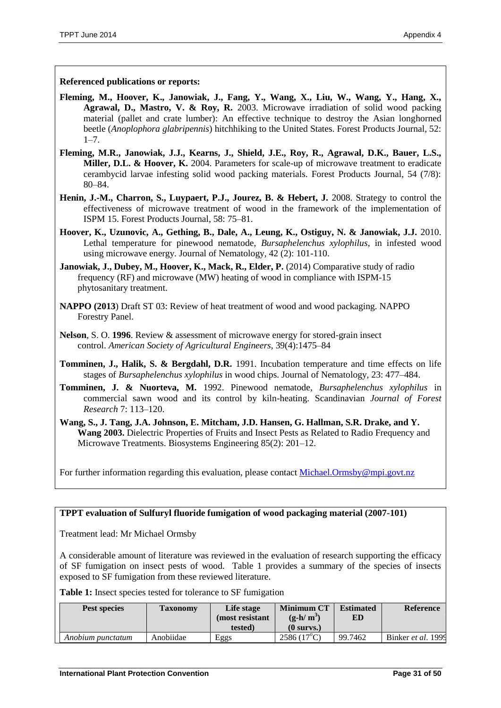**Referenced publications or reports:**

- **Fleming, M., Hoover, K., Janowiak, J., Fang, Y., Wang, X., Liu, W., Wang, Y., Hang, X., Agrawal, D., Mastro, V. & Roy, R.** 2003. Microwave irradiation of solid wood packing material (pallet and crate lumber): An effective technique to destroy the Asian longhorned beetle (*Anoplophora glabripennis*) hitchhiking to the United States. Forest Products Journal, 52:  $1 - 7$ .
- **Fleming, M.R., Janowiak, J.J., Kearns, J., Shield, J.E., Roy, R., Agrawal, D.K., Bauer, L.S.,**  Miller, D.L. & Hoover, K. 2004. Parameters for scale-up of microwave treatment to eradicate cerambycid larvae infesting solid wood packing materials. Forest Products Journal, 54 (7/8): 80–84.
- **Henin, J.-M., Charron, S., Luypaert, P.J., Jourez, B. & Hebert, J.** 2008. Strategy to control the effectiveness of microwave treatment of wood in the framework of the implementation of ISPM 15. Forest Products Journal, 58: 75–81.
- **Hoover, K., Uzunovic, A., Gething, B., Dale, A., Leung, K., Ostiguy, N. & Janowiak, J.J.** 2010. Lethal temperature for pinewood nematode, *Bursaphelenchus xylophilus*, in infested wood using microwave energy. Journal of Nematology, 42 (2): 101-110.
- **Janowiak, J., Dubey, M., Hoover, K., Mack, R., Elder, P.** (2014) Comparative study of radio frequency (RF) and microwave (MW) heating of wood in compliance with ISPM-15 phytosanitary treatment.
- **NAPPO (2013**) Draft ST 03: Review of heat treatment of wood and wood packaging. NAPPO Forestry Panel.
- **Nelson**, S. O. **1996**. Review & assessment of microwave energy for stored-grain insect control. *American Society of Agricultural Engineers,* 39(4):1475–84
- **Tomminen, J., Halik, S. & Bergdahl, D.R.** 1991. Incubation temperature and time effects on life stages of *Bursaphelenchus xylophilus* in wood chips. Journal of Nematology, 23: 477–484.
- **Tomminen, J. & Nuorteva, M.** 1992. Pinewood nematode, *Bursaphelenchus xylophilus* in commercial sawn wood and its control by kiln-heating. Scandinavian *Journal of Forest Research* 7: 113–120.
- **Wang, S., J. Tang, J.A. Johnson, E. Mitcham, J.D. Hansen, G. Hallman, S.R. Drake, and Y. Wang 2003.** Dielectric Properties of Fruits and Insect Pests as Related to Radio Frequency and Microwave Treatments. Biosystems Engineering 85(2): 201–12.

For further information regarding this evaluation, please contact [Michael.Ormsby@mpi.govt.nz](mailto:Michael.Ormsby@mpi.govt.nz)

#### **TPPT evaluation of Sulfuryl fluoride fumigation of wood packaging material (2007-101)**

Treatment lead: Mr Michael Ormsby

A considerable amount of literature was reviewed in the evaluation of research supporting the efficacy of SF fumigation on insect pests of wood. Table 1 provides a summary of the species of insects exposed to SF fumigation from these reviewed literature.

**Table 1:** Insect species tested for tolerance to SF fumigation

| Pest species |                   | <b>Taxonomy</b> | Life stage<br>(most resistant) | <b>Minimum CT</b><br>$(g-h/m^3)$ | <b>Estimated</b><br>ED | <b>Reference</b>   |
|--------------|-------------------|-----------------|--------------------------------|----------------------------------|------------------------|--------------------|
|              |                   |                 | tested)                        | $(0 \text{ survs.})$             |                        |                    |
|              | Anobium punctatum | Anobiidae       | Eggs                           | $2586(17^{\circ}C)$              | 99.7462                | Binker et al. 1999 |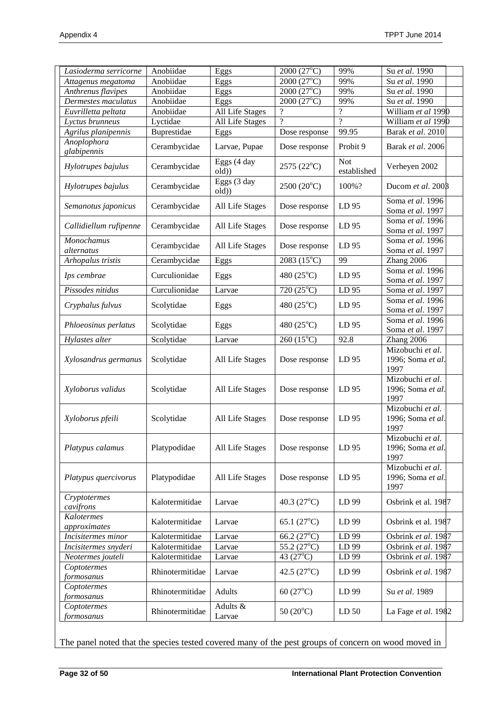| Anobiidae<br>2000 (27°C)<br>99%<br>Su et al. 1990<br>Attagenus megatoma<br>Eggs<br>$2000(27^{\circ}C)$<br>Anobiidae<br>99%<br>Anthrenus flavipes<br>Su et al. 1990<br>Eggs<br>Anobiidae<br>$2000(27^{\circ}C)$<br>99%<br>Dermestes maculatus<br>Su et al. 1990<br>Eggs<br>$\gamma$<br>Anobiidae<br>All Life Stages<br>$\gamma$<br>William et al 1990<br>Euvrilletta peltata<br>$\overline{\mathcal{L}}$<br>$\gamma$<br>Lyctidae<br>All Life Stages<br>William et al 1990<br>Lyctus brunneus<br>Buprestidae<br>99.95<br>Barak et al. 2010<br>Agrilus planipennis<br>Eggs<br>Dose response<br>Anoplophora<br>Cerambycidae<br>Larvae, Pupae<br>Probit 9<br>Barak et al. 2006<br>Dose response<br>glabipennis<br>Eggs (4 day<br><b>Not</b><br>Cerambycidae<br>2575 (22°C)<br>Verheyen 2002<br>Hylotrupes bajulus<br>established<br>old)<br>Eggs (3 day<br>2500 (20°C)<br>100%?<br>Cerambycidae<br>Ducom et al. 2008<br>Hylotrupes bajulus<br>old)<br>Soma et al. 1996<br>Cerambycidae<br>All Life Stages<br>LD 95<br>Semanotus japonicus<br>Dose response<br>Soma et al. 1997<br>Soma et al. 1996<br>Cerambycidae<br>All Life Stages<br>LD 95<br>Callidiellum rufipenne<br>Dose response<br>Soma et al. 1997<br>Monochamus<br>Soma et al. 1996<br>Cerambycidae<br>All Life Stages<br>Dose response<br>LD <sub>95</sub><br>alternatus<br>Soma et al. 1997<br>Cerambycidae<br>$2083(15^{\circ}C)$<br>99<br>Arhopalus tristis<br>Eggs<br>Zhang 2006<br>Soma et al. 1996<br>Curculionidae<br>480 (25°C)<br>Eggs<br>LD 95<br>Ips cembrae<br>Soma et al. 1997<br>Pissodes nitidus<br>Curculionidae<br>720 (25°C)<br>LD 95<br>Soma et al. 1997<br>Larvae<br>Soma et al. 1996<br>Scolytidae<br>480 (25°C)<br>LD 95<br>Cryphalus fulvus<br>Eggs<br>Soma et al. 1997<br>Soma et al. 1996<br>480 $(25^{\circ}C)$<br>Phloeosinus perlatus<br>Scolytidae<br>Eggs<br>LD 95<br>Soma et al. 1997<br>$260(15^{\circ}C)$<br>Hylastes alter<br>Scolytidae<br>92.8<br>Zhang 2006<br>Larvae<br>Mizobuchi et al.<br>Scolytidae<br>All Life Stages<br>LD <sub>95</sub><br>1996; Soma et al.<br>Xylosandrus germanus<br>Dose response<br>1997<br>Mizobuchi et al.<br>Scolytidae<br>All Life Stages<br>1996; Soma et al.<br>Xyloborus validus<br>Dose response<br>LD <sub>95</sub><br>1997<br>Mizobuchi et al.<br>All Life Stages<br>LD 95<br>1996; Soma et al.<br>Xyloborus pfeili<br>Scolytidae<br>Dose response<br>1997<br>Mizobuchi et al.<br>1996; Soma et al.<br>Platypus calamus<br>Platypodidae<br>All Life Stages<br>Dose response<br>LD 95<br>1997<br>Mizobuchi et al.<br>Platypodidae<br>LD 95<br>1996; Soma et al.<br>Platypus quercivorus<br>All Life Stages<br>Dose response<br>1997<br>Cryptotermes<br>Kalotermitidae<br>40.3 $(27^{\circ}C)$<br>LD 99<br>Osbrink et al. 1987<br>Larvae<br>cavifrons<br>Kalotermes<br>Kalotermitidae<br>65.1 $(27^{\circ}C)$<br>Osbrink et al. 1987<br>LD 99<br>Larvae<br>approximates<br>$66.2(27^{\circ}C)$<br>Kalotermitidae<br>LD 99<br>Osbrink et al. 1987<br>Incisitermes minor<br>Larvae<br>$55.2(27^{\circ}C)$<br>Kalotermitidae<br>LD 99<br>Osbrink et al. 1987<br>Incisitermes snyderi<br>Larvae<br>Kalotermitidae<br>43 $(27^{\circ}C)$<br>Osbrink et al. 1987<br>LD 99<br>Neotermes jouteli<br>Larvae<br>Coptotermes<br>42.5 $(27^{\circ}C)$<br>Rhinotermitidae<br>LD 99<br>Osbrink et al. 1987<br>Larvae<br>formosanus<br>Coptotermes<br>Rhinotermitidae<br>60 $(27^{\circ}C)$<br>Su et al. 1989<br>Adults<br>LD 99<br>formosanus<br>Adults &<br>Coptotermes<br>Rhinotermitidae<br>50 $(20^{\circ}C)$<br>LD <sub>50</sub><br>La Fage et al. 1982<br>Larvae<br>formosanus | Lasioderma serricorne | Anobiidae | Eggs | $2000(27^{\circ}\overline{C})$ | 99% | Su et al. 1990 |  |
|---------------------------------------------------------------------------------------------------------------------------------------------------------------------------------------------------------------------------------------------------------------------------------------------------------------------------------------------------------------------------------------------------------------------------------------------------------------------------------------------------------------------------------------------------------------------------------------------------------------------------------------------------------------------------------------------------------------------------------------------------------------------------------------------------------------------------------------------------------------------------------------------------------------------------------------------------------------------------------------------------------------------------------------------------------------------------------------------------------------------------------------------------------------------------------------------------------------------------------------------------------------------------------------------------------------------------------------------------------------------------------------------------------------------------------------------------------------------------------------------------------------------------------------------------------------------------------------------------------------------------------------------------------------------------------------------------------------------------------------------------------------------------------------------------------------------------------------------------------------------------------------------------------------------------------------------------------------------------------------------------------------------------------------------------------------------------------------------------------------------------------------------------------------------------------------------------------------------------------------------------------------------------------------------------------------------------------------------------------------------------------------------------------------------------------------------------------------------------------------------------------------------------------------------------------------------------------------------------------------------------------------------------------------------------------------------------------------------------------------------------------------------------------------------------------------------------------------------------------------------------------------------------------------------------------------------------------------------------------------------------------------------------------------------------------------------------------------------------------------------------------------------------------------------------------------------------------------------------------------------------------------------------------------------------------------------------------------------------------------------------------------------------------------------------------------------------------------------------------------------------------------------------------------------------------------------------------------------------------|-----------------------|-----------|------|--------------------------------|-----|----------------|--|
|                                                                                                                                                                                                                                                                                                                                                                                                                                                                                                                                                                                                                                                                                                                                                                                                                                                                                                                                                                                                                                                                                                                                                                                                                                                                                                                                                                                                                                                                                                                                                                                                                                                                                                                                                                                                                                                                                                                                                                                                                                                                                                                                                                                                                                                                                                                                                                                                                                                                                                                                                                                                                                                                                                                                                                                                                                                                                                                                                                                                                                                                                                                                                                                                                                                                                                                                                                                                                                                                                                                                                                                                         |                       |           |      |                                |     |                |  |
|                                                                                                                                                                                                                                                                                                                                                                                                                                                                                                                                                                                                                                                                                                                                                                                                                                                                                                                                                                                                                                                                                                                                                                                                                                                                                                                                                                                                                                                                                                                                                                                                                                                                                                                                                                                                                                                                                                                                                                                                                                                                                                                                                                                                                                                                                                                                                                                                                                                                                                                                                                                                                                                                                                                                                                                                                                                                                                                                                                                                                                                                                                                                                                                                                                                                                                                                                                                                                                                                                                                                                                                                         |                       |           |      |                                |     |                |  |
|                                                                                                                                                                                                                                                                                                                                                                                                                                                                                                                                                                                                                                                                                                                                                                                                                                                                                                                                                                                                                                                                                                                                                                                                                                                                                                                                                                                                                                                                                                                                                                                                                                                                                                                                                                                                                                                                                                                                                                                                                                                                                                                                                                                                                                                                                                                                                                                                                                                                                                                                                                                                                                                                                                                                                                                                                                                                                                                                                                                                                                                                                                                                                                                                                                                                                                                                                                                                                                                                                                                                                                                                         |                       |           |      |                                |     |                |  |
|                                                                                                                                                                                                                                                                                                                                                                                                                                                                                                                                                                                                                                                                                                                                                                                                                                                                                                                                                                                                                                                                                                                                                                                                                                                                                                                                                                                                                                                                                                                                                                                                                                                                                                                                                                                                                                                                                                                                                                                                                                                                                                                                                                                                                                                                                                                                                                                                                                                                                                                                                                                                                                                                                                                                                                                                                                                                                                                                                                                                                                                                                                                                                                                                                                                                                                                                                                                                                                                                                                                                                                                                         |                       |           |      |                                |     |                |  |
|                                                                                                                                                                                                                                                                                                                                                                                                                                                                                                                                                                                                                                                                                                                                                                                                                                                                                                                                                                                                                                                                                                                                                                                                                                                                                                                                                                                                                                                                                                                                                                                                                                                                                                                                                                                                                                                                                                                                                                                                                                                                                                                                                                                                                                                                                                                                                                                                                                                                                                                                                                                                                                                                                                                                                                                                                                                                                                                                                                                                                                                                                                                                                                                                                                                                                                                                                                                                                                                                                                                                                                                                         |                       |           |      |                                |     |                |  |
|                                                                                                                                                                                                                                                                                                                                                                                                                                                                                                                                                                                                                                                                                                                                                                                                                                                                                                                                                                                                                                                                                                                                                                                                                                                                                                                                                                                                                                                                                                                                                                                                                                                                                                                                                                                                                                                                                                                                                                                                                                                                                                                                                                                                                                                                                                                                                                                                                                                                                                                                                                                                                                                                                                                                                                                                                                                                                                                                                                                                                                                                                                                                                                                                                                                                                                                                                                                                                                                                                                                                                                                                         |                       |           |      |                                |     |                |  |
|                                                                                                                                                                                                                                                                                                                                                                                                                                                                                                                                                                                                                                                                                                                                                                                                                                                                                                                                                                                                                                                                                                                                                                                                                                                                                                                                                                                                                                                                                                                                                                                                                                                                                                                                                                                                                                                                                                                                                                                                                                                                                                                                                                                                                                                                                                                                                                                                                                                                                                                                                                                                                                                                                                                                                                                                                                                                                                                                                                                                                                                                                                                                                                                                                                                                                                                                                                                                                                                                                                                                                                                                         |                       |           |      |                                |     |                |  |
|                                                                                                                                                                                                                                                                                                                                                                                                                                                                                                                                                                                                                                                                                                                                                                                                                                                                                                                                                                                                                                                                                                                                                                                                                                                                                                                                                                                                                                                                                                                                                                                                                                                                                                                                                                                                                                                                                                                                                                                                                                                                                                                                                                                                                                                                                                                                                                                                                                                                                                                                                                                                                                                                                                                                                                                                                                                                                                                                                                                                                                                                                                                                                                                                                                                                                                                                                                                                                                                                                                                                                                                                         |                       |           |      |                                |     |                |  |
|                                                                                                                                                                                                                                                                                                                                                                                                                                                                                                                                                                                                                                                                                                                                                                                                                                                                                                                                                                                                                                                                                                                                                                                                                                                                                                                                                                                                                                                                                                                                                                                                                                                                                                                                                                                                                                                                                                                                                                                                                                                                                                                                                                                                                                                                                                                                                                                                                                                                                                                                                                                                                                                                                                                                                                                                                                                                                                                                                                                                                                                                                                                                                                                                                                                                                                                                                                                                                                                                                                                                                                                                         |                       |           |      |                                |     |                |  |
|                                                                                                                                                                                                                                                                                                                                                                                                                                                                                                                                                                                                                                                                                                                                                                                                                                                                                                                                                                                                                                                                                                                                                                                                                                                                                                                                                                                                                                                                                                                                                                                                                                                                                                                                                                                                                                                                                                                                                                                                                                                                                                                                                                                                                                                                                                                                                                                                                                                                                                                                                                                                                                                                                                                                                                                                                                                                                                                                                                                                                                                                                                                                                                                                                                                                                                                                                                                                                                                                                                                                                                                                         |                       |           |      |                                |     |                |  |
|                                                                                                                                                                                                                                                                                                                                                                                                                                                                                                                                                                                                                                                                                                                                                                                                                                                                                                                                                                                                                                                                                                                                                                                                                                                                                                                                                                                                                                                                                                                                                                                                                                                                                                                                                                                                                                                                                                                                                                                                                                                                                                                                                                                                                                                                                                                                                                                                                                                                                                                                                                                                                                                                                                                                                                                                                                                                                                                                                                                                                                                                                                                                                                                                                                                                                                                                                                                                                                                                                                                                                                                                         |                       |           |      |                                |     |                |  |
|                                                                                                                                                                                                                                                                                                                                                                                                                                                                                                                                                                                                                                                                                                                                                                                                                                                                                                                                                                                                                                                                                                                                                                                                                                                                                                                                                                                                                                                                                                                                                                                                                                                                                                                                                                                                                                                                                                                                                                                                                                                                                                                                                                                                                                                                                                                                                                                                                                                                                                                                                                                                                                                                                                                                                                                                                                                                                                                                                                                                                                                                                                                                                                                                                                                                                                                                                                                                                                                                                                                                                                                                         |                       |           |      |                                |     |                |  |
|                                                                                                                                                                                                                                                                                                                                                                                                                                                                                                                                                                                                                                                                                                                                                                                                                                                                                                                                                                                                                                                                                                                                                                                                                                                                                                                                                                                                                                                                                                                                                                                                                                                                                                                                                                                                                                                                                                                                                                                                                                                                                                                                                                                                                                                                                                                                                                                                                                                                                                                                                                                                                                                                                                                                                                                                                                                                                                                                                                                                                                                                                                                                                                                                                                                                                                                                                                                                                                                                                                                                                                                                         |                       |           |      |                                |     |                |  |
|                                                                                                                                                                                                                                                                                                                                                                                                                                                                                                                                                                                                                                                                                                                                                                                                                                                                                                                                                                                                                                                                                                                                                                                                                                                                                                                                                                                                                                                                                                                                                                                                                                                                                                                                                                                                                                                                                                                                                                                                                                                                                                                                                                                                                                                                                                                                                                                                                                                                                                                                                                                                                                                                                                                                                                                                                                                                                                                                                                                                                                                                                                                                                                                                                                                                                                                                                                                                                                                                                                                                                                                                         |                       |           |      |                                |     |                |  |
|                                                                                                                                                                                                                                                                                                                                                                                                                                                                                                                                                                                                                                                                                                                                                                                                                                                                                                                                                                                                                                                                                                                                                                                                                                                                                                                                                                                                                                                                                                                                                                                                                                                                                                                                                                                                                                                                                                                                                                                                                                                                                                                                                                                                                                                                                                                                                                                                                                                                                                                                                                                                                                                                                                                                                                                                                                                                                                                                                                                                                                                                                                                                                                                                                                                                                                                                                                                                                                                                                                                                                                                                         |                       |           |      |                                |     |                |  |
|                                                                                                                                                                                                                                                                                                                                                                                                                                                                                                                                                                                                                                                                                                                                                                                                                                                                                                                                                                                                                                                                                                                                                                                                                                                                                                                                                                                                                                                                                                                                                                                                                                                                                                                                                                                                                                                                                                                                                                                                                                                                                                                                                                                                                                                                                                                                                                                                                                                                                                                                                                                                                                                                                                                                                                                                                                                                                                                                                                                                                                                                                                                                                                                                                                                                                                                                                                                                                                                                                                                                                                                                         |                       |           |      |                                |     |                |  |
|                                                                                                                                                                                                                                                                                                                                                                                                                                                                                                                                                                                                                                                                                                                                                                                                                                                                                                                                                                                                                                                                                                                                                                                                                                                                                                                                                                                                                                                                                                                                                                                                                                                                                                                                                                                                                                                                                                                                                                                                                                                                                                                                                                                                                                                                                                                                                                                                                                                                                                                                                                                                                                                                                                                                                                                                                                                                                                                                                                                                                                                                                                                                                                                                                                                                                                                                                                                                                                                                                                                                                                                                         |                       |           |      |                                |     |                |  |
|                                                                                                                                                                                                                                                                                                                                                                                                                                                                                                                                                                                                                                                                                                                                                                                                                                                                                                                                                                                                                                                                                                                                                                                                                                                                                                                                                                                                                                                                                                                                                                                                                                                                                                                                                                                                                                                                                                                                                                                                                                                                                                                                                                                                                                                                                                                                                                                                                                                                                                                                                                                                                                                                                                                                                                                                                                                                                                                                                                                                                                                                                                                                                                                                                                                                                                                                                                                                                                                                                                                                                                                                         |                       |           |      |                                |     |                |  |
|                                                                                                                                                                                                                                                                                                                                                                                                                                                                                                                                                                                                                                                                                                                                                                                                                                                                                                                                                                                                                                                                                                                                                                                                                                                                                                                                                                                                                                                                                                                                                                                                                                                                                                                                                                                                                                                                                                                                                                                                                                                                                                                                                                                                                                                                                                                                                                                                                                                                                                                                                                                                                                                                                                                                                                                                                                                                                                                                                                                                                                                                                                                                                                                                                                                                                                                                                                                                                                                                                                                                                                                                         |                       |           |      |                                |     |                |  |
|                                                                                                                                                                                                                                                                                                                                                                                                                                                                                                                                                                                                                                                                                                                                                                                                                                                                                                                                                                                                                                                                                                                                                                                                                                                                                                                                                                                                                                                                                                                                                                                                                                                                                                                                                                                                                                                                                                                                                                                                                                                                                                                                                                                                                                                                                                                                                                                                                                                                                                                                                                                                                                                                                                                                                                                                                                                                                                                                                                                                                                                                                                                                                                                                                                                                                                                                                                                                                                                                                                                                                                                                         |                       |           |      |                                |     |                |  |
|                                                                                                                                                                                                                                                                                                                                                                                                                                                                                                                                                                                                                                                                                                                                                                                                                                                                                                                                                                                                                                                                                                                                                                                                                                                                                                                                                                                                                                                                                                                                                                                                                                                                                                                                                                                                                                                                                                                                                                                                                                                                                                                                                                                                                                                                                                                                                                                                                                                                                                                                                                                                                                                                                                                                                                                                                                                                                                                                                                                                                                                                                                                                                                                                                                                                                                                                                                                                                                                                                                                                                                                                         |                       |           |      |                                |     |                |  |
|                                                                                                                                                                                                                                                                                                                                                                                                                                                                                                                                                                                                                                                                                                                                                                                                                                                                                                                                                                                                                                                                                                                                                                                                                                                                                                                                                                                                                                                                                                                                                                                                                                                                                                                                                                                                                                                                                                                                                                                                                                                                                                                                                                                                                                                                                                                                                                                                                                                                                                                                                                                                                                                                                                                                                                                                                                                                                                                                                                                                                                                                                                                                                                                                                                                                                                                                                                                                                                                                                                                                                                                                         |                       |           |      |                                |     |                |  |
|                                                                                                                                                                                                                                                                                                                                                                                                                                                                                                                                                                                                                                                                                                                                                                                                                                                                                                                                                                                                                                                                                                                                                                                                                                                                                                                                                                                                                                                                                                                                                                                                                                                                                                                                                                                                                                                                                                                                                                                                                                                                                                                                                                                                                                                                                                                                                                                                                                                                                                                                                                                                                                                                                                                                                                                                                                                                                                                                                                                                                                                                                                                                                                                                                                                                                                                                                                                                                                                                                                                                                                                                         |                       |           |      |                                |     |                |  |
|                                                                                                                                                                                                                                                                                                                                                                                                                                                                                                                                                                                                                                                                                                                                                                                                                                                                                                                                                                                                                                                                                                                                                                                                                                                                                                                                                                                                                                                                                                                                                                                                                                                                                                                                                                                                                                                                                                                                                                                                                                                                                                                                                                                                                                                                                                                                                                                                                                                                                                                                                                                                                                                                                                                                                                                                                                                                                                                                                                                                                                                                                                                                                                                                                                                                                                                                                                                                                                                                                                                                                                                                         |                       |           |      |                                |     |                |  |
|                                                                                                                                                                                                                                                                                                                                                                                                                                                                                                                                                                                                                                                                                                                                                                                                                                                                                                                                                                                                                                                                                                                                                                                                                                                                                                                                                                                                                                                                                                                                                                                                                                                                                                                                                                                                                                                                                                                                                                                                                                                                                                                                                                                                                                                                                                                                                                                                                                                                                                                                                                                                                                                                                                                                                                                                                                                                                                                                                                                                                                                                                                                                                                                                                                                                                                                                                                                                                                                                                                                                                                                                         |                       |           |      |                                |     |                |  |
|                                                                                                                                                                                                                                                                                                                                                                                                                                                                                                                                                                                                                                                                                                                                                                                                                                                                                                                                                                                                                                                                                                                                                                                                                                                                                                                                                                                                                                                                                                                                                                                                                                                                                                                                                                                                                                                                                                                                                                                                                                                                                                                                                                                                                                                                                                                                                                                                                                                                                                                                                                                                                                                                                                                                                                                                                                                                                                                                                                                                                                                                                                                                                                                                                                                                                                                                                                                                                                                                                                                                                                                                         |                       |           |      |                                |     |                |  |
|                                                                                                                                                                                                                                                                                                                                                                                                                                                                                                                                                                                                                                                                                                                                                                                                                                                                                                                                                                                                                                                                                                                                                                                                                                                                                                                                                                                                                                                                                                                                                                                                                                                                                                                                                                                                                                                                                                                                                                                                                                                                                                                                                                                                                                                                                                                                                                                                                                                                                                                                                                                                                                                                                                                                                                                                                                                                                                                                                                                                                                                                                                                                                                                                                                                                                                                                                                                                                                                                                                                                                                                                         |                       |           |      |                                |     |                |  |
|                                                                                                                                                                                                                                                                                                                                                                                                                                                                                                                                                                                                                                                                                                                                                                                                                                                                                                                                                                                                                                                                                                                                                                                                                                                                                                                                                                                                                                                                                                                                                                                                                                                                                                                                                                                                                                                                                                                                                                                                                                                                                                                                                                                                                                                                                                                                                                                                                                                                                                                                                                                                                                                                                                                                                                                                                                                                                                                                                                                                                                                                                                                                                                                                                                                                                                                                                                                                                                                                                                                                                                                                         |                       |           |      |                                |     |                |  |
|                                                                                                                                                                                                                                                                                                                                                                                                                                                                                                                                                                                                                                                                                                                                                                                                                                                                                                                                                                                                                                                                                                                                                                                                                                                                                                                                                                                                                                                                                                                                                                                                                                                                                                                                                                                                                                                                                                                                                                                                                                                                                                                                                                                                                                                                                                                                                                                                                                                                                                                                                                                                                                                                                                                                                                                                                                                                                                                                                                                                                                                                                                                                                                                                                                                                                                                                                                                                                                                                                                                                                                                                         |                       |           |      |                                |     |                |  |
|                                                                                                                                                                                                                                                                                                                                                                                                                                                                                                                                                                                                                                                                                                                                                                                                                                                                                                                                                                                                                                                                                                                                                                                                                                                                                                                                                                                                                                                                                                                                                                                                                                                                                                                                                                                                                                                                                                                                                                                                                                                                                                                                                                                                                                                                                                                                                                                                                                                                                                                                                                                                                                                                                                                                                                                                                                                                                                                                                                                                                                                                                                                                                                                                                                                                                                                                                                                                                                                                                                                                                                                                         |                       |           |      |                                |     |                |  |
|                                                                                                                                                                                                                                                                                                                                                                                                                                                                                                                                                                                                                                                                                                                                                                                                                                                                                                                                                                                                                                                                                                                                                                                                                                                                                                                                                                                                                                                                                                                                                                                                                                                                                                                                                                                                                                                                                                                                                                                                                                                                                                                                                                                                                                                                                                                                                                                                                                                                                                                                                                                                                                                                                                                                                                                                                                                                                                                                                                                                                                                                                                                                                                                                                                                                                                                                                                                                                                                                                                                                                                                                         |                       |           |      |                                |     |                |  |
|                                                                                                                                                                                                                                                                                                                                                                                                                                                                                                                                                                                                                                                                                                                                                                                                                                                                                                                                                                                                                                                                                                                                                                                                                                                                                                                                                                                                                                                                                                                                                                                                                                                                                                                                                                                                                                                                                                                                                                                                                                                                                                                                                                                                                                                                                                                                                                                                                                                                                                                                                                                                                                                                                                                                                                                                                                                                                                                                                                                                                                                                                                                                                                                                                                                                                                                                                                                                                                                                                                                                                                                                         |                       |           |      |                                |     |                |  |

The panel noted that the species tested covered many of the pest groups of concern on wood moved in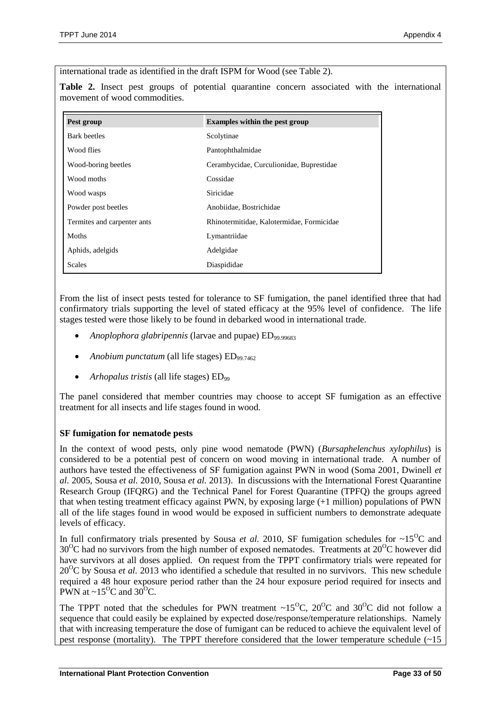international trade as identified in the draft ISPM for Wood (see Table 2).

**Table 2.** Insect pest groups of potential quarantine concern associated with the international movement of wood commodities.

| Pest group                  | <b>Examples within the pest group</b>     |  |
|-----------------------------|-------------------------------------------|--|
| Bark beetles                | Scolytinae                                |  |
| Wood flies                  | Pantophthalmidae                          |  |
| Wood-boring beetles         | Cerambycidae, Curculionidae, Buprestidae  |  |
| Wood moths                  | Cossidae                                  |  |
| Wood wasps                  | Siricidae                                 |  |
| Powder post beetles         | Anobiidae, Bostrichidae                   |  |
| Termites and carpenter ants | Rhinotermitidae, Kalotermidae, Formicidae |  |
| Moths                       | Lymantriidae                              |  |
| Aphids, adelgids            | Adelgidae                                 |  |
| Scales                      | Diaspididae                               |  |

From the list of insect pests tested for tolerance to SF fumigation, the panel identified three that had confirmatory trials supporting the level of stated efficacy at the 95% level of confidence. The life stages tested were those likely to be found in debarked wood in international trade.

- *Anoplophora glabripennis* (larvae and pupae) ED<sub>99.99683</sub>
- *Anobium punctatum (all life stages)* ED<sub>99.7462</sub>
- *Arhopalus tristis* (all life stages) ED<sub>99</sub>

The panel considered that member countries may choose to accept SF fumigation as an effective treatment for all insects and life stages found in wood.

#### **SF fumigation for nematode pests**

In the context of wood pests, only pine wood nematode (PWN) (*Bursaphelenchus xylophilus*) is considered to be a potential pest of concern on wood moving in international trade. A number of authors have tested the effectiveness of SF fumigation against PWN in wood (Soma 2001, Dwinell *et al.* 2005, Sousa *et al.* 2010, Sousa *et al.* 2013). In discussions with the International Forest Quarantine Research Group (IFQRG) and the Technical Panel for Forest Quarantine (TPFQ) the groups agreed that when testing treatment efficacy against PWN, by exposing large (+1 million) populations of PWN all of the life stages found in wood would be exposed in sufficient numbers to demonstrate adequate levels of efficacy.

In full confirmatory trials presented by Sousa *et al.* 2010, SF fumigation schedules for  $\sim 15^{\circ}\text{C}$  and  $30^{\circ}$ C had no survivors from the high number of exposed nematodes. Treatments at  $20^{\circ}$ C however did have survivors at all doses applied. On request from the TPPT confirmatory trials were repeated for  $20^{\circ}$ C by Sousa *et al.* 2013 who identified a schedule that resulted in no survivors. This new schedule required a 48 hour exposure period rather than the 24 hour exposure period required for insects and PWN at  $\sim$ 15<sup>o</sup>C and 30<sup>o</sup>C.

The TPPT noted that the schedules for PWN treatment ~15<sup>o</sup>C, 20<sup>o</sup>C and 30<sup>o</sup>C did not follow a sequence that could easily be explained by expected dose/response/temperature relationships. Namely that with increasing temperature the dose of fumigant can be reduced to achieve the equivalent level of pest response (mortality). The TPPT therefore considered that the lower temperature schedule  $\sim 15$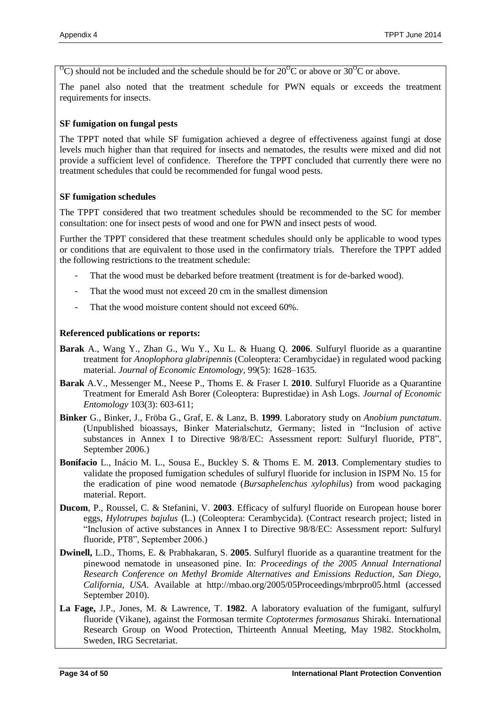$^{0}$ C) should not be included and the schedule should be for 20<sup> $^{0}$ </sup>C or above or 30<sup> $^{0}$ </sup>C or above.

The panel also noted that the treatment schedule for PWN equals or exceeds the treatment requirements for insects.

#### **SF fumigation on fungal pests**

The TPPT noted that while SF fumigation achieved a degree of effectiveness against fungi at dose levels much higher than that required for insects and nematodes, the results were mixed and did not provide a sufficient level of confidence. Therefore the TPPT concluded that currently there were no treatment schedules that could be recommended for fungal wood pests.

#### **SF fumigation schedules**

The TPPT considered that two treatment schedules should be recommended to the SC for member consultation: one for insect pests of wood and one for PWN and insect pests of wood.

Further the TPPT considered that these treatment schedules should only be applicable to wood types or conditions that are equivalent to those used in the confirmatory trials. Therefore the TPPT added the following restrictions to the treatment schedule:

- That the wood must be debarked before treatment (treatment is for de-barked wood).
- That the wood must not exceed 20 cm in the smallest dimension
- That the wood moisture content should not exceed 60%.

#### **Referenced publications or reports:**

- **Barak** A., Wang Y., Zhan G., Wu Y., Xu L. & Huang Q. **2006**. Sulfuryl fluoride as a quarantine treatment for *Anoplophora glabripennis* (Coleoptera: Cerambycidae) in regulated wood packing material. *Journal of Economic Entomology*, 99(5): 1628–1635.
- **Barak** A.V., Messenger M., Neese P., Thoms E. & Fraser I. **2010**. Sulfuryl Fluoride as a Quarantine Treatment for Emerald Ash Borer (Coleoptera: Buprestidae) in Ash Logs. *Journal of Economic Entomology* 103(3): 603-611;
- **Binker** G., Binker, J., Fröba G., Graf, E. & Lanz, B. **1999**. Laboratory study on *Anobium punctatum*. (Unpublished bioassays, Binker Materialschutz, Germany; listed in "Inclusion of active substances in Annex I to Directive 98/8/EC: Assessment report: Sulfuryl fluoride, PT8", September 2006.)
- **Bonifacio** L., Inácio M. L., Sousa E., Buckley S. & Thoms E. M. **2013**. Complementary studies to validate the proposed fumigation schedules of sulfuryl fluoride for inclusion in ISPM No. 15 for the eradication of pine wood nematode (*Bursaphelenchus xylophilus*) from wood packaging material. Report.
- **Ducom**, P., Roussel, C. & Stefanini, V. **2003**. Efficacy of sulfuryl fluoride on European house borer eggs, *Hylotrupes bajulus* (L.) (Coleoptera: Cerambycida). (Contract research project; listed in "Inclusion of active substances in Annex I to Directive 98/8/EC: Assessment report: Sulfuryl fluoride, PT8", September 2006.)
- **Dwinell,** L.D., Thoms, E. & Prabhakaran, S. **2005**. Sulfuryl fluoride as a quarantine treatment for the pinewood nematode in unseasoned pine. In: *Proceedings of the 2005 Annual International Research Conference on Methyl Bromide Alternatives and Emissions Reduction, San Diego, California, USA*. Available at http://mbao.org/2005/05Proceedings/mbrpro05.html (accessed September 2010).
- **La Fage,** J.P., Jones, M. & Lawrence, T. **1982**. A laboratory evaluation of the fumigant, sulfuryl fluoride (Vikane), against the Formosan termite *Coptotermes formosanus* Shiraki. International Research Group on Wood Protection, Thirteenth Annual Meeting, May 1982. Stockholm, Sweden, IRG Secretariat.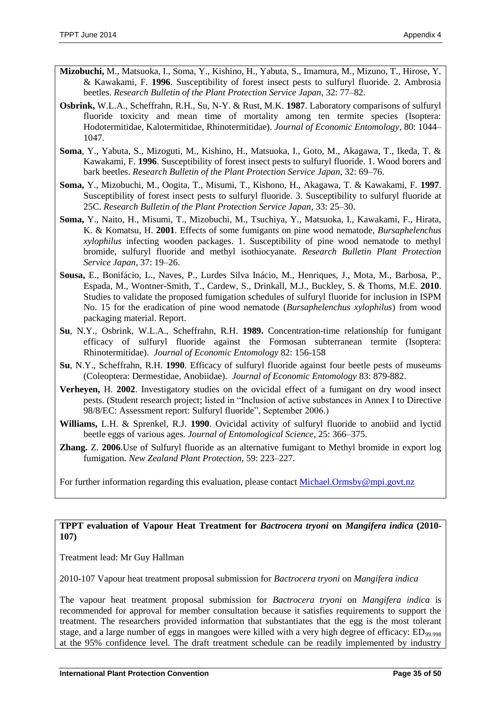- **Mizobuchi,** M., Matsuoka, I., Soma, Y., Kishino, H., Yabuta, S., Imamura, M., Mizuno, T., Hirose, Y. & Kawakami, F. **1996**. Susceptibility of forest insect pests to sulfuryl fluoride. 2. Ambrosia beetles. *Research Bulletin of the Plant Protection Service Japan*, 32: 77–82.
- **Osbrink,** W.L.A., Scheffrahn, R.H., Su, N-Y. & Rust, M.K. **1987**. Laboratory comparisons of sulfuryl fluoride toxicity and mean time of mortality among ten termite species (Isoptera: Hodotermitidae, Kalotermitidae, Rhinotermitidae). *Journal of Economic Entomology*, 80: 1044– 1047.
- **Soma**, Y., Yabuta, S., Mizoguti, M., Kishino, H., Matsuoka, I., Goto, M., Akagawa, T., Ikeda, T. & Kawakami, F. **1996**. Susceptibility of forest insect pests to sulfuryl fluoride. 1. Wood borers and bark beetles. *Research Bulletin of the Plant Protection Service Japan*, 32: 69–76.
- **Soma,** Y., Mizobuchi, M., Oogita, T., Misumi, T., Kishono, H., Akagawa, T. & Kawakami, F. **1997**. Susceptibility of forest insect pests to sulfuryl fluoride. 3. Susceptibility to sulfuryl fluoride at 25C. *Research Bulletin of the Plant Protection Service Japan*, 33: 25–30.
- **Soma,** Y., Naito, H., Misumi, T., Mizobuchi, M., Tsuchiya, Y., Matsuoka, I., Kawakami, F., Hirata, K. & Komatsu, H. **2001**. Effects of some fumigants on pine wood nematode, *Bursaphelenchus xylophilus* infecting wooden packages. 1. Susceptibility of pine wood nematode to methyl bromide, sulfuryl fluoride and methyl isothiocyanate. *Research Bulletin Plant Protection Service Japan*, 37: 19–26.
- **Sousa,** E., Bonifácio, L., Naves, P., Lurdes Silva Inácio, M., Henriques, J., Mota, M., Barbosa, P., Espada, M., Wontner-Smith, T., Cardew, S., Drinkall, M.J., Buckley, S. & Thoms, M.E. **2010**. Studies to validate the proposed fumigation schedules of sulfuryl fluoride for inclusion in ISPM No. 15 for the eradication of pine wood nematode (*Bursaphelenchus xylophilus*) from wood packaging material. Report.
- **Su**, N.Y., Osbrink, W.L.A., Scheffrahn, R.H. **1989.** Concentration-time relationship for fumigant efficacy of sulfuryl fluoride against the Formosan subterranean termite (Isoptera: Rhinotermitidae). *Journal of Economic Entomology* 82: 156-158
- **Su**, N.Y., Scheffrahn, R.H. **1990**. Efficacy of sulfuryl fluoride against four beetle pests of museums (Coleoptera: Dermestidae, Anobiidae). *Journal of Economic Entomology* 83: 879-882.
- **Verheyen,** H. **2002**. Investigatory studies on the ovicidal effect of a fumigant on dry wood insect pests. (Student research project; listed in "Inclusion of active substances in Annex I to Directive 98/8/EC: Assessment report: Sulfuryl fluoride", September 2006.)
- **Williams,** L.H. & Sprenkel, R.J. **1990**. Ovicidal activity of sulfuryl fluoride to anobiid and lyctid beetle eggs of various ages. *Journal of Entomological Science*, 25: 366–375.
- **Zhang.** Z. **2006**.Use of Sulfuryl fluoride as an alternative fumigant to Methyl bromide in export log fumigation. *New Zealand Plant Protection*, 59: 223–227.

For further information regarding this evaluation, please contact [Michael.Ormsby@mpi.govt.nz](mailto:Michael.Ormsby@mpi.govt.nz)

#### **TPPT evaluation of Vapour Heat Treatment for** *Bactrocera tryoni* **on** *Mangifera indica* **(2010- 107)**

Treatment lead: Mr Guy Hallman

2010-107 Vapour heat treatment proposal submission for *Bactrocera tryoni* on *Mangifera indica*

The vapour heat treatment proposal submission for *Bactrocera tryoni* on *Mangifera indica* is recommended for approval for member consultation because it satisfies requirements to support the treatment. The researchers provided information that substantiates that the egg is the most tolerant stage, and a large number of eggs in mangoes were killed with a very high degree of efficacy: ED<sub>99.998</sub> at the 95% confidence level. The draft treatment schedule can be readily implemented by industry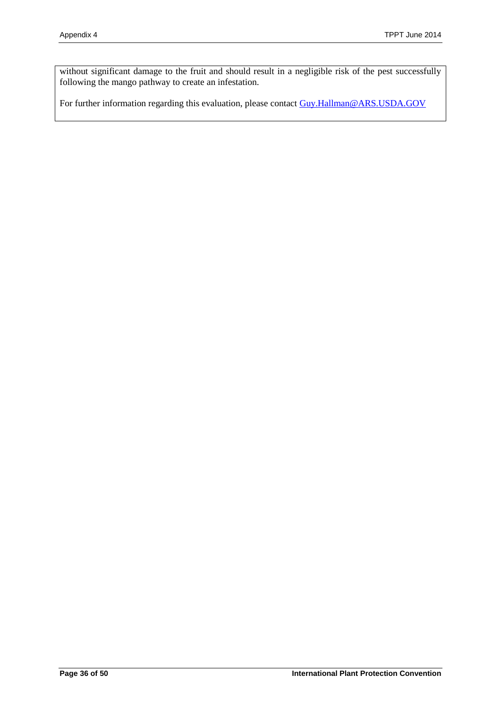without significant damage to the fruit and should result in a negligible risk of the pest successfully following the mango pathway to create an infestation.

For further information regarding this evaluation, please contact [Guy.Hallman@ARS.USDA.GOV](mailto:Guy.Hallman@ARS.USDA.GOV)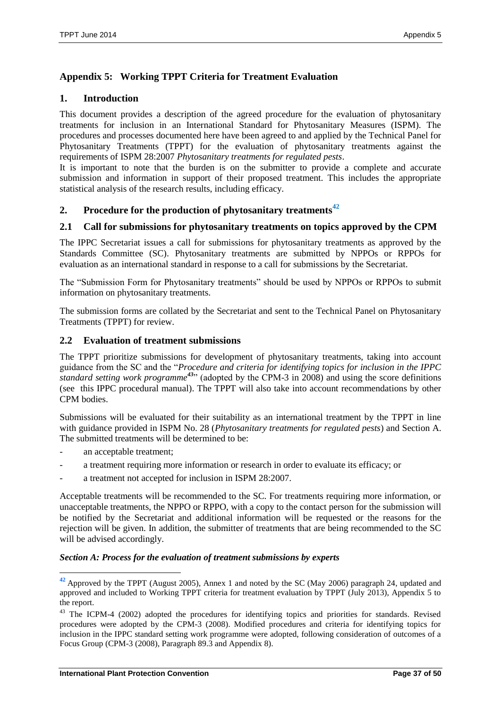# <span id="page-36-0"></span>**Appendix 5: Working TPPT Criteria for Treatment Evaluation**

## **1. Introduction**

This document provides a description of the agreed procedure for the evaluation of phytosanitary treatments for inclusion in an International Standard for Phytosanitary Measures (ISPM). The procedures and processes documented here have been agreed to and applied by the Technical Panel for Phytosanitary Treatments (TPPT) for the evaluation of phytosanitary treatments against the requirements of ISPM 28:2007 *Phytosanitary treatments for regulated pests*.

It is important to note that the burden is on the submitter to provide a complete and accurate submission and information in support of their proposed treatment. This includes the appropriate statistical analysis of the research results, including efficacy.

## **2. Procedure for the production of phytosanitary treatments<sup>42</sup>**

## **2.1 Call for submissions for phytosanitary treatments on topics approved by the CPM**

The IPPC Secretariat issues a call for submissions for phytosanitary treatments as approved by the Standards Committee (SC). Phytosanitary treatments are submitted by NPPOs or RPPOs for evaluation as an international standard in response to a call for submissions by the Secretariat.

The "Submission Form for Phytosanitary treatments" should be used by NPPOs or RPPOs to submit information on phytosanitary treatments.

The submission forms are collated by the Secretariat and sent to the Technical Panel on Phytosanitary Treatments (TPPT) for review.

## **2.2 Evaluation of treatment submissions**

The TPPT prioritize submissions for development of phytosanitary treatments, taking into account guidance from the SC and the "*Procedure and criteria for identifying topics for inclusion in the IPPC standard setting work programme<sup>43</sup>*" (adopted by the CPM-3 in 2008) and using the score definitions (see this IPPC procedural manual). The TPPT will also take into account recommendations by other CPM bodies.

Submissions will be evaluated for their suitability as an international treatment by the TPPT in line with guidance provided in ISPM No. 28 (*Phytosanitary treatments for regulated pests*) and Section A. The submitted treatments will be determined to be:

an acceptable treatment;

 $\overline{a}$ 

- a treatment requiring more information or research in order to evaluate its efficacy; or
- a treatment not accepted for inclusion in ISPM 28:2007.

Acceptable treatments will be recommended to the SC. For treatments requiring more information, or unacceptable treatments, the NPPO or RPPO, with a copy to the contact person for the submission will be notified by the Secretariat and additional information will be requested or the reasons for the rejection will be given. In addition, the submitter of treatments that are being recommended to the SC will be advised accordingly.

#### *Section A: Process for the evaluation of treatment submissions by experts*

**<sup>42</sup>** Approved by the TPPT (August 2005), Annex 1 and noted by the SC (May 2006) paragraph 24, updated and approved and included to Working TPPT criteria for treatment evaluation by TPPT (July 2013), Appendix 5 to the report.

<sup>&</sup>lt;sup>43</sup> The ICPM-4 (2002) adopted the procedures for identifying topics and priorities for standards. Revised procedures were adopted by the CPM-3 (2008). Modified procedures and criteria for identifying topics for inclusion in the IPPC standard setting work programme were adopted, following consideration of outcomes of a Focus Group (CPM-3 (2008), Paragraph 89.3 and Appendix 8).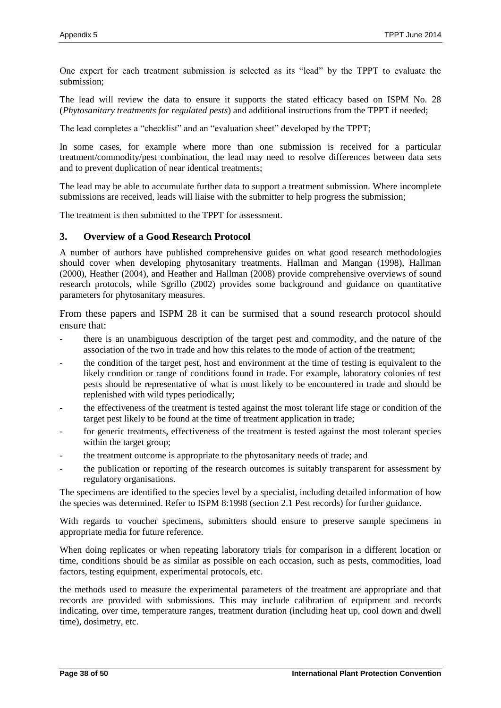One expert for each treatment submission is selected as its "lead" by the TPPT to evaluate the submission;

The lead will review the data to ensure it supports the stated efficacy based on ISPM No. 28 (*Phytosanitary treatments for regulated pests*) and additional instructions from the TPPT if needed;

The lead completes a "checklist" and an "evaluation sheet" developed by the TPPT;

In some cases, for example where more than one submission is received for a particular treatment/commodity/pest combination, the lead may need to resolve differences between data sets and to prevent duplication of near identical treatments;

The lead may be able to accumulate further data to support a treatment submission. Where incomplete submissions are received, leads will liaise with the submitter to help progress the submission;

The treatment is then submitted to the TPPT for assessment.

#### **3. Overview of a Good Research Protocol**

A number of authors have published comprehensive guides on what good research methodologies should cover when developing phytosanitary treatments. Hallman and Mangan (1998), Hallman (2000), Heather (2004), and Heather and Hallman (2008) provide comprehensive overviews of sound research protocols, while Sgrillo (2002) provides some background and guidance on quantitative parameters for phytosanitary measures.

From these papers and ISPM 28 it can be surmised that a sound research protocol should ensure that:

- there is an unambiguous description of the target pest and commodity, and the nature of the association of the two in trade and how this relates to the mode of action of the treatment;
- the condition of the target pest, host and environment at the time of testing is equivalent to the likely condition or range of conditions found in trade. For example, laboratory colonies of test pests should be representative of what is most likely to be encountered in trade and should be replenished with wild types periodically;
- the effectiveness of the treatment is tested against the most tolerant life stage or condition of the target pest likely to be found at the time of treatment application in trade;
- for generic treatments, effectiveness of the treatment is tested against the most tolerant species within the target group;
- the treatment outcome is appropriate to the phytosanitary needs of trade; and
- the publication or reporting of the research outcomes is suitably transparent for assessment by regulatory organisations.

The specimens are identified to the species level by a specialist, including detailed information of how the species was determined. Refer to ISPM 8:1998 (section 2.1 Pest records) for further guidance.

With regards to voucher specimens, submitters should ensure to preserve sample specimens in appropriate media for future reference.

When doing replicates or when repeating laboratory trials for comparison in a different location or time, conditions should be as similar as possible on each occasion, such as pests, commodities, load factors, testing equipment, experimental protocols, etc.

the methods used to measure the experimental parameters of the treatment are appropriate and that records are provided with submissions. This may include calibration of equipment and records indicating, over time, temperature ranges, treatment duration (including heat up, cool down and dwell time), dosimetry, etc.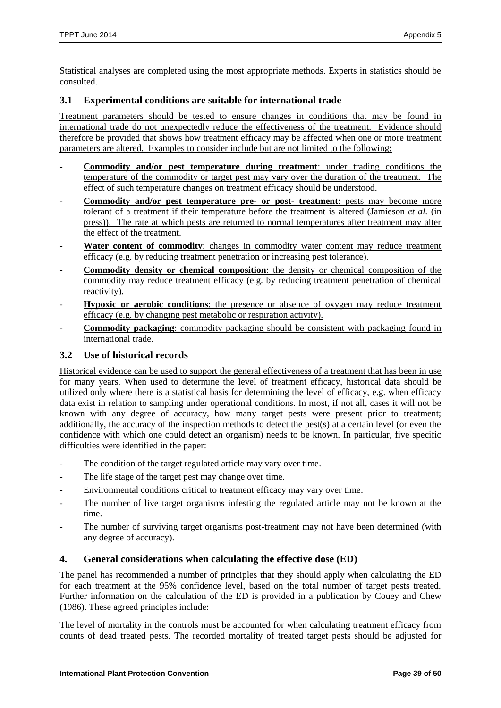Statistical analyses are completed using the most appropriate methods. Experts in statistics should be consulted.

#### **3.1 Experimental conditions are suitable for international trade**

Treatment parameters should be tested to ensure changes in conditions that may be found in international trade do not unexpectedly reduce the effectiveness of the treatment. Evidence should therefore be provided that shows how treatment efficacy may be affected when one or more treatment parameters are altered. Examples to consider include but are not limited to the following:

- **Commodity and/or pest temperature during treatment**: under trading conditions the temperature of the commodity or target pest may vary over the duration of the treatment. The effect of such temperature changes on treatment efficacy should be understood.
- **Commodity and/or pest temperature pre- or post- treatment**: pests may become more tolerant of a treatment if their temperature before the treatment is altered (Jamieson *et al.* (in press)). The rate at which pests are returned to normal temperatures after treatment may alter the effect of the treatment.
- Water content of commodity: changes in commodity water content may reduce treatment efficacy (e.g. by reducing treatment penetration or increasing pest tolerance).
- **Commodity density or chemical composition**: the density or chemical composition of the commodity may reduce treatment efficacy (e.g. by reducing treatment penetration of chemical reactivity).
- **Hypoxic or aerobic conditions**: the presence or absence of oxygen may reduce treatment efficacy (e.g. by changing pest metabolic or respiration activity).
- **Commodity packaging**: commodity packaging should be consistent with packaging found in international trade.

## **3.2 Use of historical records**

Historical evidence can be used to support the general effectiveness of a treatment that has been in use for many years. When used to determine the level of treatment efficacy, historical data should be utilized only where there is a statistical basis for determining the level of efficacy, e.g. when efficacy data exist in relation to sampling under operational conditions. In most, if not all, cases it will not be known with any degree of accuracy, how many target pests were present prior to treatment; additionally, the accuracy of the inspection methods to detect the pest(s) at a certain level (or even the confidence with which one could detect an organism) needs to be known. In particular, five specific difficulties were identified in the paper:

- The condition of the target regulated article may vary over time.
- The life stage of the target pest may change over time.
- Environmental conditions critical to treatment efficacy may vary over time.
- The number of live target organisms infesting the regulated article may not be known at the time.
- The number of surviving target organisms post-treatment may not have been determined (with any degree of accuracy).

## **4. General considerations when calculating the effective dose (ED)**

The panel has recommended a number of principles that they should apply when calculating the ED for each treatment at the 95% confidence level, based on the total number of target pests treated. Further information on the calculation of the ED is provided in a publication by Couey and Chew (1986). These agreed principles include:

The level of mortality in the controls must be accounted for when calculating treatment efficacy from counts of dead treated pests. The recorded mortality of treated target pests should be adjusted for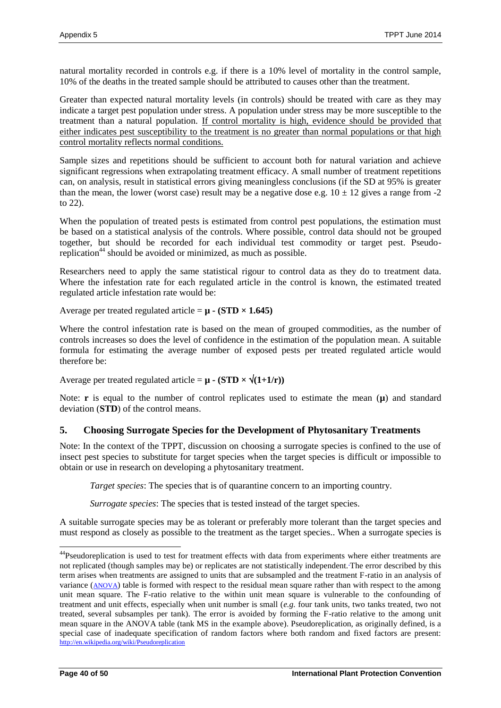natural mortality recorded in controls e.g. if there is a 10% level of mortality in the control sample, 10% of the deaths in the treated sample should be attributed to causes other than the treatment.

Greater than expected natural mortality levels (in controls) should be treated with care as they may indicate a target pest population under stress. A population under stress may be more susceptible to the treatment than a natural population. If control mortality is high, evidence should be provided that either indicates pest susceptibility to the treatment is no greater than normal populations or that high control mortality reflects normal conditions.

Sample sizes and repetitions should be sufficient to account both for natural variation and achieve significant regressions when extrapolating treatment efficacy. A small number of treatment repetitions can, on analysis, result in statistical errors giving meaningless conclusions (if the SD at 95% is greater than the mean, the lower (worst case) result may be a negative dose e.g.  $10 \pm 12$  gives a range from -2 to 22).

When the population of treated pests is estimated from control pest populations, the estimation must be based on a statistical analysis of the controls. Where possible, control data should not be grouped together, but should be recorded for each individual test commodity or target pest. Pseudoreplication<sup>44</sup> should be avoided or minimized, as much as possible.

Researchers need to apply the same statistical rigour to control data as they do to treatment data. Where the infestation rate for each regulated article in the control is known, the estimated treated regulated article infestation rate would be:

Average per treated regulated article =  $\mu$  **- (STD × 1.645)** 

Where the control infestation rate is based on the mean of grouped commodities, as the number of controls increases so does the level of confidence in the estimation of the population mean. A suitable formula for estimating the average number of exposed pests per treated regulated article would therefore be:

Average per treated regulated article =  $\mu$  - (STD  $\times \sqrt{(1+1/r)}$ )

Note: **r** is equal to the number of control replicates used to estimate the mean  $(\mu)$  and standard deviation (**STD**) of the control means.

## **5. Choosing Surrogate Species for the Development of Phytosanitary Treatments**

Note: In the context of the TPPT, discussion on choosing a surrogate species is confined to the use of insect pest species to substitute for target species when the target species is difficult or impossible to obtain or use in research on developing a phytosanitary treatment.

*Target species*: The species that is of quarantine concern to an importing country.

*Surrogate species*: The species that is tested instead of the target species.

A suitable surrogate species may be as tolerant or preferably more tolerant than the target species and must respond as closely as possible to the treatment as the target species.. When a surrogate species is

 $\overline{a}$ 

<sup>&</sup>lt;sup>44</sup>Pseudoreplication is used to test for treatment effects with data from experiments where either treatments are not replicated (though samples may be) or replicates are not statistically independent. The error described by this term arises when treatments are assigned to units that are subsampled and the treatment F-ratio in an analysis of variance ([ANOVA](http://en.wikipedia.org/wiki/ANOVA)) table is formed with respect to the residual mean square rather than with respect to the among unit mean square. The F-ratio relative to the within unit mean square is vulnerable to the confounding of treatment and unit effects, especially when unit number is small (*e.g.* four tank units, two tanks treated, two not treated, several subsamples per tank). The error is avoided by forming the F-ratio relative to the among unit mean square in the ANOVA table (tank MS in the example above). Pseudoreplication, as originally defined, is a special case of inadequate specification of random factors where both random and fixed factors are present: <http://en.wikipedia.org/wiki/Pseudoreplication>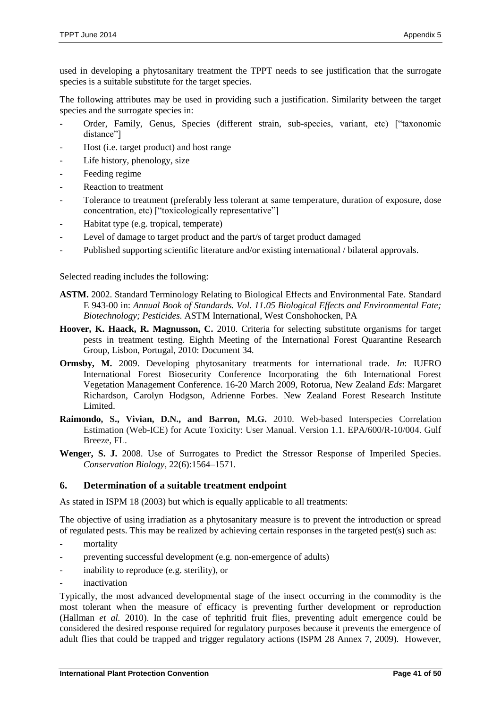used in developing a phytosanitary treatment the TPPT needs to see justification that the surrogate species is a suitable substitute for the target species.

The following attributes may be used in providing such a justification. Similarity between the target species and the surrogate species in:

- Order, Family, Genus, Species (different strain, sub-species, variant, etc) ["taxonomic distance"]
- Host (i.e. target product) and host range
- Life history, phenology, size
- Feeding regime
- Reaction to treatment
- Tolerance to treatment (preferably less tolerant at same temperature, duration of exposure, dose concentration, etc) ["toxicologically representative"]
- Habitat type (e.g. tropical, temperate)
- Level of damage to target product and the part/s of target product damaged
- Published supporting scientific literature and/or existing international / bilateral approvals.

Selected reading includes the following:

- **ASTM.** 2002. Standard Terminology Relating to Biological Effects and Environmental Fate. Standard E 943-00 in: *Annual Book of Standards. Vol. 11.05 Biological Effects and Environmental Fate; Biotechnology; Pesticides.* ASTM International, West Conshohocken, PA
- **Hoover, K. Haack, R. Magnusson, C.** 2010. Criteria for selecting substitute organisms for target pests in treatment testing. Eighth Meeting of the International Forest Quarantine Research Group, Lisbon, Portugal, 2010: Document 34.
- **Ormsby, M.** 2009. Developing phytosanitary treatments for international trade. *In*: IUFRO International Forest Biosecurity Conference Incorporating the 6th International Forest Vegetation Management Conference. 16-20 March 2009, Rotorua, New Zealand *Eds*: Margaret Richardson, Carolyn Hodgson, Adrienne Forbes. New Zealand Forest Research Institute Limited.
- **Raimondo, S., Vivian, D.N., and Barron, M.G.** 2010. Web-based Interspecies Correlation Estimation (Web-ICE) for Acute Toxicity: User Manual. Version 1.1. EPA/600/R-10/004. Gulf Breeze, FL.
- Wenger, S. J. 2008. Use of Surrogates to Predict the Stressor Response of Imperiled Species. *Conservation Biology*, 22(6):1564–1571.

#### **6. Determination of a suitable treatment endpoint**

As stated in ISPM 18 (2003) but which is equally applicable to all treatments:

The objective of using irradiation as a phytosanitary measure is to prevent the introduction or spread of regulated pests. This may be realized by achieving certain responses in the targeted pest(s) such as:

- mortality
- preventing successful development (e.g. non-emergence of adults)
- inability to reproduce (e.g. sterility), or
- inactivation

Typically, the most advanced developmental stage of the insect occurring in the commodity is the most tolerant when the measure of efficacy is preventing further development or reproduction (Hallman *et al.* 2010). In the case of tephritid fruit flies, preventing adult emergence could be considered the desired response required for regulatory purposes because it prevents the emergence of adult flies that could be trapped and trigger regulatory actions (ISPM 28 Annex 7, 2009). However,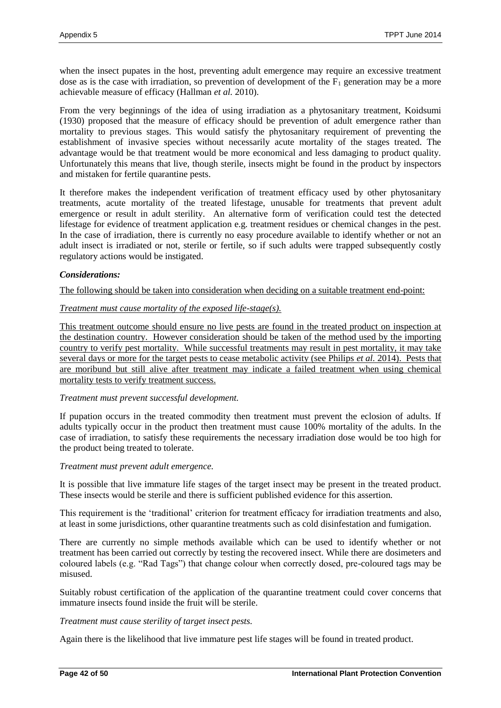when the insect pupates in the host, preventing adult emergence may require an excessive treatment dose as is the case with irradiation, so prevention of development of the  $F_1$  generation may be a more achievable measure of efficacy (Hallman *et al.* 2010).

From the very beginnings of the idea of using irradiation as a phytosanitary treatment, Koidsumi (1930) proposed that the measure of efficacy should be prevention of adult emergence rather than mortality to previous stages. This would satisfy the phytosanitary requirement of preventing the establishment of invasive species without necessarily acute mortality of the stages treated. The advantage would be that treatment would be more economical and less damaging to product quality. Unfortunately this means that live, though sterile, insects might be found in the product by inspectors and mistaken for fertile quarantine pests.

It therefore makes the independent verification of treatment efficacy used by other phytosanitary treatments, acute mortality of the treated lifestage, unusable for treatments that prevent adult emergence or result in adult sterility. An alternative form of verification could test the detected lifestage for evidence of treatment application e.g. treatment residues or chemical changes in the pest. In the case of irradiation, there is currently no easy procedure available to identify whether or not an adult insect is irradiated or not, sterile or fertile, so if such adults were trapped subsequently costly regulatory actions would be instigated.

#### *Considerations:*

The following should be taken into consideration when deciding on a suitable treatment end-point:

#### *Treatment must cause mortality of the exposed life-stage(s).*

This treatment outcome should ensure no live pests are found in the treated product on inspection at the destination country. However consideration should be taken of the method used by the importing country to verify pest mortality. While successful treatments may result in pest mortality, it may take several days or more for the target pests to cease metabolic activity (see Philips *et al.* 2014). Pests that are moribund but still alive after treatment may indicate a failed treatment when using chemical mortality tests to verify treatment success.

#### *Treatment must prevent successful development.*

If pupation occurs in the treated commodity then treatment must prevent the eclosion of adults. If adults typically occur in the product then treatment must cause 100% mortality of the adults. In the case of irradiation, to satisfy these requirements the necessary irradiation dose would be too high for the product being treated to tolerate.

#### *Treatment must prevent adult emergence.*

It is possible that live immature life stages of the target insect may be present in the treated product. These insects would be sterile and there is sufficient published evidence for this assertion.

This requirement is the 'traditional' criterion for treatment efficacy for irradiation treatments and also, at least in some jurisdictions, other quarantine treatments such as cold disinfestation and fumigation.

There are currently no simple methods available which can be used to identify whether or not treatment has been carried out correctly by testing the recovered insect. While there are dosimeters and coloured labels (e.g. "Rad Tags") that change colour when correctly dosed, pre-coloured tags may be misused.

Suitably robust certification of the application of the quarantine treatment could cover concerns that immature insects found inside the fruit will be sterile.

#### *Treatment must cause sterility of target insect pests.*

Again there is the likelihood that live immature pest life stages will be found in treated product.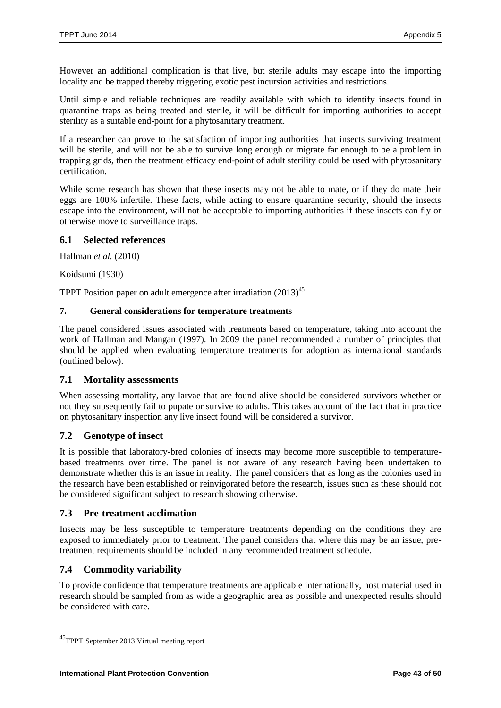However an additional complication is that live, but sterile adults may escape into the importing locality and be trapped thereby triggering exotic pest incursion activities and restrictions.

Until simple and reliable techniques are readily available with which to identify insects found in quarantine traps as being treated and sterile, it will be difficult for importing authorities to accept sterility as a suitable end-point for a phytosanitary treatment.

If a researcher can prove to the satisfaction of importing authorities that insects surviving treatment will be sterile, and will not be able to survive long enough or migrate far enough to be a problem in trapping grids, then the treatment efficacy end-point of adult sterility could be used with phytosanitary certification.

While some research has shown that these insects may not be able to mate, or if they do mate their eggs are 100% infertile. These facts, while acting to ensure quarantine security, should the insects escape into the environment, will not be acceptable to importing authorities if these insects can fly or otherwise move to surveillance traps.

## **6.1 Selected references**

Hallman *et al.* (2010)

Koidsumi (1930)

TPPT Position paper on adult emergence after irradiation  $(2013)^{45}$ 

#### **7. General considerations for temperature treatments**

The panel considered issues associated with treatments based on temperature, taking into account the work of Hallman and Mangan (1997). In 2009 the panel recommended a number of principles that should be applied when evaluating temperature treatments for adoption as international standards (outlined below).

## **7.1 Mortality assessments**

When assessing mortality, any larvae that are found alive should be considered survivors whether or not they subsequently fail to pupate or survive to adults. This takes account of the fact that in practice on phytosanitary inspection any live insect found will be considered a survivor.

## **7.2 Genotype of insect**

It is possible that laboratory-bred colonies of insects may become more susceptible to temperaturebased treatments over time. The panel is not aware of any research having been undertaken to demonstrate whether this is an issue in reality. The panel considers that as long as the colonies used in the research have been established or reinvigorated before the research, issues such as these should not be considered significant subject to research showing otherwise.

#### **7.3 Pre-treatment acclimation**

Insects may be less susceptible to temperature treatments depending on the conditions they are exposed to immediately prior to treatment. The panel considers that where this may be an issue, pretreatment requirements should be included in any recommended treatment schedule.

## **7.4 Commodity variability**

 $\overline{\phantom{a}}$ 

To provide confidence that temperature treatments are applicable internationally, host material used in research should be sampled from as wide a geographic area as possible and unexpected results should be considered with care.

<sup>45</sup>TPPT September 2013 Virtual meeting report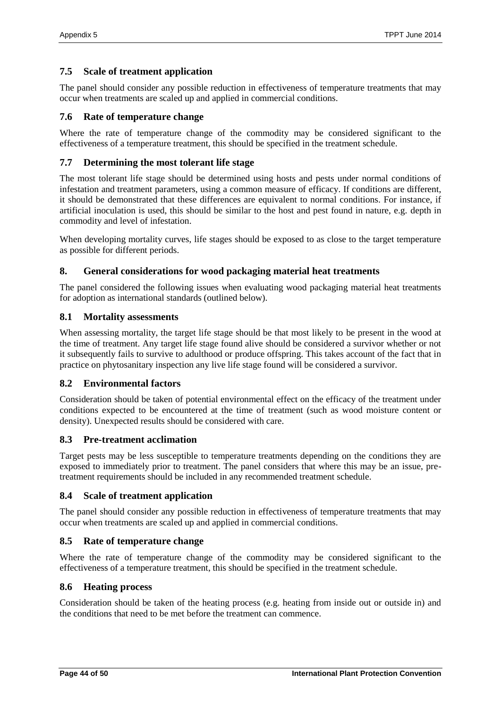#### **7.5 Scale of treatment application**

The panel should consider any possible reduction in effectiveness of temperature treatments that may occur when treatments are scaled up and applied in commercial conditions.

#### **7.6 Rate of temperature change**

Where the rate of temperature change of the commodity may be considered significant to the effectiveness of a temperature treatment, this should be specified in the treatment schedule.

#### **7.7 Determining the most tolerant life stage**

The most tolerant life stage should be determined using hosts and pests under normal conditions of infestation and treatment parameters, using a common measure of efficacy. If conditions are different, it should be demonstrated that these differences are equivalent to normal conditions. For instance, if artificial inoculation is used, this should be similar to the host and pest found in nature, e.g. depth in commodity and level of infestation.

When developing mortality curves, life stages should be exposed to as close to the target temperature as possible for different periods.

#### **8. General considerations for wood packaging material heat treatments**

The panel considered the following issues when evaluating wood packaging material heat treatments for adoption as international standards (outlined below).

#### **8.1 Mortality assessments**

When assessing mortality, the target life stage should be that most likely to be present in the wood at the time of treatment. Any target life stage found alive should be considered a survivor whether or not it subsequently fails to survive to adulthood or produce offspring. This takes account of the fact that in practice on phytosanitary inspection any live life stage found will be considered a survivor.

#### **8.2 Environmental factors**

Consideration should be taken of potential environmental effect on the efficacy of the treatment under conditions expected to be encountered at the time of treatment (such as wood moisture content or density). Unexpected results should be considered with care.

#### **8.3 Pre-treatment acclimation**

Target pests may be less susceptible to temperature treatments depending on the conditions they are exposed to immediately prior to treatment. The panel considers that where this may be an issue, pretreatment requirements should be included in any recommended treatment schedule.

#### **8.4 Scale of treatment application**

The panel should consider any possible reduction in effectiveness of temperature treatments that may occur when treatments are scaled up and applied in commercial conditions.

#### **8.5 Rate of temperature change**

Where the rate of temperature change of the commodity may be considered significant to the effectiveness of a temperature treatment, this should be specified in the treatment schedule.

#### **8.6 Heating process**

Consideration should be taken of the heating process (e.g. heating from inside out or outside in) and the conditions that need to be met before the treatment can commence.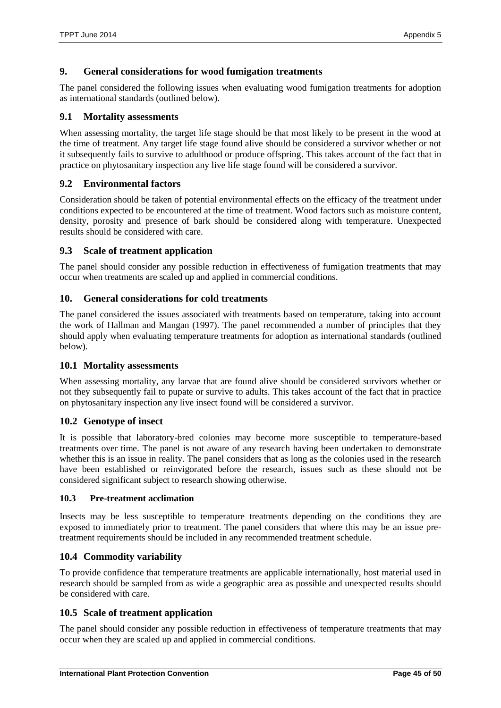## **9. General considerations for wood fumigation treatments**

The panel considered the following issues when evaluating wood fumigation treatments for adoption as international standards (outlined below).

## **9.1 Mortality assessments**

When assessing mortality, the target life stage should be that most likely to be present in the wood at the time of treatment. Any target life stage found alive should be considered a survivor whether or not it subsequently fails to survive to adulthood or produce offspring. This takes account of the fact that in practice on phytosanitary inspection any live life stage found will be considered a survivor.

## **9.2 Environmental factors**

Consideration should be taken of potential environmental effects on the efficacy of the treatment under conditions expected to be encountered at the time of treatment. Wood factors such as moisture content, density, porosity and presence of bark should be considered along with temperature. Unexpected results should be considered with care.

## **9.3 Scale of treatment application**

The panel should consider any possible reduction in effectiveness of fumigation treatments that may occur when treatments are scaled up and applied in commercial conditions.

## **10. General considerations for cold treatments**

The panel considered the issues associated with treatments based on temperature, taking into account the work of Hallman and Mangan (1997). The panel recommended a number of principles that they should apply when evaluating temperature treatments for adoption as international standards (outlined below).

## **10.1 Mortality assessments**

When assessing mortality, any larvae that are found alive should be considered survivors whether or not they subsequently fail to pupate or survive to adults. This takes account of the fact that in practice on phytosanitary inspection any live insect found will be considered a survivor.

## **10.2 Genotype of insect**

It is possible that laboratory-bred colonies may become more susceptible to temperature-based treatments over time. The panel is not aware of any research having been undertaken to demonstrate whether this is an issue in reality. The panel considers that as long as the colonies used in the research have been established or reinvigorated before the research, issues such as these should not be considered significant subject to research showing otherwise.

#### **10.3 Pre-treatment acclimation**

Insects may be less susceptible to temperature treatments depending on the conditions they are exposed to immediately prior to treatment. The panel considers that where this may be an issue pretreatment requirements should be included in any recommended treatment schedule.

## **10.4 Commodity variability**

To provide confidence that temperature treatments are applicable internationally, host material used in research should be sampled from as wide a geographic area as possible and unexpected results should be considered with care.

## **10.5 Scale of treatment application**

The panel should consider any possible reduction in effectiveness of temperature treatments that may occur when they are scaled up and applied in commercial conditions.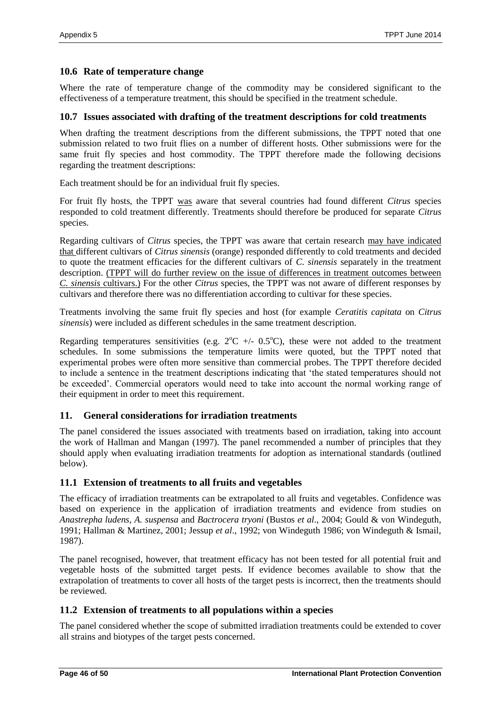#### **10.6 Rate of temperature change**

Where the rate of temperature change of the commodity may be considered significant to the effectiveness of a temperature treatment, this should be specified in the treatment schedule.

#### **10.7 Issues associated with drafting of the treatment descriptions for cold treatments**

When drafting the treatment descriptions from the different submissions, the TPPT noted that one submission related to two fruit flies on a number of different hosts. Other submissions were for the same fruit fly species and host commodity. The TPPT therefore made the following decisions regarding the treatment descriptions:

Each treatment should be for an individual fruit fly species.

For fruit fly hosts, the TPPT was aware that several countries had found different *Citrus* species responded to cold treatment differently. Treatments should therefore be produced for separate *Citrus* species.

Regarding cultivars of *Citrus* species, the TPPT was aware that certain research may have indicated that different cultivars of *Citrus sinensis* (orange) responded differently to cold treatments and decided to quote the treatment efficacies for the different cultivars of *C. sinensis* separately in the treatment description. (TPPT will do further review on the issue of differences in treatment outcomes between *C. sinensis* cultivars.) For the other *Citrus* species, the TPPT was not aware of different responses by cultivars and therefore there was no differentiation according to cultivar for these species.

Treatments involving the same fruit fly species and host (for example *Ceratitis capitata* on *Citrus sinensis*) were included as different schedules in the same treatment description.

Regarding temperatures sensitivities (e.g.  $2^{\circ}\text{C}$  +/- 0.5<sup>o</sup>C), these were not added to the treatment schedules. In some submissions the temperature limits were quoted, but the TPPT noted that experimental probes were often more sensitive than commercial probes. The TPPT therefore decided to include a sentence in the treatment descriptions indicating that 'the stated temperatures should not be exceeded'. Commercial operators would need to take into account the normal working range of their equipment in order to meet this requirement.

## **11. General considerations for irradiation treatments**

The panel considered the issues associated with treatments based on irradiation, taking into account the work of Hallman and Mangan (1997). The panel recommended a number of principles that they should apply when evaluating irradiation treatments for adoption as international standards (outlined below).

## **11.1 Extension of treatments to all fruits and vegetables**

The efficacy of irradiation treatments can be extrapolated to all fruits and vegetables. Confidence was based on experience in the application of irradiation treatments and evidence from studies on *Anastrepha ludens, A. suspensa* and *Bactrocera tryoni* (Bustos *et al*., 2004; Gould & von Windeguth, 1991; Hallman & Martinez, 2001; Jessup *et al*., 1992; von Windeguth 1986; von Windeguth & Ismail, 1987).

The panel recognised, however, that treatment efficacy has not been tested for all potential fruit and vegetable hosts of the submitted target pests. If evidence becomes available to show that the extrapolation of treatments to cover all hosts of the target pests is incorrect, then the treatments should be reviewed.

#### **11.2 Extension of treatments to all populations within a species**

The panel considered whether the scope of submitted irradiation treatments could be extended to cover all strains and biotypes of the target pests concerned.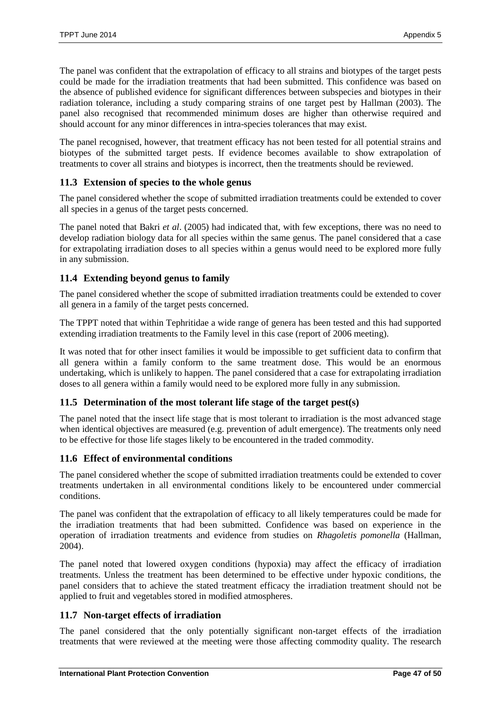The panel was confident that the extrapolation of efficacy to all strains and biotypes of the target pests could be made for the irradiation treatments that had been submitted. This confidence was based on the absence of published evidence for significant differences between subspecies and biotypes in their radiation tolerance, including a study comparing strains of one target pest by Hallman (2003). The panel also recognised that recommended minimum doses are higher than otherwise required and should account for any minor differences in intra-species tolerances that may exist.

The panel recognised, however, that treatment efficacy has not been tested for all potential strains and biotypes of the submitted target pests. If evidence becomes available to show extrapolation of treatments to cover all strains and biotypes is incorrect, then the treatments should be reviewed.

## **11.3 Extension of species to the whole genus**

The panel considered whether the scope of submitted irradiation treatments could be extended to cover all species in a genus of the target pests concerned.

The panel noted that Bakri *et al*. (2005) had indicated that, with few exceptions, there was no need to develop radiation biology data for all species within the same genus. The panel considered that a case for extrapolating irradiation doses to all species within a genus would need to be explored more fully in any submission.

## **11.4 Extending beyond genus to family**

The panel considered whether the scope of submitted irradiation treatments could be extended to cover all genera in a family of the target pests concerned.

The TPPT noted that within Tephritidae a wide range of genera has been tested and this had supported extending irradiation treatments to the Family level in this case (report of 2006 meeting).

It was noted that for other insect families it would be impossible to get sufficient data to confirm that all genera within a family conform to the same treatment dose. This would be an enormous undertaking, which is unlikely to happen. The panel considered that a case for extrapolating irradiation doses to all genera within a family would need to be explored more fully in any submission.

## **11.5 Determination of the most tolerant life stage of the target pest(s)**

The panel noted that the insect life stage that is most tolerant to irradiation is the most advanced stage when identical objectives are measured (e.g. prevention of adult emergence). The treatments only need to be effective for those life stages likely to be encountered in the traded commodity.

## **11.6 Effect of environmental conditions**

The panel considered whether the scope of submitted irradiation treatments could be extended to cover treatments undertaken in all environmental conditions likely to be encountered under commercial conditions.

The panel was confident that the extrapolation of efficacy to all likely temperatures could be made for the irradiation treatments that had been submitted. Confidence was based on experience in the operation of irradiation treatments and evidence from studies on *Rhagoletis pomonella* (Hallman, 2004).

The panel noted that lowered oxygen conditions (hypoxia) may affect the efficacy of irradiation treatments. Unless the treatment has been determined to be effective under hypoxic conditions, the panel considers that to achieve the stated treatment efficacy the irradiation treatment should not be applied to fruit and vegetables stored in modified atmospheres.

## **11.7 Non-target effects of irradiation**

The panel considered that the only potentially significant non-target effects of the irradiation treatments that were reviewed at the meeting were those affecting commodity quality. The research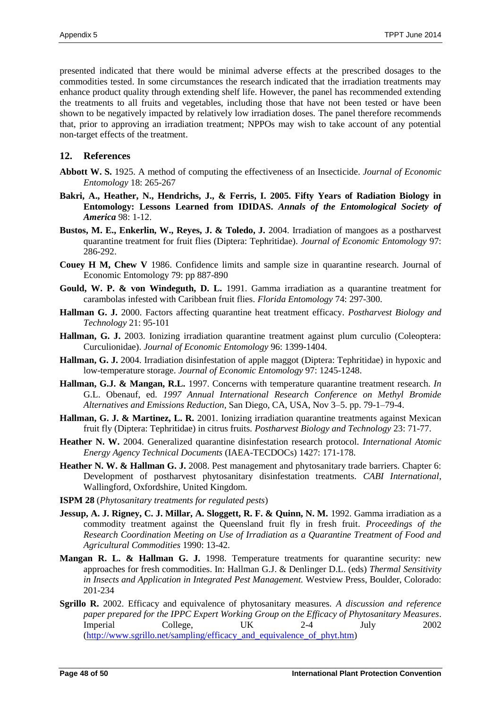presented indicated that there would be minimal adverse effects at the prescribed dosages to the commodities tested. In some circumstances the research indicated that the irradiation treatments may enhance product quality through extending shelf life. However, the panel has recommended extending the treatments to all fruits and vegetables, including those that have not been tested or have been shown to be negatively impacted by relatively low irradiation doses. The panel therefore recommends that, prior to approving an irradiation treatment; NPPOs may wish to take account of any potential non-target effects of the treatment.

#### **12. References**

- **Abbott W. S.** 1925. A method of computing the effectiveness of an Insecticide. *Journal of Economic Entomology* 18: 265-267
- **Bakri, A., Heather, N., Hendrichs, J., & Ferris, I. 2005. Fifty Years of Radiation Biology in Entomology: Lessons Learned from IDIDAS.** *Annals of the Entomological Society of America* 98: 1-12.
- **Bustos, M. E., Enkerlin, W., Reyes, J. & Toledo, J.** 2004. Irradiation of mangoes as a postharvest quarantine treatment for fruit flies (Diptera: Tephritidae). *Journal of Economic Entomology* 97: 286-292.
- **Couey H M, Chew V** 1986. Confidence limits and sample size in quarantine research. Journal of Economic Entomology 79: pp 887-890
- **Gould, W. P. & von Windeguth, D. L.** 1991. Gamma irradiation as a quarantine treatment for carambolas infested with Caribbean fruit flies. *Florida Entomology* 74: 297-300.
- **Hallman G. J.** 2000. Factors affecting quarantine heat treatment efficacy. *Postharvest Biology and Technology* 21: 95-101
- **Hallman, G. J.** 2003. Ionizing irradiation quarantine treatment against plum curculio (Coleoptera: Curculionidae). *Journal of Economic Entomology* 96: 1399-1404.
- **Hallman, G. J.** 2004. Irradiation disinfestation of apple maggot (Diptera: Tephritidae) in hypoxic and low-temperature storage. *Journal of Economic Entomology* 97: 1245-1248.
- **Hallman, G.J. & Mangan, R.L.** 1997. Concerns with temperature quarantine treatment research. *In* G.L. Obenauf, ed. *1997 Annual International Research Conference on Methyl Bromide Alternatives and Emissions Reduction*, San Diego, CA, USA, Nov 3–5. pp. 79-1–79-4.
- **Hallman, G. J. & Martinez, L. R.** 2001. Ionizing irradiation quarantine treatments against Mexican fruit fly (Diptera: Tephritidae) in citrus fruits. *Postharvest Biology and Technology* 23: 71-77.
- **Heather N. W.** 2004. Generalized quarantine disinfestation research protocol. *International Atomic Energy Agency Technical Documents* (IAEA-TECDOCs) 1427: 171-178.
- Heather N. W. & Hallman G. J. 2008. Pest management and phytosanitary trade barriers. Chapter 6: Development of postharvest phytosanitary disinfestation treatments. *CABI International*, Wallingford, Oxfordshire, United Kingdom.
- **ISPM 28** (*Phytosanitary treatments for regulated pests*)
- **Jessup, A. J. Rigney, C. J. Millar, A. Sloggett, R. F. & Quinn, N. M.** 1992. Gamma irradiation as a commodity treatment against the Queensland fruit fly in fresh fruit. *Proceedings of the Research Coordination Meeting on Use of Irradiation as a Quarantine Treatment of Food and Agricultural Commodities* 1990: 13-42.
- **Mangan R. L. & Hallman G. J.** 1998. Temperature treatments for quarantine security: new approaches for fresh commodities. In: Hallman G.J. & Denlinger D.L. (eds) *Thermal Sensitivity in Insects and Application in Integrated Pest Management.* Westview Press, Boulder, Colorado: 201-234
- **Sgrillo R.** 2002. Efficacy and equivalence of phytosanitary measures. *A discussion and reference paper prepared for the IPPC Expert Working Group on the Efficacy of Phytosanitary Measures*. Imperial College, UK 2-4 July 2002 [\(http://www.sgrillo.net/sampling/efficacy\\_and\\_equivalence\\_of\\_phyt.htm\)](http://www.sgrillo.net/sampling/efficacy_and_equivalence_of_phyt.htm)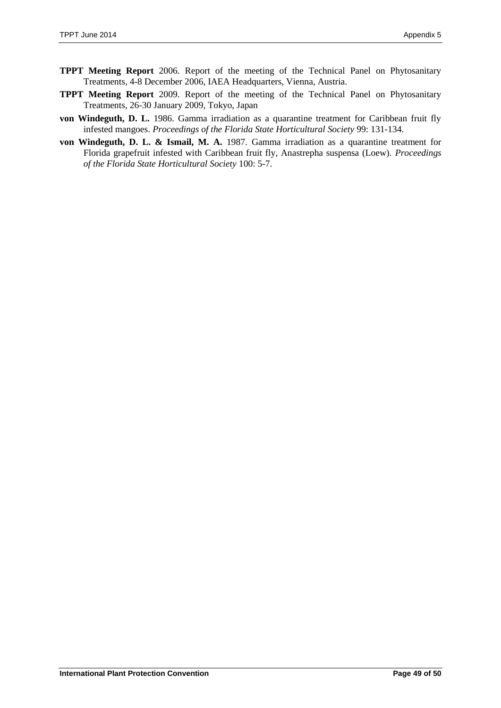- **TPPT Meeting Report** 2006. Report of the meeting of the Technical Panel on Phytosanitary Treatments, 4-8 December 2006, IAEA Headquarters, Vienna, Austria.
- **TPPT Meeting Report** 2009. Report of the meeting of the Technical Panel on Phytosanitary Treatments, 26-30 January 2009, Tokyo, Japan
- **von Windeguth, D. L.** 1986. Gamma irradiation as a quarantine treatment for Caribbean fruit fly infested mangoes. *Proceedings of the Florida State Horticultural Society* 99: 131-134.
- **von Windeguth, D. L. & Ismail, M. A.** 1987. Gamma irradiation as a quarantine treatment for Florida grapefruit infested with Caribbean fruit fly, Anastrepha suspensa (Loew). *Proceedings of the Florida State Horticultural Society* 100: 5-7.